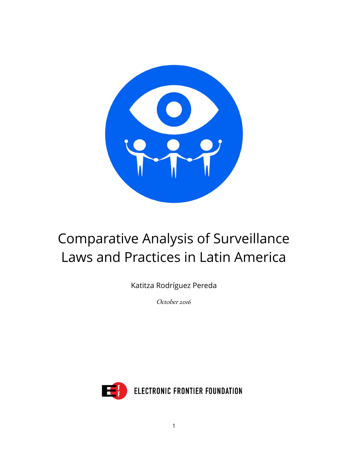

# Comparative Analysis of Surveillance Laws and Practices in Latin America

Katitza Rodríguez Pereda

October 2016

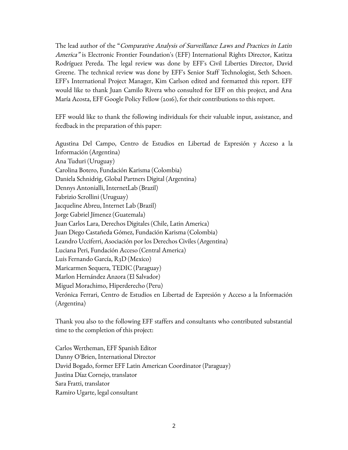The lead author of the "Comparative Analysis of Surveillance Laws and Practices in Latin America" is Electronic Frontier Foundation's (EFF) International Rights Director, Katitza Rodríguez Pereda. The legal review was done by EFF's Civil Liberties Director, David Greene. The technical review was done by EFF's Senior Staff Technologist, Seth Schoen. EFF's International Project Manager, Kim Carlson edited and formatted this report. EFF would like to thank Juan Camilo Rivera who consulted for EFF on this project, and Ana María Acosta, EFF Google Policy Fellow (2016), for their contributions to this report.

EFF would like to thank the following individuals for their valuable input, assistance, and feedback in the preparation of this paper:

Agustina Del Campo, Centro de Estudios en Libertad de Expresión y Acceso a la Información (Argentina) Ana Tuduri (Uruguay) Carolina Botero, Fundación Karisma (Colombia) Daniela Schnidrig, Global Partners Digital (Argentina) Dennys Antonialli, InternetLab (Brazil) Fabrizio Scrollini (Uruguay) Jacqueline Abreu, Internet Lab (Brazil) Jorge Gabriel Jímenez (Guatemala) Juan Carlos Lara, Derechos Digitales (Chile, Latin America) Juan Diego Castañeda Gómez, Fundación Karisma (Colombia) Leandro Ucciferri, Asociación por los Derechos Civiles (Argentina) Luciana Peri, Fundación Acceso (Central America) Luis Fernando García, R3D (Mexico) Maricarmen Sequera, TEDIC (Paraguay) Marlon Hernández Anzora (El Salvador) Miguel Morachimo, Hiperderecho (Peru) Verónica Ferrari, Centro de Estudios en Libertad de Expresión y Acceso a la Información (Argentina)

Thank you also to the following EFF staffers and consultants who contributed substantial time to the completion of this project:

Carlos Wertheman, EFF Spanish Editor Danny O'Brien, International Director David Bogado, former EFF Latin American Coordinator (Paraguay) Justina Díaz Cornejo, translator Sara Fratti, translator Ramiro Ugarte, legal consultant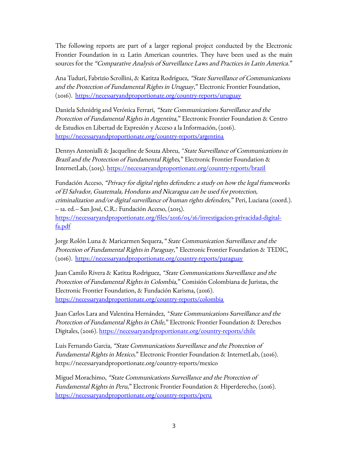The following reports are part of a larger regional project conducted by the Electronic Frontier Foundation in 12 Latin American countries. They have been used as the main sources for the "Comparative Analysis of Surveillance Laws and Practices in Latin America."

Ana Tudurí, Fabrizio Scrollini, & Katitza Rodríguez, "State Surveillance of Communications and the Protection of Fundamental Rights in Uruguay," Electronic Frontier Foundation, (2016). <https://necessaryandproportionate.org/country-reports/uruguay>

Daniela Schnidrig and Verónica Ferrari, "State Communications Surveillance and the Protection of Fundamental Rights in Argentina," Electronic Frontier Foundation & Centro de Estudios en Libertad de Expresión y Acceso a la Información, (2016). <https://necessaryandproportionate.org/country-reports/argentina>

Dennys Antonialli & Jacqueline de Souza Abreu, "State Surveillance of Communications in Brazil and the Protection of Fundamental Rights," Electronic Frontier Foundation & InternetLab, (2015).<https://necessaryandproportionate.org/country-reports/brazil>

Fundación Acceso, "Privacy for digital rights defenders: a study on how the legal frameworks of El Salvador, Guatemala, Honduras and Nicaragua can be used for protection, criminalization and/or digital surveillance of human rights defenders," Peri, Luciana (coord.). -- 1a. ed.-- San José, C.R.: Fundación Acceso, (2015). [https://necessaryandproportionate.org/files/2016/05/16/investigacion-privacidad-digital](https://necessaryandproportionate.org/files/2016/05/16/investigacion-privacidad-digital-fa.pdf)[fa.pdf](https://necessaryandproportionate.org/files/2016/05/16/investigacion-privacidad-digital-fa.pdf)

Jorge Rolón Luna & Maricarmen Sequera, "State Communication Surveillance and the Protection of Fundamental Rights in Paraguay," Electronic Frontier Foundation & TEDIC, (2016). <https://necessaryandproportionate.org/country-reports/paraguay>

Juan Camilo Rivera & Katitza Rodriguez, "State Communications Surveillance and the Protection of Fundamental Rights in Colombia," Comisión Colombiana de Juristas, the Electronic Frontier Foundation, & Fundación Karisma, (2016). <https://necessaryandproportionate.org/country-reports/colombia>

Juan Carlos Lara and Valentina Hernández, "State Communications Surveillance and the Protection of Fundamental Rights in Chile," Electronic Frontier Foundation & Derechos Digitales, (2016).<https://necessaryandproportionate.org/country-reports/chile>

Luis Fernando Garcia, "State Communications Surveillance and the Protection of Fundamental Rights in Mexico," Electronic Frontier Foundation & InternetLab, (2016). https://necessaryandproportionate.org/country-reports/mexico

Miguel Morachimo, "State Communications Surveillance and the Protection of Fundamental Rights in Peru," Electronic Frontier Foundation & Hiperderecho, (2016). <https://necessaryandproportionate.org/country-reports/peru>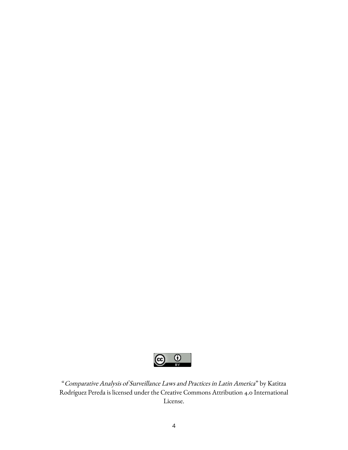

"Comparative Analysis of Surveillance Laws and Practices in Latin America" by Katitza Rodríguez Pereda is licensed under the Creative Commons Attribution 4.0 International License.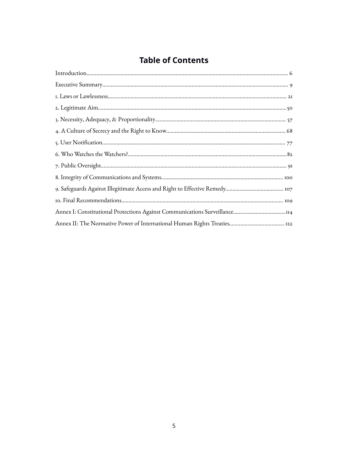## **Table of Contents**

| Annex I: Constitutional Protections Against Communications Surveillance114 |
|----------------------------------------------------------------------------|
|                                                                            |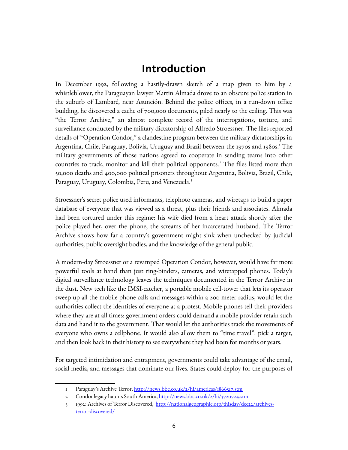## <span id="page-5-0"></span>**Introduction**

In December 1992, following a hastily-drawn sketch of a map given to him by a whistleblower, the Paraguayan lawyer Martin Almada drove to an obscure police station in the suburb of Lambaré, near Asunción. Behind the police offices, in a run-down office building, he discovered a cache of 700,000 documents, piled nearly to the ceiling. This was "the Terror Archive," an almost complete record of the interrogations, torture, and surveillance conducted by the military dictatorship of Alfredo Stroessner. The files reported details of "Operation Condor," a clandestine program between the military dictatorships in Argentina, Chile, Paraguay, Bolivia, Uruguay and Brazil between the [1](#page-5-1)970s and 1980s. The military governments of those nations agreed to cooperate in sending teams into other countries to track, monitor and kill their political opponents.<sup>[2](#page-5-2)</sup> The files listed more than 50,000 deaths and 400,000 political prisoners throughout Argentina, Bolivia, Brazil, Chile, Paraguay, Uruguay, Colombia, Peru, and Venezuela.<sup>[3](#page-5-3)</sup>

Stroessner's secret police used informants, telephoto cameras, and wiretaps to build a paper database of everyone that was viewed as a threat, plus their friends and associates. Almada had been tortured under this regime: his wife died from a heart attack shortly after the police played her, over the phone, the screams of her incarcerated husband. The Terror Archive shows how far a country's government might sink when unchecked by judicial authorities, public oversight bodies, and the knowledge of the general public.

A modern-day Stroessner or a revamped Operation Condor, however, would have far more powerful tools at hand than just ring-binders, cameras, and wiretapped phones. Today's digital surveillance technology leaves the techniques documented in the Terror Archive in the dust. New tech like the IMSI-catcher, a portable mobile cell-tower that lets its operator sweep up all the mobile phone calls and messages within a 200 meter radius, would let the authorities collect the identities of everyone at a protest. Mobile phones tell their providers where they are at all times: government orders could demand a mobile provider retain such data and hand it to the government. That would let the authorities track the movements of everyone who owns a cellphone. It would also allow them to "time travel": pick a target, and then look back in their history to see everywhere they had been for months or years.

For targeted intimidation and entrapment, governments could take advantage of the email, social media, and messages that dominate our lives. States could deploy for the purposes of

<span id="page-5-1"></span><sup>1</sup> Paraguay's Archive Terror,<http://news.bbc.co.uk/2/hi/americas/1866517.stm>

<span id="page-5-2"></span><sup>2</sup> Condor legacy haunts South America,<http://news.bbc.co.uk/2/hi/3720724.stm>

<span id="page-5-3"></span><sup>3 1992:</sup> Archives of Terror Discovered, [http://nationalgeographic.org/thisday/dec22/archives](http://nationalgeographic.org/thisday/dec22/archives-terror-discovered/)[terror-discovered/](http://nationalgeographic.org/thisday/dec22/archives-terror-discovered/)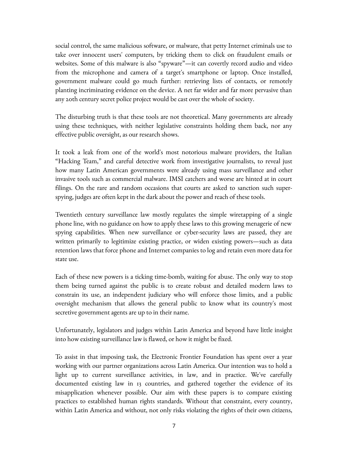social control, the same malicious software, or malware, that petty Internet criminals use to take over innocent users' computers, by tricking them to click on fraudulent emails or websites. Some of this malware is also "spyware"—it can covertly record audio and video from the microphone and camera of a target's smartphone or laptop. Once installed, government malware could go much further: retrieving lists of contacts, or remotely planting incriminating evidence on the device. A net far wider and far more pervasive than any 20th century secret police project would be cast over the whole of society.

The disturbing truth is that these tools are not theoretical. Many governments are already using these techniques, with neither legislative constraints holding them back, nor any effective public oversight, as our research shows.

It took a leak from one of the world's most notorious malware providers, the Italian "Hacking Team," and careful detective work from investigative journalists, to reveal just how many Latin American governments were already using mass surveillance and other invasive tools such as commercial malware. IMSI catchers and worse are hinted at in court filings. On the rare and random occasions that courts are asked to sanction such superspying, judges are often kept in the dark about the power and reach of these tools.

Twentieth century surveillance law mostly regulates the simple wiretapping of a single phone line, with no guidance on how to apply these laws to this growing menagerie of new spying capabilities. When new surveillance or cyber-security laws are passed, they are written primarily to legitimize existing practice, or widen existing powers—such as data retention laws that force phone and Internet companies to log and retain even more data for state use.

Each of these new powers is a ticking time-bomb, waiting for abuse. The only way to stop them being turned against the public is to create robust and detailed modern laws to constrain its use, an independent judiciary who will enforce those limits, and a public oversight mechanism that allows the general public to know what its country's most secretive government agents are up to in their name.

Unfortunately, legislators and judges within Latin America and beyond have little insight into how existing surveillance law is flawed, or how it might be fixed.

To assist in that imposing task, the Electronic Frontier Foundation has spent over a year working with our partner organizations across Latin America. Our intention was to hold a light up to current surveillance activities, in law, and in practice. We've carefully documented existing law in 13 countries, and gathered together the evidence of its misapplication whenever possible. Our aim with these papers is to compare existing practices to established human rights standards. Without that constraint, every country, within Latin America and without, not only risks violating the rights of their own citizens,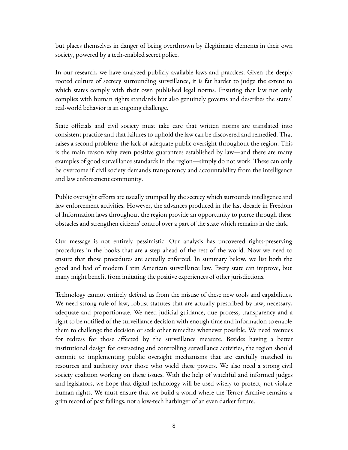but places themselves in danger of being overthrown by illegitimate elements in their own society, powered by a tech-enabled secret police.

In our research, we have analyzed publicly available laws and practices. Given the deeply rooted culture of secrecy surrounding surveillance, it is far harder to judge the extent to which states comply with their own published legal norms. Ensuring that law not only complies with human rights standards but also genuinely governs and describes the states' real-world behavior is an ongoing challenge.

State officials and civil society must take care that written norms are translated into consistent practice and that failures to uphold the law can be discovered and remedied. That raises a second problem: the lack of adequate public oversight throughout the region. This is the main reason why even positive guarantees established by law—and there are many examples of good surveillance standards in the region—simply do not work. These can only be overcome if civil society demands transparency and accountability from the intelligence and law enforcement community.

Public oversight efforts are usually trumped by the secrecy which surrounds intelligence and law enforcement activities. However, the advances produced in the last decade in Freedom of Information laws throughout the region provide an opportunity to pierce through these obstacles and strengthen citizens' control over a part of the state which remains in the dark.

Our message is not entirely pessimistic. Our analysis has uncovered rights-preserving procedures in the books that are a step ahead of the rest of the world. Now we need to ensure that those procedures are actually enforced. In summary below, we list both the good and bad of modern Latin American surveillance law. Every state can improve, but many might benefit from imitating the positive experiences of other jurisdictions.

Technology cannot entirely defend us from the misuse of these new tools and capabilities. We need strong rule of law, robust statutes that are actually prescribed by law, necessary, adequate and proportionate. We need judicial guidance, due process, transparency and a right to be notified of the surveillance decision with enough time and information to enable them to challenge the decision or seek other remedies whenever possible. We need avenues for redress for those affected by the surveillance measure. Besides having a better institutional design for overseeing and controlling surveillance activities, the region should commit to implementing public oversight mechanisms that are carefully matched in resources and authority over those who wield these powers. We also need a strong civil society coalition working on these issues. With the help of watchful and informed judges and legislators, we hope that digital technology will be used wisely to protect, not violate human rights. We must ensure that we build a world where the Terror Archive remains a grim record of past failings, not a low-tech harbinger of an even darker future.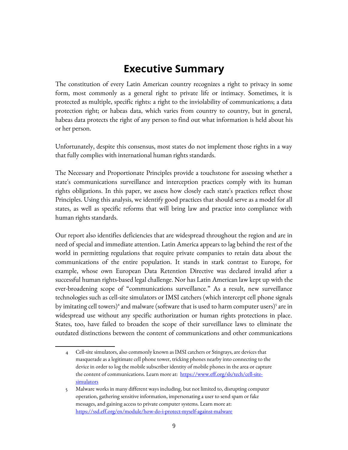# <span id="page-8-0"></span>**Executive Summary**

The constitution of every Latin American country recognizes a right to privacy in some form, most commonly as a general right to private life or intimacy. Sometimes, it is protected as multiple, specific rights: a right to the inviolability of communications; a data protection right; or habeas data, which varies from country to country, but in general, habeas data protects the right of any person to find out what information is held about his or her person.

Unfortunately, despite this consensus, most states do not implement those rights in a way that fully complies with international human rights standards.

The Necessary and Proportionate Principles provide a touchstone for assessing whether a state's communications surveillance and interception practices comply with its human rights obligations. In this paper, we assess how closely each state's practices reflect those Principles. Using this analysis, we identify good practices that should serve as a model for all states, as well as specific reforms that will bring law and practice into compliance with human rights standards.

Our report also identifies deficiencies that are widespread throughout the region and are in need of special and immediate attention. Latin America appears to lag behind the rest of the world in permitting regulations that require private companies to retain data about the communications of the entire population. It stands in stark contrast to Europe, for example, whose own European Data Retention Directive was declared invalid after a successful human rights-based legal challenge. Nor has Latin American law kept up with the ever-broadening scope of "communications surveillance." As a result, new surveillance technologies such as cell-site simulators or IMSI catchers (which intercept cell phone signals by imitating cell towers)<sup>[4](#page-8-1)</sup> and malware (software that is used to harm computer users)<sup>[5](#page-8-2)</sup> are in widespread use without any specific authorization or human rights protections in place. States, too, have failed to broaden the scope of their surveillance laws to eliminate the outdated distinctions between the content of communications and other communications

<span id="page-8-1"></span><sup>4</sup> Cell-site simulators, also commonly known as IMSI catchers or Stingrays, are devices that masquerade as a legitimate cell phone tower, tricking phones nearby into connecting to the device in order to log the mobile subscriber identity of mobile phones in the area or capture the content of communications. Learn more at: [https://www.eff.org/sls/tech/cell-site](https://www.eff.org/sls/tech/cell-site-simulators)[simulators](https://www.eff.org/sls/tech/cell-site-simulators)

<span id="page-8-2"></span><sup>5</sup> Malware works in many different ways including, but not limited to, disrupting computer operation, gathering sensitive information, impersonating a user to send spam or fake messages, and gaining access to private computer systems. Learn more at: <https://ssd.eff.org/en/module/how-do-i-protect-myself-against-malware>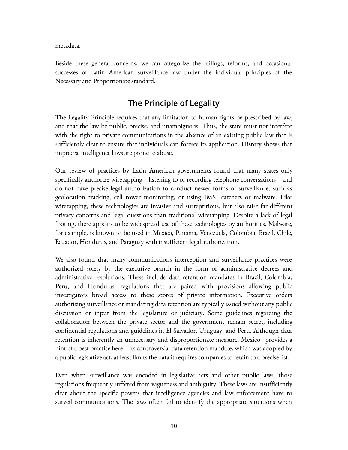metadata.

Beside these general concerns, we can categorize the failings, reforms, and occasional successes of Latin American surveillance law under the individual principles of the Necessary and Proportionate standard.

#### **The Principle of Legality**

The Legality Principle requires that any limitation to human rights be prescribed by law, and that the law be public, precise, and unambiguous. Thus, the state must not interfere with the right to private communications in the absence of an existing public law that is sufficiently clear to ensure that individuals can foresee its application. History shows that imprecise intelligence laws are prone to abuse.

Our review of practices by Latin American governments found that many states only specifically authorize wiretapping—listening to or recording telephone conversations—and do not have precise legal authorization to conduct newer forms of surveillance, such as geolocation tracking, cell tower monitoring, or using IMSI catchers or malware. Like wiretapping, these technologies are invasive and surreptitious, but also raise far different privacy concerns and legal questions than traditional wiretapping. Despite a lack of legal footing, there appears to be widespread use of these technologies by authorities. Malware, for example, is known to be used in Mexico, Panama, Venezuela, Colombia, Brazil, Chile, Ecuador, Honduras, and Paraguay with insufficient legal authorization.

We also found that many communications interception and surveillance practices were authorized solely by the executive branch in the form of administrative decrees and administrative resolutions. These include data retention mandates in Brazil, Colombia, Peru, and Honduras: regulations that are paired with provisions allowing public investigators broad access to these stores of private information. Executive orders authorizing surveillance or mandating data retention are typically issued without any public discussion or input from the legislature or judiciary. Some guidelines regarding the collaboration between the private sector and the government remain secret, including confidential regulations and guidelines in El Salvador, Uruguay, and Peru. Although data retention is inherently an unnecessary and disproportionate measure, Mexico provides a hint of a best practice here—its controversial data retention mandate, which was adopted by a public legislative act, at least limits the data it requires companies to retain to a precise list.

Even when surveillance was encoded in legislative acts and other public laws, those regulations frequently suffered from vagueness and ambiguity. These laws are insufficiently clear about the specific powers that intelligence agencies and law enforcement have to surveil communications. The laws often fail to identify the appropriate situations when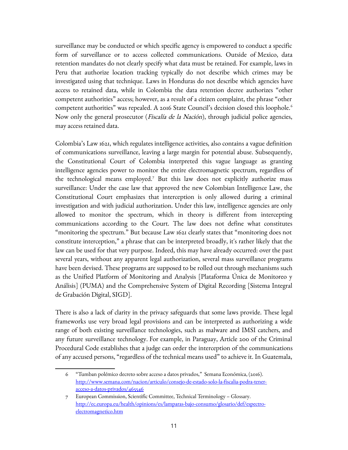surveillance may be conducted or which specific agency is empowered to conduct a specific form of surveillance or to access collected communications. Outside of Mexico, data retention mandates do not clearly specify what data must be retained. For example, laws in Peru that authorize location tracking typically do not describe which crimes may be investigated using that technique. Laws in Honduras do not describe which agencies have access to retained data, while in Colombia the data retention decree authorizes "other competent authorities" access; however, as a result of a citizen complaint, the phrase "other competent authorities" was repealed. A 201[6](#page-10-0) State Council's decision closed this loophole.<sup>6</sup> Now only the general prosecutor (*Fiscalía de la Nación*), through judicial police agencies, may access retained data.

Colombia's Law 1621, which regulates intelligence activities, also contains a vague definition of communications surveillance, leaving a large margin for potential abuse. Subsequently, the Constitutional Court of Colombia interpreted this vague language as granting intelligence agencies power to monitor the entire electromagnetic spectrum, regardless of the technological means employed.[7](#page-10-1) But this law does not explicitly authorize mass surveillance: Under the case law that approved the new Colombian Intelligence Law, the Constitutional Court emphasizes that interception is only allowed during a criminal investigation and with judicial authorization. Under this law, intelligence agencies are only allowed to monitor the spectrum, which in theory is different from intercepting communications according to the Court. The law does not define what constitutes "monitoring the spectrum." But because Law 1621 clearly states that "monitoring does not constitute interception," a phrase that can be interpreted broadly, it's rather likely that the law can be used for that very purpose. Indeed, this may have already occurred: over the past several years, without any apparent legal authorization, several mass surveillance programs have been devised. These programs are supposed to be rolled out through mechanisms such as the Unified Platform of Monitoring and Analysis [Plataforma Única de Monitoreo y Análisis] (PUMA) and the Comprehensive System of Digital Recording [Sistema Integral de Grabación Digital, SIGD].

There is also a lack of clarity in the privacy safeguards that some laws provide. These legal frameworks use very broad legal provisions and can be interpreted as authorizing a wide range of both existing surveillance technologies, such as malware and IMSI catchers, and any future surveillance technology. For example, in Paraguay, Article 200 of the Criminal Procedural Code establishes that a judge can order the interception of the communications of any accused persons, "regardless of the technical means used" to achieve it. In Guatemala,

<span id="page-10-0"></span><sup>6</sup> "Tumban polémico decreto sobre acceso a datos privados," Semana Económica, (2016). [http://www.semana.com/nacion/articulo/consejo-de-estado-solo-la-fiscalia-podra-tener](http://www.semana.com/nacion/articulo/consejo-de-estado-solo-la-fiscalia-podra-tener-acceso-a-datos-privados/465546)[acceso-a-datos-privados/465546](http://www.semana.com/nacion/articulo/consejo-de-estado-solo-la-fiscalia-podra-tener-acceso-a-datos-privados/465546)

<span id="page-10-1"></span><sup>7</sup> European Commission, Scientific Committee, Technical Terminology – Glossary. [http://ec.europa.eu/health/opinions/es/lamparas-bajo-consumo/glosario/def/espectro](http://ec.europa.eu/health/opinions/es/lamparas-bajo-consumo/glosario/def/espectro-electromagnetico.htm)[electromagnetico.htm](http://ec.europa.eu/health/opinions/es/lamparas-bajo-consumo/glosario/def/espectro-electromagnetico.htm)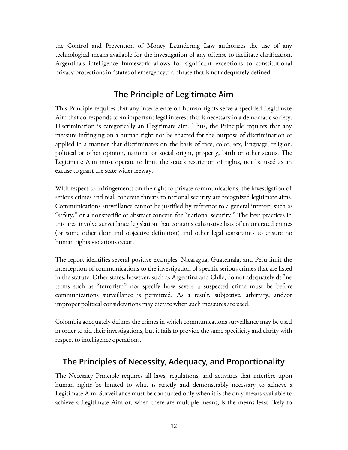the Control and Prevention of Money Laundering Law authorizes the use of any technological means available for the investigation of any offense to facilitate clarification. Argentina's intelligence framework allows for significant exceptions to constitutional privacy protections in "states of emergency," a phrase that is not adequately defined.

#### **The Principle of Legitimate Aim**

This Principle requires that any interference on human rights serve a specified Legitimate Aim that corresponds to an important legal interest that is necessary in a democratic society. Discrimination is categorically an illegitimate aim. Thus, the Principle requires that any measure infringing on a human right not be enacted for the purpose of discrimination or applied in a manner that discriminates on the basis of race, color, sex, language, religion, political or other opinion, national or social origin, property, birth or other status. The Legitimate Aim must operate to limit the state's restriction of rights, not be used as an excuse to grant the state wider leeway.

With respect to infringements on the right to private communications, the investigation of serious crimes and real, concrete threats to national security are recognized legitimate aims. Communications surveillance cannot be justified by reference to a general interest, such as "safety," or a nonspecific or abstract concern for "national security." The best practices in this area involve surveillance legislation that contains exhaustive lists of enumerated crimes (or some other clear and objective definition) and other legal constraints to ensure no human rights violations occur.

The report identifies several positive examples. Nicaragua, Guatemala, and Peru limit the interception of communications to the investigation of specific serious crimes that are listed in the statute. Other states, however, such as Argentina and Chile, do not adequately define terms such as "terrorism" nor specify how severe a suspected crime must be before communications surveillance is permitted. As a result, subjective, arbitrary, and/or improper political considerations may dictate when such measures are used.

Colombia adequately defines the crimes in which communications surveillance may be used in order to aid their investigations, but it fails to provide the same specificity and clarity with respect to intelligence operations.

#### **The Principles of Necessity, Adequacy, and Proportionality**

The Necessity Principle requires all laws, regulations, and activities that interfere upon human rights be limited to what is strictly and demonstrably necessary to achieve a Legitimate Aim. Surveillance must be conducted only when it is the only means available to achieve a Legitimate Aim or, when there are multiple means, is the means least likely to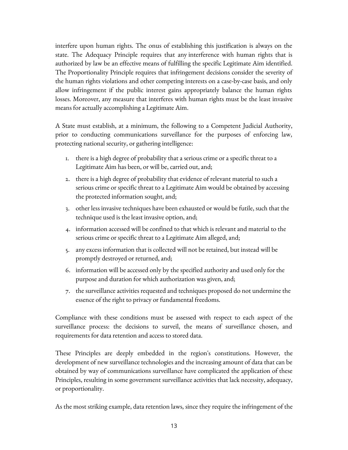interfere upon human rights. The onus of establishing this justification is always on the state. The Adequacy Principle requires that any interference with human rights that is authorized by law be an effective means of fulfilling the specific Legitimate Aim identified. The Proportionality Principle requires that infringement decisions consider the severity of the human rights violations and other competing interests on a case-by-case basis, and only allow infringement if the public interest gains appropriately balance the human rights losses. Moreover, any measure that interferes with human rights must be the least invasive means for actually accomplishing a Legitimate Aim.

A State must establish, at a minimum, the following to a Competent Judicial Authority, prior to conducting communications surveillance for the purposes of enforcing law, protecting national security, or gathering intelligence:

- 1. there is a high degree of probability that a serious crime or a specific threat to a Legitimate Aim has been, or will be, carried out, and;
- 2. there is a high degree of probability that evidence of relevant material to such a serious crime or specific threat to a Legitimate Aim would be obtained by accessing the protected information sought, and;
- 3. other less invasive techniques have been exhausted or would be futile, such that the technique used is the least invasive option, and;
- 4. information accessed will be confined to that which is relevant and material to the serious crime or specific threat to a Legitimate Aim alleged, and;
- 5. any excess information that is collected will not be retained, but instead will be promptly destroyed or returned, and;
- 6. information will be accessed only by the specified authority and used only for the purpose and duration for which authorization was given, and;
- 7. the surveillance activities requested and techniques proposed do not undermine the essence of the right to privacy or fundamental freedoms.

Compliance with these conditions must be assessed with respect to each aspect of the surveillance process: the decisions to surveil, the means of surveillance chosen, and requirements for data retention and access to stored data.

These Principles are deeply embedded in the region's constitutions. However, the development of new surveillance technologies and the increasing amount of data that can be obtained by way of communications surveillance have complicated the application of these Principles, resulting in some government surveillance activities that lack necessity, adequacy, or proportionality.

As the most striking example, data retention laws, since they require the infringement of the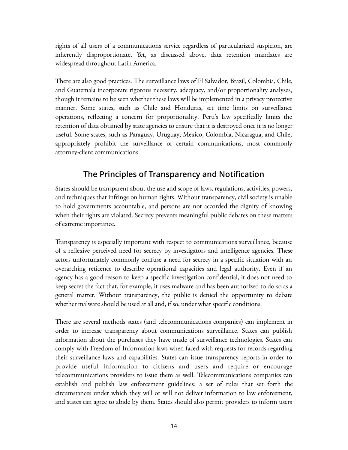rights of all users of a communications service regardless of particularized suspicion, are inherently disproportionate. Yet, as discussed above, data retention mandates are widespread throughout Latin America.

There are also good practices. The surveillance laws of El Salvador, Brazil, Colombia, Chile, and Guatemala incorporate rigorous necessity, adequacy, and/or proportionality analyses, though it remains to be seen whether these laws will be implemented in a privacy protective manner. Some states, such as Chile and Honduras, set time limits on surveillance operations, reflecting a concern for proportionality. Peru's law specifically limits the retention of data obtained by state agencies to ensure that it is destroyed once it is no longer useful. Some states, such as Paraguay, Uruguay, Mexico, Colombia, Nicaragua, and Chile, appropriately prohibit the surveillance of certain communications, most commonly attorney-client communications.

#### **The Principles of Transparency and Notification**

States should be transparent about the use and scope of laws, regulations, activities, powers, and techniques that infringe on human rights. Without transparency, civil society is unable to hold governments accountable, and persons are not accorded the dignity of knowing when their rights are violated. Secrecy prevents meaningful public debates on these matters of extreme importance.

Transparency is especially important with respect to communications surveillance, because of a reflexive perceived need for secrecy by investigators and intelligence agencies. These actors unfortunately commonly confuse a need for secrecy in a specific situation with an overarching reticence to describe operational capacities and legal authority. Even if an agency has a good reason to keep a specific investigation confidential, it does not need to keep secret the fact that, for example, it uses malware and has been authorized to do so as a general matter. Without transparency, the public is denied the opportunity to debate whether malware should be used at all and, if so, under what specific conditions.

There are several methods states (and telecommunications companies) can implement in order to increase transparency about communications surveillance. States can publish information about the purchases they have made of surveillance technologies. States can comply with Freedom of Information laws when faced with requests for records regarding their surveillance laws and capabilities. States can issue transparency reports in order to provide useful information to citizens and users and require or encourage telecommunications providers to issue them as well. Telecommunications companies can establish and publish law enforcement guidelines: a set of rules that set forth the circumstances under which they will or will not deliver information to law enforcement, and states can agree to abide by them. States should also permit providers to inform users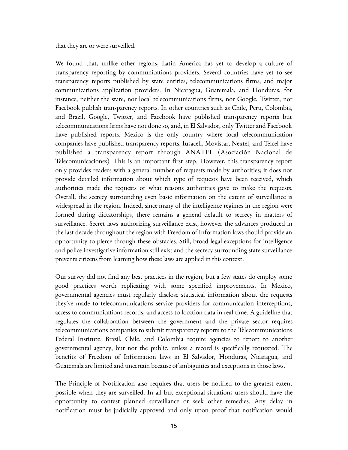that they are or were surveilled.

We found that, unlike other regions, Latin America has yet to develop a culture of transparency reporting by communications providers. Several countries have yet to see transparency reports published by state entities, telecommunications firms, and major communications application providers. In Nicaragua, Guatemala, and Honduras, for instance, neither the state, nor local telecommunications firms, nor Google, Twitter, nor Facebook publish transparency reports. In other countries such as Chile, Peru, Colombia, and Brazil, Google, Twitter, and Facebook have published transparency reports but telecommunications firms have not done so, and, in El Salvador, only Twitter and Facebook have published reports. Mexico is the only country where local telecommunication companies have published transparency reports. Iusacell, Movistar, Nextel, and Telcel have published a transparency report through ANATEL (Asociación Nacional de Telecomunicaciones). This is an important first step. However, this transparency report only provides readers with a general number of requests made by authorities; it does not provide detailed information about which type of requests have been received, which authorities made the requests or what reasons authorities gave to make the requests. Overall, the secrecy surrounding even basic information on the extent of surveillance is widespread in the region. Indeed, since many of the intelligence regimes in the region were formed during dictatorships, there remains a general default to secrecy in matters of surveillance. Secret laws authorizing surveillance exist, however the advances produced in the last decade throughout the region with Freedom of Information laws should provide an opportunity to pierce through these obstacles. Still, broad legal exceptions for intelligence and police investigative information still exist and the secrecy surrounding state surveillance prevents citizens from learning how these laws are applied in this context.

Our survey did not find any best practices in the region, but a few states do employ some good practices worth replicating with some specified improvements. In Mexico, governmental agencies must regularly disclose statistical information about the requests they've made to telecommunications service providers for communication interceptions, access to communications records, and access to location data in real time. A guideline that regulates the collaboration between the government and the private sector requires telecommunications companies to submit transparency reports to the Telecommunications Federal Institute. Brazil, Chile, and Colombia require agencies to report to another governmental agency, but not the public, unless a record is specifically requested. The benefits of Freedom of Information laws in El Salvador, Honduras, Nicaragua, and Guatemala are limited and uncertain because of ambiguities and exceptions in those laws.

The Principle of Notification also requires that users be notified to the greatest extent possible when they are surveilled. In all but exceptional situations users should have the opportunity to contest planned surveillance or seek other remedies. Any delay in notification must be judicially approved and only upon proof that notification would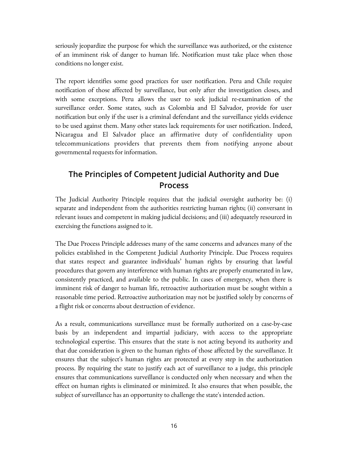seriously jeopardize the purpose for which the surveillance was authorized, or the existence of an imminent risk of danger to human life. Notification must take place when those conditions no longer exist.

The report identifies some good practices for user notification. Peru and Chile require notification of those affected by surveillance, but only after the investigation closes, and with some exceptions. Peru allows the user to seek judicial re-examination of the surveillance order. Some states, such as Colombia and El Salvador, provide for user notification but only if the user is a criminal defendant and the surveillance yields evidence to be used against them. Many other states lack requirements for user notification. Indeed, Nicaragua and El Salvador place an affirmative duty of confidentiality upon telecommunications providers that prevents them from notifying anyone about governmental requests for information.

#### **The Principles of Competent Judicial Authority and Due Process**

The Judicial Authority Principle requires that the judicial oversight authority be: (i) separate and independent from the authorities restricting human rights; (ii) conversant in relevant issues and competent in making judicial decisions; and (iii) adequately resourced in exercising the functions assigned to it.

The Due Process Principle addresses many of the same concerns and advances many of the policies established in the Competent Judicial Authority Principle. Due Process requires that states respect and guarantee individuals' human rights by ensuring that lawful procedures that govern any interference with human rights are properly enumerated in law, consistently practiced, and available to the public. In cases of emergency, when there is imminent risk of danger to human life, retroactive authorization must be sought within a reasonable time period. Retroactive authorization may not be justified solely by concerns of a flight risk or concerns about destruction of evidence.

As a result, communications surveillance must be formally authorized on a case-by-case basis by an independent and impartial judiciary, with access to the appropriate technological expertise. This ensures that the state is not acting beyond its authority and that due consideration is given to the human rights of those affected by the surveillance. It ensures that the subject's human rights are protected at every step in the authorization process. By requiring the state to justify each act of surveillance to a judge, this principle ensures that communications surveillance is conducted only when necessary and when the effect on human rights is eliminated or minimized. It also ensures that when possible, the subject of surveillance has an opportunity to challenge the state's intended action.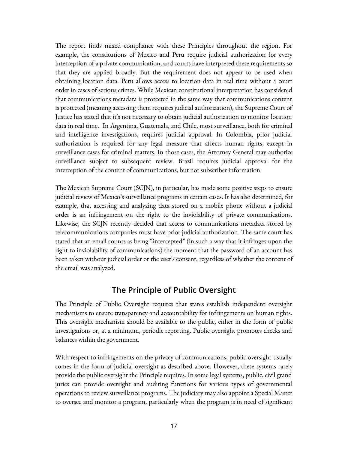The report finds mixed compliance with these Principles throughout the region. For example, the constitutions of Mexico and Peru require judicial authorization for every interception of a private communication, and courts have interpreted these requirements so that they are applied broadly. But the requirement does not appear to be used when obtaining location data. Peru allows access to location data in real time without a court order in cases of serious crimes. While Mexican constitutional interpretation has considered that communications metadata is protected in the same way that communications content is protected (meaning accessing them requires judicial authorization), the Supreme Court of Justice has stated that it's not necessary to obtain judicial authorization to monitor location data in real time. In Argentina, Guatemala, and Chile, most surveillance, both for criminal and intelligence investigations, requires judicial approval. In Colombia, prior judicial authorization is required for any legal measure that affects human rights, except in surveillance cases for criminal matters. In those cases, the Attorney General may authorize surveillance subject to subsequent review. Brazil requires judicial approval for the interception of the content of communications, but not subscriber information.

The Mexican Supreme Court (SCJN), in particular, has made some positive steps to ensure judicial review of Mexico's surveillance programs in certain cases. It has also determined, for example, that accessing and analyzing data stored on a mobile phone without a judicial order is an infringement on the right to the inviolability of private communications. Likewise, the SCJN recently decided that access to communications metadata stored by telecommunications companies must have prior judicial authorization. The same court has stated that an email counts as being "intercepted" (in such a way that it infringes upon the right to inviolability of communications) the moment that the password of an account has been taken without judicial order or the user's consent, regardless of whether the content of the email was analyzed.

#### **The Principle of Public Oversight**

The Principle of Public Oversight requires that states establish independent oversight mechanisms to ensure transparency and accountability for infringements on human rights. This oversight mechanism should be available to the public, either in the form of public investigations or, at a minimum, periodic reporting. Public oversight promotes checks and balances within the government.

With respect to infringements on the privacy of communications, public oversight usually comes in the form of judicial oversight as described above. However, these systems rarely provide the public oversight the Principle requires. In some legal systems, public, civil grand juries can provide oversight and auditing functions for various types of governmental operations to review surveillance programs. The judiciary may also appoint a Special Master to oversee and monitor a program, particularly when the program is in need of significant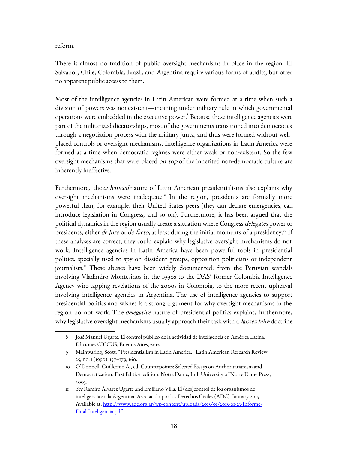reform.

There is almost no tradition of public oversight mechanisms in place in the region. El Salvador, Chile, Colombia, Brazil, and Argentina require various forms of audits, but offer no apparent public access to them.

Most of the intelligence agencies in Latin American were formed at a time when such a division of powers was nonexistent—meaning under military rule in which governmental operations were embedded in the executive power.<sup>[8](#page-17-0)</sup> Because these intelligence agencies were part of the militarized dictatorships, most of the governments transitioned into democracies through a negotiation process with the military junta, and thus were formed without wellplaced controls or oversight mechanisms. Intelligence organizations in Latin America were formed at a time when democratic regimes were either weak or non-existent. So the few oversight mechanisms that were placed *on top* of the inherited non-democratic culture are inherently ineffective.

Furthermore, the enhanced nature of Latin American presidentialisms also explains why oversight mechanisms were inadequate.<sup>[9](#page-17-1)</sup> In the region, presidents are formally more powerful than, for example, their United States peers (they can declare emergencies, can introduce legislation in Congress, and so on). Furthermore, it has been argued that the political dynamics in the region usually create a situation where Congress *delegates* power to presidents, either *de jure* or *de facto*, at least during the initial moments of a presidency.<sup>[10](#page-17-2)</sup> If these analyses are correct, they could explain why legislative oversight mechanisms do not work. Intelligence agencies in Latin America have been powerful tools in presidential politics, specially used to spy on dissident groups, opposition politicians or independent journalists.<sup>[11](#page-17-3)</sup> These abuses have been widely documented: from the Peruvian scandals involving Vladimiro Montesinos in the 1990s to the DAS' former Colombia Intelligence Agency wire-tapping revelations of the 2000s in Colombia, to the more recent upheaval involving intelligence agencies in Argentina. The use of intelligence agencies to support presidential politics and wishes is a strong argument for why oversight mechanisms in the region do not work. The *delegative* nature of presidential politics explains, furthermore, why legislative oversight mechanisms usually approach their task with a *laissez faire* doctrine

<span id="page-17-0"></span><sup>8</sup> José Manuel Ugarte. El control público de la actividad de inteligencia en América Latina. Ediciones CICCUS, Buenos Aires, 2012.

<span id="page-17-1"></span><sup>9</sup> Mainwaring, Scott. "Presidentialism in Latin America." Latin American Research Review 25, no. 1 (1990): 157–179, 160.

<span id="page-17-2"></span><sup>10</sup> O'Donnell, Guillermo A., ed. Counterpoints: Selected Essays on Authoritarianism and Democratization. First Edition edition. Notre Dame, Ind: University of Notre Dame Press, 2003.

<span id="page-17-3"></span><sup>11</sup> See Ramiro Álvarez Ugarte and Emiliano Villa. El (des)control de los organismos de inteligencia en la Argentina. Asociación por los Derechos Civiles (ADC). January 2015. Available at: [http://www.adc.org.ar/wp-content/uploads/2015/01/2015-01-23-Informe-](http://www.adc.org.ar/wp-content/uploads/2015/01/2015-01-23-Informe-Final-Inteligencia.pdf)[Final-Inteligencia.pdf](http://www.adc.org.ar/wp-content/uploads/2015/01/2015-01-23-Informe-Final-Inteligencia.pdf)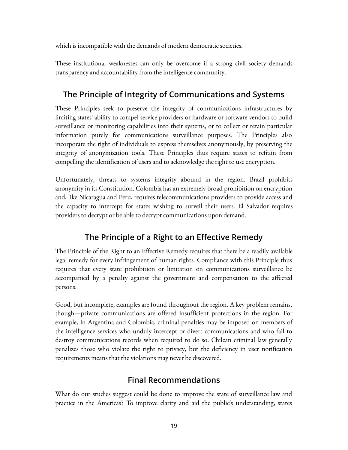which is incompatible with the demands of modern democratic societies.

These institutional weaknesses can only be overcome if a strong civil society demands transparency and accountability from the intelligence community.

### **The Principle of Integrity of Communications and Systems**

These Principles seek to preserve the integrity of communications infrastructures by limiting states' ability to compel service providers or hardware or software vendors to build surveillance or monitoring capabilities into their systems, or to collect or retain particular information purely for communications surveillance purposes. The Principles also incorporate the right of individuals to express themselves anonymously, by preserving the integrity of anonymization tools. These Principles thus require states to refrain from compelling the identification of users and to acknowledge the right to use encryption.

Unfortunately, threats to systems integrity abound in the region. Brazil prohibits anonymity in its Constitution. Colombia has an extremely broad prohibition on encryption and, like Nicaragua and Peru, requires telecommunications providers to provide access and the capacity to intercept for states wishing to surveil their users. El Salvador requires providers to decrypt or be able to decrypt communications upon demand.

## **The Principle of a Right to an Effective Remedy**

The Principle of the Right to an Effective Remedy requires that there be a readily available legal remedy for every infringement of human rights. Compliance with this Principle thus requires that every state prohibition or limitation on communications surveillance be accompanied by a penalty against the government and compensation to the affected persons.

Good, but incomplete, examples are found throughout the region. A key problem remains, though—private communications are offered insufficient protections in the region. For example, in Argentina and Colombia, criminal penalties may be imposed on members of the intelligence services who unduly intercept or divert communications and who fail to destroy communications records when required to do so. Chilean criminal law generally penalizes those who violate the right to privacy, but the deficiency in user notification requirements means that the violations may never be discovered.

#### **Final Recommendations**

What do our studies suggest could be done to improve the state of surveillance law and practice in the Americas? To improve clarity and aid the public's understanding, states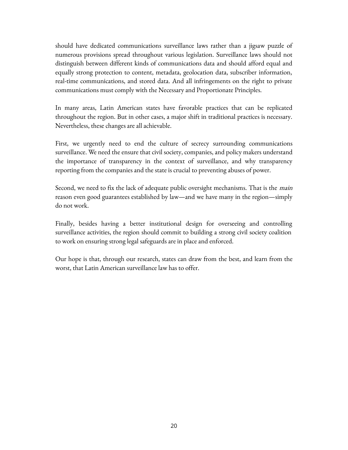should have dedicated communications surveillance laws rather than a jigsaw puzzle of numerous provisions spread throughout various legislation. Surveillance laws should not distinguish between different kinds of communications data and should afford equal and equally strong protection to content, metadata, geolocation data, subscriber information, real-time communications, and stored data. And all infringements on the right to private communications must comply with the Necessary and Proportionate Principles.

In many areas, Latin American states have favorable practices that can be replicated throughout the region. But in other cases, a major shift in traditional practices is necessary. Nevertheless, these changes are all achievable.

First, we urgently need to end the culture of secrecy surrounding communications surveillance. We need the ensure that civil society, companies, and policy makers understand the importance of transparency in the context of surveillance, and why transparency reporting from the companies and the state is crucial to preventing abuses of power.

Second, we need to fix the lack of adequate public oversight mechanisms. That is the *main* reason even good guarantees established by law—and we have many in the region—simply do not work.

Finally, besides having a better institutional design for overseeing and controlling surveillance activities, the region should commit to building a strong civil society coalition to work on ensuring strong legal safeguards are in place and enforced.

Our hope is that, through our research, states can draw from the best, and learn from the worst, that Latin American surveillance law has to offer.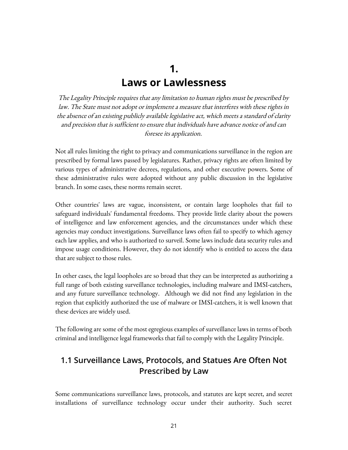## <span id="page-20-1"></span><span id="page-20-0"></span>**1. Laws or Lawlessness**

The Legality Principle requires that any limitation to human rights must be prescribed by law. The State must not adopt or implement a measure that interferes with these rights in the absence of an existing publicly available legislative act, which meets a standard of clarity and precision that is sufficient to ensure that individuals have advance notice of and can foresee its application.

Not all rules limiting the right to privacy and communications surveillance in the region are prescribed by formal laws passed by legislatures. Rather, privacy rights are often limited by various types of administrative decrees, regulations, and other executive powers. Some of these administrative rules were adopted without any public discussion in the legislative branch. In some cases, these norms remain secret.

Other countries' laws are vague, inconsistent, or contain large loopholes that fail to safeguard individuals' fundamental freedoms. They provide little clarity about the powers of intelligence and law enforcement agencies, and the circumstances under which these agencies may conduct investigations. Surveillance laws often fail to specify to which agency each law applies, and who is authorized to surveil. Some laws include data security rules and impose usage conditions. However, they do not identify who is entitled to access the data that are subject to those rules.

In other cases, the legal loopholes are so broad that they can be interpreted as authorizing a full range of both existing surveillance technologies, including malware and IMSI-catchers, and any future surveillance technology. Although we did not find any legislation in the region that explicitly authorized the use of malware or IMSI-catchers, it is well known that these devices are widely used.

The following are some of the most egregious examples of surveillance laws in terms of both criminal and intelligence legal frameworks that fail to comply with the Legality Principle.

#### **1.1 Surveillance Laws, Protocols, and Statues Are Often Not Prescribed by Law**

Some communications surveillance laws, protocols, and statutes are kept secret, and secret installations of surveillance technology occur under their authority. Such secret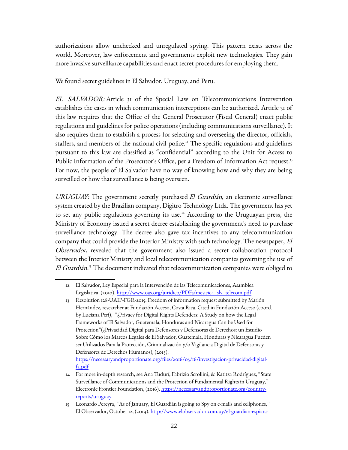authorizations allow unchecked and unregulated spying. This pattern exists across the world. Moreover, law enforcement and governments exploit new technologies. They gain more invasive surveillance capabilities and enact secret procedures for employing them.

We found secret guidelines in El Salvador, Uruguay, and Peru.

EL SALVADOR: Article 31 of the Special Law on Telecommunications Intervention establishes the cases in which communication interceptions can be authorized. Article 31 of this law requires that the Office of the General Prosecutor (Fiscal General) enact public regulations and guidelines for police operations (including communications surveillance). It also requires them to establish a process for selecting and overseeing the director, officials, staffers, and members of the national civil police.<sup>[12](#page-21-0)</sup> The specific regulations and guidelines pursuant to this law are classified as "confidential" according to the Unit for Access to Public Information of the Prosecutor's Office, per a Freedom of Information Act request.<sup>[13](#page-21-1)</sup> For now, the people of El Salvador have no way of knowing how and why they are being surveilled or how that surveillance is being overseen.

URUGUAY: The government secretly purchased  $El$  Guardián, an electronic surveillance system created by the Brazilian company, Digitro Technology Ltda. The government has yet to set any public regulations governing its use.<sup>[14](#page-21-2)</sup> According to the Uruguayan press, the Ministry of Economy issued a secret decree establishing the government's need to purchase surveillance technology. The decree also gave tax incentives to any telecommunication company that could provide the Interior Ministry with such technology. The newspaper, *El* Observador, revealed that the government also issued a secret collaboration protocol between the Interior Ministry and local telecommunication companies governing the use of El Guardián.<sup>[15](#page-21-3)</sup> The document indicated that telecommunication companies were obliged to

[https://necessaryandproportionate.org/files/2016/05/16/investigacion-privacidad-digital](https://necessaryandproportionate.org/files/2016/05/16/investigacion-privacidad-digital-fa.pdf)[fa.pdf](https://necessaryandproportionate.org/files/2016/05/16/investigacion-privacidad-digital-fa.pdf)

<span id="page-21-0"></span><sup>12</sup> El Salvador, Ley Especial para la Intervención de las Telecomunicaciones, Asamblea Legislativa, (2010). [http://www.oas.org/juridico/PDFs/mesicic4\\_slv\\_telecom.pdf](http://www.oas.org/juridico/PDFs/mesicic4_slv_telecom.pdf)

<span id="page-21-1"></span><sup>13</sup> Resolution 128-UAIP-FGR-2015. Freedom of information request submitted by Marlón Hernández, researcher at Fundación Acceso, Costa Rica. Cited in Fundación Acceso (coord. by Luciana Peri), "¿Privacy for Digital Rights Defenders: A Study on how the Legal Frameworks of El Salvador, Guatemala, Honduras and Nicaragua Can be Used for Protection"(¿Privacidad Digital para Defensores y Defensoras de Derechos: un Estudio Sobre Cómo los Marcos Legales de El Salvador, Guatemala, Honduras y Nicaragua Pueden ser Utilizados Para la Protección, Criminalización y/o Vigilancia Digital de Defensoras y Defensores de Derechos Humanos), (2015).

<span id="page-21-2"></span><sup>14</sup> For more in-depth research, see Ana Tudurí, Fabrizio Scrollini, & Katitza Rodríguez, "State Surveillance of Communications and the Protection of Fundamental Rights in Uruguay," Electronic Frontier Foundation, (2016). [https://necessaryandproportionate.org/country](https://necessaryandproportionate.org/country-reports/uruguay)[reports/uruguay](https://necessaryandproportionate.org/country-reports/uruguay)

<span id="page-21-3"></span><sup>15</sup> Leonardo Pereyra, "As of January, El Guardián is going to Spy on e-mails and cellphones," El Observador, October 12, (2014). [http://www.elobservador.com.uy/el-guardian-espiara-](http://www.elobservador.com.uy/el-guardian-espiara-enero-mails-y-celulares-n289757)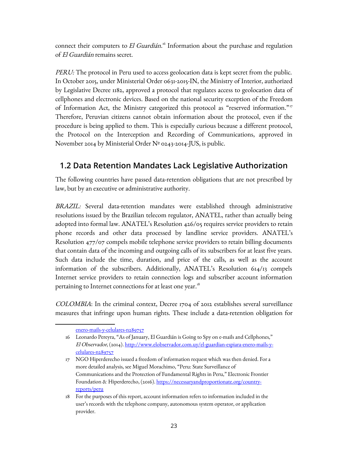connect their computers to El Guardián.<sup>[16](#page-22-0)</sup> Information about the purchase and regulation of El Guardián remains secret.

PERU: The protocol in Peru used to access geolocation data is kept secret from the public. In October 2015, under Ministerial Order 0631-2015-IN, the Ministry of Interior, authorized by Legislative Decree 1182, approved a protocol that regulates access to geolocation data of cellphones and electronic devices. Based on the national security exception of the Freedom of Information Act, the Ministry categorized this protocol as "reserved information."<sup>[17](#page-22-1)</sup> Therefore, Peruvian citizens cannot obtain information about the protocol, even if the procedure is being applied to them. This is especially curious because a different protocol, the Protocol on the Interception and Recording of Communications, approved in November 2014 by Ministerial Order Nº 0243-2014-JUS, is public.

#### **1.2 Data Retention Mandates Lack Legislative Authorization**

The following countries have passed data-retention obligations that are not prescribed by law, but by an executive or administrative authority.

BRAZIL: Several data-retention mandates were established through administrative resolutions issued by the Brazilian telecom regulator, ANATEL, rather than actually being adopted into formal law. ANATEL's Resolution 426/05 requires service providers to retain phone records and other data processed by landline service providers. ANATEL's Resolution 477/07 compels mobile telephone service providers to retain billing documents that contain data of the incoming and outgoing calls of its subscribers for at least five years. Such data include the time, duration, and price of the calls, as well as the account information of the subscribers. Additionally, ANATEL's Resolution 614/13 compels Internet service providers to retain connection logs and subscriber account information pertaining to Internet connections for at least one year.<sup>[18](#page-22-2)</sup>

COLOMBIA: In the criminal context, Decree 1704 of 2012 establishes several surveillance measures that infringe upon human rights. These include a data-retention obligation for

<span id="page-22-0"></span>[enero-mails-y-celulares-n289757](http://www.elobservador.com.uy/el-guardian-espiara-enero-mails-y-celulares-n289757)

<sup>16</sup> Leonardo Pereyra, "As of January, El Guardián is Going to Spy on e-mails and Cellphones," El Observador, (2014). [http://www .elobservador .com .uy /el -guardian -espiara -enero -mails -y](http://www.elobservador.com.uy/el-guardian-espiara-enero-mails-y-celulares-n289757)celulares-n289757

<span id="page-22-1"></span><sup>17</sup> NGO Hiperderecho issued a freedom of information request which was then denied. For a more detailed analysis, see Miguel Morachimo, "Peru: State Surveillance of Communications and the Protection of Fundamental Rights in Peru," Electronic Frontier Foundation & Hiperderecho, (2016). [https://necessaryandproportionate.org/country](https://necessaryandproportionate.org/country-reports/peru)[reports/peru](https://necessaryandproportionate.org/country-reports/peru)

<span id="page-22-2"></span><sup>18</sup> For the purposes of this report, account information refers to information included in the user's records with the telephone company, autonomous system operator, or application provider.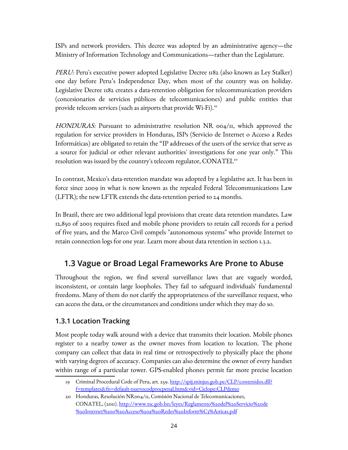ISPs and network providers. This decree was adopted by an administrative agency—the Ministry of Information Technology and Communications—rather than the Legislature.

PERU: Peru's executive power adopted Legislative Decree 1182 (also known as Ley Stalker) one day before Peru's Independence Day, when most of the country was on holiday. Legislative Decree 1182 creates a data-retention obligation for telecommunication providers (concesionarios de servicios públicos de telecomunicaciones) and public entities that provide telecom services (such as airports that provide Wi-Fi).<sup>[19](#page-23-0)</sup>

HONDURAS: Pursuant to administrative resolution NR 004/11, which approved the regulation for service providers in Honduras, ISPs (Servicio de Internet o Acceso a Redes Informáticas) are obligated to retain the "IP addresses of the users of the service that serve as a source for judicial or other relevant authorities' investigations for one year only." This resolution was issued by the country's telecom regulator,  $\mathrm{CONATEL}^{\mathrm{20}}$  $\mathrm{CONATEL}^{\mathrm{20}}$  $\mathrm{CONATEL}^{\mathrm{20}}$ 

In contrast, Mexico's data-retention mandate was adopted by a legislative act. It has been in force since 2009 in what is now known as the repealed Federal Telecommunications Law (LFTR); the new LFTR extends the data-retention period to 24 months.

In Brazil, there are two additional legal provisions that create data retention mandates. Law 12,850 of 2003 requires fixed and mobile phone providers to retain call records for a period of five years, and the Marco Civil compels "autonomous systems" who provide Internet to retain connection logs for one year. Learn more about data retention in section 1.3.2.

#### **1.3 Vague or Broad Legal Frameworks Are Prone to Abuse**

Throughout the region, we find several surveillance laws that are vaguely worded, inconsistent, or contain large loopholes. They fail to safeguard individuals' fundamental freedoms. Many of them do not clarify the appropriateness of the surveillance request, who can access the data, or the circumstances and conditions under which they may do so.

#### **1.3.1 Location Tracking**

Most people today walk around with a device that transmits their location. Mobile phones register to a nearby tower as the owner moves from location to location. The phone company can collect that data in real time or retrospectively to physically place the phone with varying degrees of accuracy. Companies can also determine the owner of every handset within range of a particular tower. GPS-enabled phones permit far more precise location

<span id="page-23-0"></span><sup>19</sup> Criminal Procedural Code of Peru, art. 259. [http://spij.minjus.gob.pe/CLP/contenidos.dll?](http://spij.minjus.gob.pe/CLP/contenidos.dll?f=templates&fn=default-nuevocodprocpenal.htm&vid=Ciclope:CLPdemo) [f=templates&fn=default-nuevocodprocpenal.htm&vid=Ciclope:CLPdemo](http://spij.minjus.gob.pe/CLP/contenidos.dll?f=templates&fn=default-nuevocodprocpenal.htm&vid=Ciclope:CLPdemo)

<span id="page-23-1"></span><sup>20</sup> Honduras, Resolución NR004/11, Comisión Nacional de Telecomunicaciones, CONATEL, (2011). [http://www.tsc.gob.hn/leyes/Reglamento%20del%20Servicio%20de](http://www.tsc.gob.hn/leyes/Reglamento%20del%20Servicio%20de%20Internet%20o%20Acceso%20a%20Redes%20Inform%C3%A1ticas.pdf) [%20Internet%20o%20Acceso%20a%20Redes%20Inform%C3%A1ticas.pdf](http://www.tsc.gob.hn/leyes/Reglamento%20del%20Servicio%20de%20Internet%20o%20Acceso%20a%20Redes%20Inform%C3%A1ticas.pdf)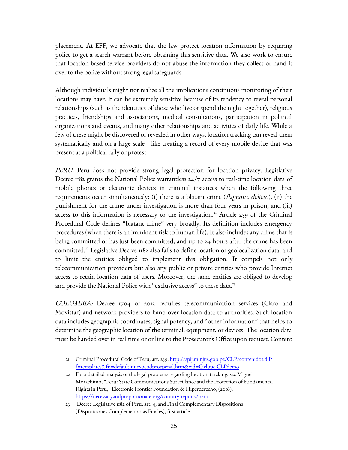placement. At EFF, we advocate that the law protect location information by requiring police to get a search warrant before obtaining this sensitive data. We also work to ensure that location-based service providers do not abuse the information they collect or hand it over to the police without strong legal safeguards.

Although individuals might not realize all the implications continuous monitoring of their locations may have, it can be extremely sensitive because of its tendency to reveal personal relationships (such as the identities of those who live or spend the night together), religious practices, friendships and associations, medical consultations, participation in political organizations and events, and many other relationships and activities of daily life. While a few of these might be discovered or revealed in other ways, location tracking can reveal them systematically and on a large scale—like creating a record of every mobile device that was present at a political rally or protest.

PERU: Peru does not provide strong legal protection for location privacy. Legislative Decree 1182 grants the National Police warrantless 24/7 access to real-time location data of mobile phones or electronic devices in criminal instances when the following three requirements occur simultaneously: (i) there is a blatant crime (*flagrante delicto*), (ii) the punishment for the crime under investigation is more than four years in prison, and (iii) access to this information is necessary to the investigation.<sup>[21](#page-24-0)</sup> Article 259 of the Criminal Procedural Code defines "blatant crime" very broadly. Its definition includes emergency procedures (when there is an imminent risk to human life). It also includes any crime that is being committed or has just been committed, and up to 24 hours after the crime has been committed.<sup>[22](#page-24-1)</sup> Legislative Decree 1182 also fails to define location or geolocalization data, and to limit the entities obliged to implement this obligation. It compels not only telecommunication providers but also any public or private entities who provide Internet access to retain location data of users. Moreover, the same entities are obliged to develop and provide the National Police with "exclusive access" to these data.<sup>[23](#page-24-2)</sup>

COLOMBIA: Decree 1704 of 2012 requires telecommunication services (Claro and Movistar) and network providers to hand over location data to authorities. Such location data includes geographic coordinates, signal potency, and "other information" that helps to determine the geographic location of the terminal, equipment, or devices. The location data must be handed over in real time or online to the Prosecutor's Office upon request. Content

<span id="page-24-1"></span>22 For a detailed analysis of the legal problems regarding location tracking, see Miguel Morachimo, "Peru: State Communications Surveillance and the Protection of Fundamental Rights in Peru," Electronic Frontier Foundation & Hiperderecho, (2016). <https://necessaryandproportionate.org/country-reports/peru>

<span id="page-24-0"></span><sup>21</sup> Criminal Procedural Code of Peru, art. 259. [http://spij.minjus.gob.pe/CLP/contenidos.dll?](http://spij.minjus.gob.pe/CLP/contenidos.dll?f=templates&fn=default-nuevocodprocpenal.htm&vid=Ciclope:CLPdemo) [f=templates&fn=default-nuevocodprocpenal.htm&vid=Ciclope:CLPdemo](http://spij.minjus.gob.pe/CLP/contenidos.dll?f=templates&fn=default-nuevocodprocpenal.htm&vid=Ciclope:CLPdemo)

<span id="page-24-2"></span><sup>23</sup> Decree Legislative 1182 of Peru, art. 4, and Final Complementary Dispositions (Disposiciones Complementarias Finales), first article.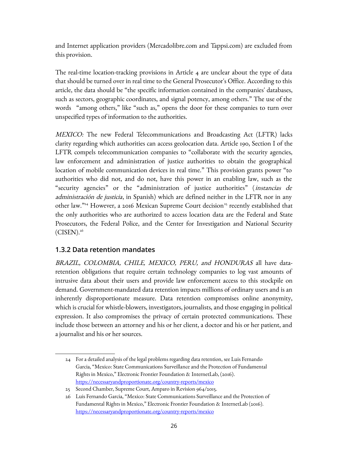and Internet application providers (Mercadolibre.com and Tappsi.com) are excluded from this provision.

The real-time location-tracking provisions in Article 4 are unclear about the type of data that should be turned over in real time to the General Prosecutor's Office. According to this article, the data should be "the specific information contained in the companies' databases, such as sectors, geographic coordinates, and signal potency, among others." The use of the words "among others," like "such as," opens the door for these companies to turn over unspecified types of information to the authorities.

MEXICO: The new Federal Telecommunications and Broadcasting Act (LFTR) lacks clarity regarding which authorities can access geolocation data. Article 190, Section I of the LFTR compels telecommunication companies to "collaborate with the security agencies, law enforcement and administration of justice authorities to obtain the geographical location of mobile communication devices in real time." This provision grants power "to authorities who did not, and do not, have this power in an enabling law, such as the "security agencies" or the "administration of justice authorities" (instancias de administración de justicia, in Spanish) which are defined neither in the LFTR nor in any other law."<sup>[24](#page-25-0)</sup> However, a 2016 Mexican Supreme Court decision<sup>[25](#page-25-1)</sup> recently established that the only authorities who are authorized to access location data are the Federal and State Prosecutors, the Federal Police, and the Center for Investigation and National Security  $(CISEN).<sup>26</sup>$  $(CISEN).<sup>26</sup>$  $(CISEN).<sup>26</sup>$ 

#### **1.3.2 Data retention mandates**

BRAZIL, COLOMBIA, CHILE, MEXICO, PERU, and HONDURAS all have dataretention obligations that require certain technology companies to log vast amounts of intrusive data about their users and provide law enforcement access to this stockpile on demand. Government-mandated data retention impacts millions of ordinary users and is an inherently disproportionate measure. Data retention compromises online anonymity, which is crucial for whistle-blowers, investigators, journalists, and those engaging in political expression. It also compromises the privacy of certain protected communications. These include those between an attorney and his or her client, a doctor and his or her patient, and a journalist and his or her sources.

<span id="page-25-0"></span><sup>24</sup> For a detailed analysis of the legal problems regarding data retention, see Luis Fernando Garcia, "Mexico: State Communications Surveillance and the Protection of Fundamental Rights in Mexico," Electronic Frontier Foundation & InternetLab, (2016). <https://necessaryandproportionate.org/country-reports/mexico>

<span id="page-25-1"></span><sup>25</sup> Second Chamber, Supreme Court, Amparo in Revision 964/2015.

<span id="page-25-2"></span><sup>26</sup> Luis Fernando Garcia, "Mexico: State Communications Surveillance and the Protection of Fundamental Rights in Mexico," Electronic Frontier Foundation & InternetLab (2016). <https://necessaryandproportionate.org/country-reports/mexico>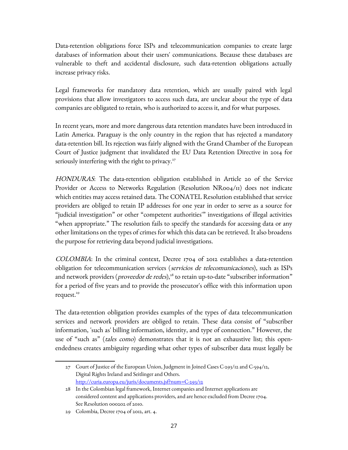Data-retention obligations force ISPs and telecommunication companies to create large databases of information about their users' communications. Because these databases are vulnerable to theft and accidental disclosure, such data-retention obligations actually increase privacy risks.

Legal frameworks for mandatory data retention, which are usually paired with legal provisions that allow investigators to access such data, are unclear about the type of data companies are obligated to retain, who is authorized to access it, and for what purposes.

In recent years, more and more dangerous data retention mandates have been introduced in Latin America. Paraguay is the only country in the region that has rejected a mandatory data-retention bill. Its rejection was fairly aligned with the Grand Chamber of the European Court of Justice judgment that invalidated the EU Data Retention Directive in 2014 for seriously interfering with the right to privacy. $27$ 

HONDURAS: The data-retention obligation established in Article 20 of the Service Provider or Access to Networks Regulation (Resolution  $NRoo_4/\pi$ ) does not indicate which entities may access retained data. The CONATEL Resolution established that service providers are obliged to retain IP addresses for one year in order to serve as a source for "judicial investigation" or other "competent authorities'" investigations of illegal activities "when appropriate." The resolution fails to specify the standards for accessing data or any other limitations on the types of crimes for which this data can be retrieved. It also broadens the purpose for retrieving data beyond judicial investigations.

COLOMBIA: In the criminal context, Decree 1704 of 2012 establishes a data-retention obligation for telecommunication services (servicios de telecomunicaciones), such as ISPs and network providers (*proveedor de redes*),<sup>[28](#page-26-1)</sup> to retain up-to-date "subscriber information" for a period of five years and to provide the prosecutor's office with this information upon request.<sup>[29](#page-26-2)</sup>

The data-retention obligation provides examples of the types of data telecommunication services and network providers are obliged to retain. These data consist of "subscriber information, 'such as' billing information, identity, and type of connection." However, the use of "such as" (tales como) demonstrates that it is not an exhaustive list; this openendedness creates ambiguity regarding what other types of subscriber data must legally be

<span id="page-26-0"></span><sup>27</sup> Court of Justice of the European Union, Judgment in Joined Cases C-293/12 and C-594/12, Digital Rights Ireland and Seitlinger and Others. <http://curia.europa.eu/juris/documents.jsf?num=C-293/12>

<span id="page-26-1"></span><sup>28</sup> In the Colombian legal framework, Internet companies and Internet applications are considered content and applications providers, and are hence excluded from Decree 1704. See Resolution 000202 of 2010.

<span id="page-26-2"></span><sup>29</sup> Colombia, Decree 1704 of 2012, art. 4.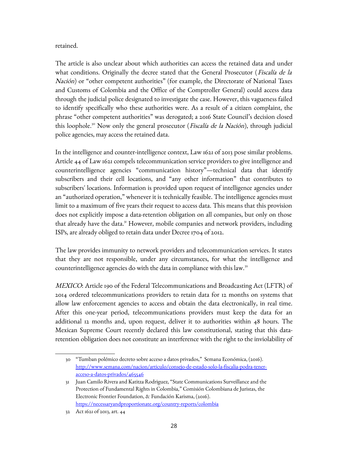#### retained.

The article is also unclear about which authorities can access the retained data and under what conditions. Originally the decree stated that the General Prosecutor (*Fiscalía de la* Nación) or "other competent authorities" (for example, the Directorate of National Taxes and Customs of Colombia and the Office of the Comptroller General) could access data through the judicial police designated to investigate the case. However, this vagueness failed to identify specifically who these authorities were. As a result of a citizen complaint, the phrase "other competent authorities" was derogated; a 2016 State Council's decision closed this loophole.<sup>[30](#page-27-0)</sup> Now only the general prosecutor (*Fiscalía de la Nación*), through judicial police agencies, may access the retained data.

In the intelligence and counter-intelligence context, Law 1621 of 2013 pose similar problems. Article 44 of Law 1621 compels telecommunication service providers to give intelligence and counterintelligence agencies "communication history"—technical data that identify subscribers and their cell locations, and "any other information" that contributes to subscribers' locations. Information is provided upon request of intelligence agencies under an "authorized operation," whenever it is technically feasible. The intelligence agencies must limit to a maximum of five years their request to access data. This means that this provision does not explicitly impose a data-retention obligation on all companies, but only on those that already have the data.<sup>[31](#page-27-1)</sup> However, mobile companies and network providers, including ISPs, are already obliged to retain data under Decree 1704 of 2012.

The law provides immunity to network providers and telecommunication services. It states that they are not responsible, under any circumstances, for what the intelligence and counterintelligence agencies do with the data in compliance with this law.<sup>[32](#page-27-2)</sup>

*MEXICO*: Article 190 of the Federal Telecommunications and Broadcasting Act (LFTR) of 2014 ordered telecommunications providers to retain data for 12 months on systems that allow law enforcement agencies to access and obtain the data electronically, in real time. After this one-year period, telecommunications providers must keep the data for an additional 12 months and, upon request, deliver it to authorities within 48 hours. The Mexican Supreme Court recently declared this law constitutional, stating that this dataretention obligation does not constitute an interference with the right to the inviolability of

<span id="page-27-0"></span><sup>30</sup> "Tumban polémico decreto sobre acceso a datos privados," Semana Económica, (2016). [http://www.semana.com/nacion/articulo/consejo-de-estado-solo-la-fiscalia-podra-tener](http://www.semana.com/nacion/articulo/consejo-de-estado-solo-la-fiscalia-podra-tener-acceso-a-datos-privados/465546)[acceso-a-datos-privados/465546](http://www.semana.com/nacion/articulo/consejo-de-estado-solo-la-fiscalia-podra-tener-acceso-a-datos-privados/465546)

<span id="page-27-1"></span><sup>31</sup> Juan Camilo Rivera and Katitza Rodriguez, "State Communications Surveillance and the Protection of Fundamental Rights in Colombia," Comisión Colombiana de Juristas, the Electronic Frontier Foundation, & Fundación Karisma, (2016). <https://necessaryandproportionate.org/country-reports/colombia>

<span id="page-27-2"></span><sup>32</sup> Act 1621 of 2013, art. 44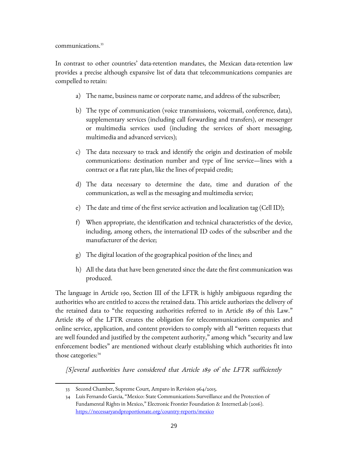communications.<sup>[33](#page-28-0)</sup>

In contrast to other countries' data-retention mandates, the Mexican data-retention law provides a precise although expansive list of data that telecommunications companies are compelled to retain:

- a) The name, business name or corporate name, and address of the subscriber;
- b) The type of communication (voice transmissions, voicemail, conference, data), supplementary services (including call forwarding and transfers), or messenger or multimedia services used (including the services of short messaging, multimedia and advanced services);
- c) The data necessary to track and identify the origin and destination of mobile communications: destination number and type of line service—lines with a contract or a flat rate plan, like the lines of prepaid credit;
- d) The data necessary to determine the date, time and duration of the communication, as well as the messaging and multimedia service;
- e) The date and time of the first service activation and localization tag (Cell ID);
- f) When appropriate, the identification and technical characteristics of the device, including, among others, the international ID codes of the subscriber and the manufacturer of the device;
- g) The digital location of the geographical position of the lines; and
- h) All the data that have been generated since the date the first communication was produced.

The language in Article 190, Section III of the LFTR is highly ambiguous regarding the authorities who are entitled to access the retained data. This article authorizes the delivery of the retained data to "the requesting authorities referred to in Article 189 of this Law." Article 189 of the LFTR creates the obligation for telecommunications companies and online service, application, and content providers to comply with all "written requests that are well founded and justified by the competent authority," among which "security and law enforcement bodies" are mentioned without clearly establishing which authorities fit into those categories:<sup>[34](#page-28-1)</sup>

[S]everal authorities have considered that Article 189 of the LFTR sufficiently

<span id="page-28-0"></span><sup>33</sup> Second Chamber, Supreme Court, Amparo in Revision 964/2015.

<span id="page-28-1"></span><sup>34</sup> Luis Fernando Garcia, "Mexico: State Communications Surveillance and the Protection of Fundamental Rights in Mexico," Electronic Frontier Foundation & InternetLab (2016). <https://necessaryandproportionate.org/country-reports/mexico>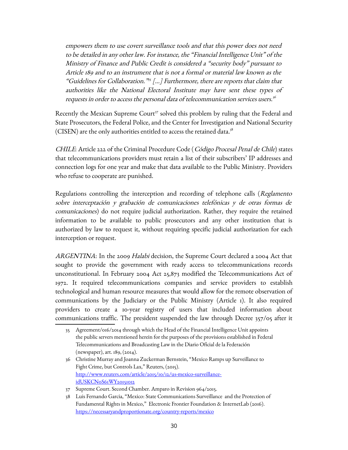empowers them to use covert surveillance tools and that this power does not need to be detailed in any other law. For instance, the "Financial Intelligence Unit" of the Ministry of Finance and Public Credit is considered a "security body" pursuant to Article 189 and to an instrument that is not a formal or material law known as the "Guidelines for Collaboration." [35](#page-29-0) […] Furthermore, there are reports that claim that authorities like the National Electoral Institute may have sent these types of requests in order to access the personal data of telecommunication services users.<sup>[36](#page-29-1)</sup>

Recently the Mexican Supreme Court<sup>[37](#page-29-2)</sup> solved this problem by ruling that the Federal and State Prosecutors, the Federal Police, and the Center for Investigation and National Security (CISEN) are the only authorities entitled to access the retained data. $3^8$ 

CHILE: Article 222 of the Criminal Procedure Code (Código Procesal Penal de Chile) states that telecommunications providers must retain a list of their subscribers' IP addresses and connection logs for one year and make that data available to the Public Ministry. Providers who refuse to cooperate are punished.

Regulations controlling the interception and recording of telephone calls (Reglamento sobre interceptación y grabación de comunicaciones telefónicas y de otras formas de comunicaciones) do not require judicial authorization. Rather, they require the retained information to be available to public prosecutors and any other institution that is authorized by law to request it, without requiring specific judicial authorization for each interception or request.

ARGENTINA: In the 2009 Halabi decision, the Supreme Court declared a 2004 Act that sought to provide the government with ready access to telecommunications records unconstitutional. In February 2004 Act 25,873 modified the Telecommunications Act of 1972. It required telecommunications companies and service providers to establish technological and human resource measures that would allow for the remote observation of communications by the Judiciary or the Public Ministry (Article 1). It also required providers to create a 10-year registry of users that included information about communications traffic. The president suspended the law through Decree 357/05 after it

<span id="page-29-0"></span><sup>35</sup> Agreement/016/2014 through which the Head of the Financial Intelligence Unit appoints the public servers mentioned herein for the purposes of the provisions established in Federal Telecommunications and Broadcasting Law in the Diario Oficial de la Federación (newspaper), art. 189, (2014).

<span id="page-29-1"></span><sup>36</sup> Christine Murray and Joanna Zuckerman Bernstein, "Mexico Ramps up Surveillance to Fight Crime, but Controls Lax," Reuters, (2015). [http://www.reuters.com/article/2015/10/12/us-mexico-surveillance](http://www.reuters.com/article/2015/10/12/us-mexico-surveillance-idUSKCN0S61WY20151012)idUSKCNoS61WY20151012

<span id="page-29-2"></span><sup>37</sup> Supreme Court. Second Chamber. Amparo in Revision 964/2015.

<span id="page-29-3"></span><sup>38</sup> Luis Fernando Garcia, "Mexico: State Communications Surveillance and the Protection of Fundamental Rights in Mexico," Electronic Frontier Foundation & InternetLab (2016). <https://necessaryandproportionate.org/country-reports/mexico>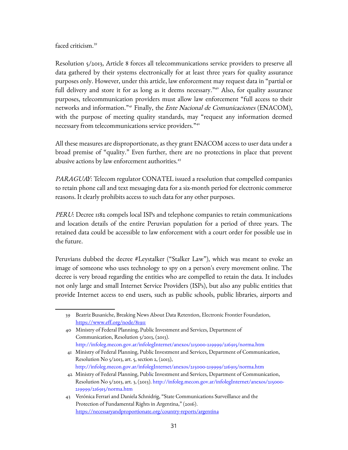faced criticism.<sup>[39](#page-30-0)</sup>

Resolution 5/2013, Article 8 forces all telecommunications service providers to preserve all data gathered by their systems electronically for at least three years for quality assurance purposes only. However, under this article, law enforcement may request data in "partial or full delivery and store it for as long as it deems necessary."<sup>[40](#page-30-1)</sup> Also, for quality assurance purposes, telecommunication providers must allow law enforcement "full access to their networks and information."<sup>[41](#page-30-2)</sup> Finally, the *Ente Nacional de Comunicaciones* (ENACOM), with the purpose of meeting quality standards, may "request any information deemed necessary from telecommunications service providers."[42](#page-30-3)

All these measures are disproportionate, as they grant ENACOM access to user data under a broad premise of "quality." Even further, there are no protections in place that prevent abusive actions by law enforcement authorities.<sup>[43](#page-30-4)</sup>

PARAGUAY: Telecom regulator CONATEL issued a resolution that compelled companies to retain phone call and text messaging data for a six-month period for electronic commerce reasons. It clearly prohibits access to such data for any other purposes.

PERU: Decree 1182 compels local ISPs and telephone companies to retain communications and location details of the entire Peruvian population for a period of three years. The retained data could be accessible to law enforcement with a court order for possible use in the future.

Peruvians dubbed the decree #Leystalker ("Stalker Law"), which was meant to evoke an image of someone who uses technology to spy on a person's every movement online. The decree is very broad regarding the entities who are compelled to retain the data. It includes not only large and small Internet Service Providers (ISPs), but also any public entities that provide Internet access to end users, such as public schools, public libraries, airports and

<span id="page-30-0"></span><sup>39</sup> Beatriz Busaniche, Breaking News About Data Retention, Electronic Frontier Foundation, <https://www.eff.org/node/81911>

<span id="page-30-1"></span><sup>40</sup> Ministry of Federal Planning, Public Investment and Services, Department of Communication, Resolution 5/2013, (2013). http://infoleg.mecon.gov.ar/infolegInternet/anexos/215000-219999/216915/norma.htm

<span id="page-30-2"></span><sup>41</sup> Ministry of Federal Planning, Public Investment and Services, Department of Communication, Resolution No 5/2013, art. 5, section 2, (2013), http://infoleg.mecon.gov.ar/infolegInternet/anexos/215000-219999/216915/norma.htm

<span id="page-30-3"></span><sup>42</sup> Ministry of Federal Planning, Public Investment and Services, Department of Communication, Resolution No 5/2013, art. 3, (2013). http://infoleg.mecon.gov.ar/infolegInternet/anexos/215000- 219999/216915/norma.htm

<span id="page-30-4"></span><sup>43</sup> Verónica Ferrari and Daniela Schnidrig, "State Communications Surveillance and the Protection of Fundamental Rights in Argentina," (2016). <https://necessaryandproportionate.org/country-reports/argentina>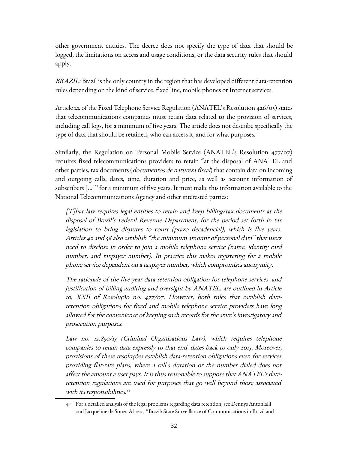other government entities. The decree does not specify the type of data that should be logged, the limitations on access and usage conditions, or the data security rules that should apply.

BRAZIL: Brazil is the only country in the region that has developed different data-retention rules depending on the kind of service: fixed line, mobile phones or Internet services.

Article 22 of the Fixed Telephone Service Regulation (ANATEL's Resolution 426/05) states that telecommunications companies must retain data related to the provision of services, including call logs, for a minimum of five years. The article does not describe specifically the type of data that should be retained, who can access it, and for what purposes.

Similarly, the Regulation on Personal Mobile Service (ANATEL's Resolution 477/07) requires fixed telecommunications providers to retain "at the disposal of ANATEL and other parties, tax documents (*documentos de natureza fiscal*) that contain data on incoming and outgoing calls, dates, time, duration and price, as well as account information of subscribers […]" for a minimum of five years. It must make this information available to the National Telecommunications Agency and other interested parties:

[T]hat law requires legal entities to retain and keep billing/tax documents at the disposal of Brazil's Federal Revenue Department, for the period set forth in tax legislation to bring disputes to court (prazo decadencial), which is five years. Articles 42 and 58 also establish "the minimum amount of personal data" that users need to disclose in order to join a mobile telephone service (name, identity card number, and taxpayer number). In practice this makes registering for a mobile phone service dependent on a taxpayer number, which compromises anonymity.

The rationale of the five-year data-retention obligation for telephone services, and justification of billing auditing and oversight by ANATEL, are outlined in Article 10, XXII of Resolução no. 477/07. However, both rules that establish dataretention obligations for fixed and mobile telephone service providers have long allowed for the convenience of keeping such records for the state's investigatory and prosecution purposes.

Law no. 12.850/13 (Criminal Organizations Law), which requires telephone companies to retain data expressly to that end, dates back to only 2013. Moreover, provisions of these resoluções establish data-retention obligations even for services providing flat-rate plans, where a call's duration or the number dialed does not affect the amount a user pays. It is thus reasonable to suppose that ANATEL's dataretention regulations are used for purposes that go well beyond those associated with its responsibilities. [44](#page-31-0)

<span id="page-31-0"></span><sup>44</sup> For a detailed analysis of the legal problems regarding data retention, see Dennys Antonialli and Jacqueline de Souza Abreu, "Brazil: State Surveillance of Communications in Brazil and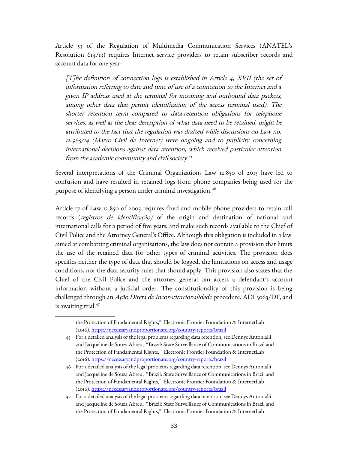Article 53 of the Regulation of Multimedia Communication Services (ANATEL's Resolution 614/13) requires Internet service providers to retain subscriber records and account data for one year:

 $[T]$ he definition of connection logs is established in Article 4, XVII (the set of information referring to date and time of use of a connection to the Internet and a given IP address used at the terminal for incoming and outbound data packets, among other data that permit identification of the access terminal used). The shorter retention term compared to data-retention obligations for telephone services, as well as the clear description of what data need to be retained, might be attributed to the fact that the regulation was drafted while discussions on Law no. 12.965/14 (Marco Civil da Internet) were ongoing and to publicity concerning international decisions against data retention, which received particular attention from the academic community and civil society. [45](#page-32-0)

Several interpretations of the Criminal Organizations Law 12.850 of 2013 have led to confusion and have resulted in retained logs from phone companies being used for the purpose of identifying a person under criminal investigation.<sup>[46](#page-32-1)</sup>

Article 17 of Law 12,850 of 2003 requires fixed and mobile phone providers to retain call records (registros de identificação) of the origin and destination of national and international calls for a period of five years, and make such records available to the Chief of Civil Police and the Attorney General's Office. Although this obligation is included in a law aimed at combatting criminal organizations, the law does not contain a provision that limits the use of the retained data for other types of criminal activities. The provision does specifies neither the type of data that should be logged, the limitations on access and usage conditions, nor the data security rules that should apply. This provision also states that the Chief of the Civil Police and the attorney general can access a defendant's account information without a judicial order. The constitutionality of this provision is being challenged through an Ação Direta de Inconstitucionalidade procedure, ADI 5063/DF, and is awaiting trial.<sup>[47](#page-32-2)</sup>

the Protection of Fundamental Rights," Electronic Frontier Foundation & InternetLab (2016).<https://necessaryandproportionate.org/country-reports/brazil>

<span id="page-32-0"></span><sup>45</sup> For a detailed analysis of the legal problems regarding data retention, see Dennys Antonialli and Jacqueline de Souza Abreu, "Brazil: State Surveillance of Communications in Brazil and the Protection of Fundamental Rights," Electronic Frontier Foundation & InternetLab (2016).<https://necessaryandproportionate.org/country-reports/brazil>

<span id="page-32-1"></span><sup>46</sup> For a detailed analysis of the legal problems regarding data retention, see Dennys Antonialli and Jacqueline de Souza Abreu, "Brazil: State Surveillance of Communications in Brazil and the Protection of Fundamental Rights," Electronic Frontier Foundation & InternetLab (2016).<https://necessaryandproportionate.org/country-reports/brazil>

<span id="page-32-2"></span><sup>47</sup> For a detailed analysis of the legal problems regarding data retention, see Dennys Antonialli and Jacqueline de Souza Abreu, "Brazil: State Surveillance of Communications in Brazil and the Protection of Fundamental Rights," Electronic Frontier Foundation & InternetLab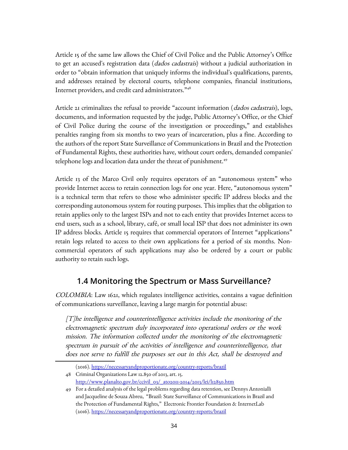Article 15 of the same law allows the Chief of Civil Police and the Public Attorney's Office to get an accused's registration data (*dados cadastrais*) without a judicial authorization in order to "obtain information that uniquely informs the individual's qualifications, parents, and addresses retained by electoral courts, telephone companies, financial institutions, Internet providers, and credit card administrators."<sup>[48](#page-33-0)</sup>

Article 21 criminalizes the refusal to provide "account information (*dados cadastrais*), logs, documents, and information requested by the judge, Public Attorney's Office, or the Chief of Civil Police during the course of the investigation or proceedings," and establishes penalties ranging from six months to two years of incarceration, plus a fine. According to the authors of the report State Surveillance of Communications in Brazil and the Protection of Fundamental Rights, these authorities have, without court orders, demanded companies' telephone logs and location data under the threat of punishment.<sup>[49](#page-33-1)</sup>

Article 13 of the Marco Civil only requires operators of an "autonomous system" who provide Internet access to retain connection logs for one year. Here, "autonomous system" is a technical term that refers to those who administer specific IP address blocks and the corresponding autonomous system for routing purposes. This implies that the obligation to retain applies only to the largest ISPs and not to each entity that provides Internet access to end users, such as a school, library, café, or small local ISP that does not administer its own IP address blocks. Article 15 requires that commercial operators of Internet "applications" retain logs related to access to their own applications for a period of six months. Noncommercial operators of such applications may also be ordered by a court or public authority to retain such logs.

#### **1.4 Monitoring the Spectrum or Mass Surveillance?**

COLOMBIA: Law 1621, which regulates intelligence activities, contains a vague definition of communications surveillance, leaving a large margin for potential abuse:

[T]he intelligence and counterintelligence activities include the monitoring of the electromagnetic spectrum duly incorporated into operational orders or the work mission. The information collected under the monitoring of the electromagnetic spectrum in pursuit of the activities of intelligence and counterintelligence, that does not serve to fulfill the purposes set out in this Act, shall be destroyed and

<span id="page-33-0"></span><sup>(2016).</sup><https://necessaryandproportionate.org/country-reports/brazil>

<sup>48</sup> Criminal Organizations Law 12.850 of 2013, art. 15. [http://www.planalto.gov.br/ccivil\\_03/\\_ato2011-2014/2013/lei/l12850.htm](http://www.planalto.gov.br/ccivil_03/_ato2011-2014/2013/lei/l12850.htm)

<span id="page-33-1"></span><sup>49</sup> For a detailed analysis of the legal problems regarding data retention, see Dennys Antonialli and Jacqueline de Souza Abreu, "Brazil: State Surveillance of Communications in Brazil and the Protection of Fundamental Rights," Electronic Frontier Foundation & InternetLab (2016).<https://necessaryandproportionate.org/country-reports/brazil>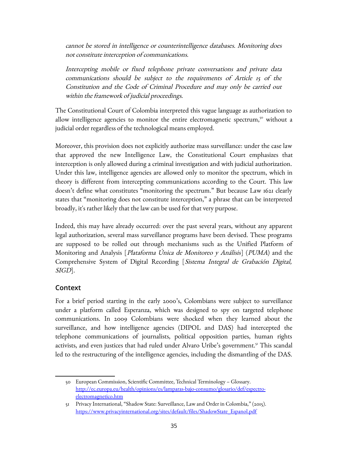cannot be stored in intelligence or counterintelligence databases. Monitoring does not constitute interception of communications.

Intercepting mobile or fixed telephone private conversations and private data communications should be subject to the requirements of Article 15 of the Constitution and the Code of Criminal Procedure and may only be carried out within the framework of judicial proceedings.

The Constitutional Court of Colombia interpreted this vague language as authorization to allow intelligence agencies to monitor the entire electromagnetic spectrum, $\delta$ <sup>o</sup> without a judicial order regardless of the technological means employed.

Moreover, this provision does not explicitly authorize mass surveillance: under the case law that approved the new Intelligence Law, the Constitutional Court emphasizes that interception is only allowed during a criminal investigation and with judicial authorization. Under this law, intelligence agencies are allowed only to monitor the spectrum, which in theory is different from intercepting communications according to the Court. This law doesn't define what constitutes "monitoring the spectrum." But because Law 1621 clearly states that "monitoring does not constitute interception," a phrase that can be interpreted broadly, it's rather likely that the law can be used for that very purpose.

Indeed, this may have already occurred: over the past several years, without any apparent legal authorization, several mass surveillance programs have been devised. These programs are supposed to be rolled out through mechanisms such as the Unified Platform of Monitoring and Analysis [Plataforma Única de Monitoreo y Análisis] (PUMA) and the Comprehensive System of Digital Recording [Sistema Integral de Grabación Digital, SIGD].

#### **Context**

For a brief period starting in the early 2000's, Colombians were subject to surveillance under a platform called Esperanza, which was designed to spy on targeted telephone communications. In 2009 Colombians were shocked when they learned about the surveillance, and how intelligence agencies (DIPOL and DAS) had intercepted the telephone communications of journalists, political opposition parties, human rights activists, and even justices that had ruled under Alvaro Uribe's government.<sup>[51](#page-34-1)</sup> This scandal led to the restructuring of the intelligence agencies, including the dismantling of the DAS.

<span id="page-34-0"></span><sup>50</sup> European Commission, Scientific Committee, Technical Terminology – Glossary. [http://ec.europa.eu/health/opinions/es/lamparas-bajo-consumo/glosario/def/espectro](http://ec.europa.eu/health/opinions/es/lamparas-bajo-consumo/glosario/def/espectro-electromagnetico.htm)[electromagnetico.htm](http://ec.europa.eu/health/opinions/es/lamparas-bajo-consumo/glosario/def/espectro-electromagnetico.htm)

<span id="page-34-1"></span><sup>51</sup> Privacy International, "Shadow State: Surveillance, Law and Order in Colombia," (2015). [https://www.privacyinternational.org/sites/default/files/ShadowState\\_Espanol.pdf](https://www.privacyinternational.org/sites/default/files/ShadowState_Espanol.pdf)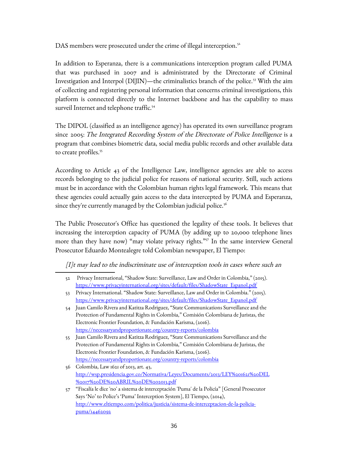DAS members were prosecuted under the crime of illegal interception.<sup>[52](#page-35-0)</sup>

In addition to Esperanza, there is a communications interception program called PUMA that was purchased in 2007 and is administrated by the Directorate of Criminal Investigation and Interpol ( $\text{DIJIN}$ )—the criminalistics branch of the police.<sup>[53](#page-35-1)</sup> With the aim of collecting and registering personal information that concerns criminal investigations, this platform is connected directly to the Internet backbone and has the capability to mass surveil Internet and telephone traffic.<sup>[54](#page-35-2)</sup>

The DIPOL (classified as an intelligence agency) has operated its own surveillance program since 2005: The Integrated Recording System of the Directorate of Police Intelligence is a program that combines biometric data, social media public records and other available data to create profiles.<sup>[55](#page-35-3)</sup>

According to Article 43 of the Intelligence Law, intelligence agencies are able to access records belonging to the judicial police for reasons of national security. Still, such actions must be in accordance with the Colombian human rights legal framework. This means that these agencies could actually gain access to the data intercepted by PUMA and Esperanza, since they're currently managed by the Colombian judicial police.<sup>[56](#page-35-4)</sup>

The Public Prosecutor's Office has questioned the legality of these tools. It believes that increasing the interception capacity of PUMA (by adding up to 20,000 telephone lines more than they have now) "may violate privacy rights."<sup>[57](#page-35-5)</sup> In the same interview General Prosecutor Eduardo Montealegre told Colombian newspaper, El Tiempo:

[I]t may lead to the indiscriminate use of interception tools in cases where such an

<span id="page-35-0"></span><sup>52</sup> Privacy International, "Shadow State: Surveillance, Law and Order in Colombia," (2015). [https://www.privacyinternational.org/sites/default/files/ShadowState\\_Espanol.pdf](https://www.privacyinternational.org/sites/default/files/ShadowState_Espanol.pdf)

<span id="page-35-1"></span><sup>53</sup> Privacy International. "Shadow State: Surveillance, Law and Order in Colombia." (2015). [https://www.privacyinternational.org/sites/default/files/ShadowState\\_Espanol.pdf](https://www.privacyinternational.org/sites/default/files/ShadowState_Espanol.pdf)

<span id="page-35-2"></span><sup>54</sup> Juan Camilo Rivera and Katitza Rodriguez, "State Communications Surveillance and the Protection of Fundamental Rights in Colombia," Comisión Colombiana de Juristas, the Electronic Frontier Foundation, & Fundación Karisma, (2016). <https://necessaryandproportionate.org/country-reports/colombia>

<span id="page-35-3"></span><sup>55</sup> Juan Camilo Rivera and Katitza Rodriguez, "State Communications Surveillance and the Protection of Fundamental Rights in Colombia," Comisión Colombiana de Juristas, the Electronic Frontier Foundation, & Fundación Karisma, (2016). <https://necessaryandproportionate.org/country-reports/colombia>

<span id="page-35-4"></span><sup>56</sup> Colombia, Law 1621 of 2013, art. 43, [http://wsp.presidencia.gov.co/Normativa/Leyes/Documents/2013/LEY%201621%20DEL](http://wsp.presidencia.gov.co/Normativa/Leyes/Documents/2013/LEY%201621%20DEL%2017%20DE%20ABRIL%20DE%202013.pdf) [%2017%20DE%20ABRIL%20DE%202013.pdf](http://wsp.presidencia.gov.co/Normativa/Leyes/Documents/2013/LEY%201621%20DEL%2017%20DE%20ABRIL%20DE%202013.pdf)

<span id="page-35-5"></span><sup>57</sup> "Fiscalía le dice 'no' a sistema de interceptación 'Puma' de la Policía" [General Prosecutor Says 'No' to Police's 'Puma' Interception System], El Tiempo, (2014), [http://www.eltiempo.com/politica/justicia/sistema-de-interceptacion-de-la-policia](http://www.eltiempo.com/politica/justicia/sistema-de-interceptacion-de-la-policia-puma/14462092)[puma/14462092](http://www.eltiempo.com/politica/justicia/sistema-de-interceptacion-de-la-policia-puma/14462092)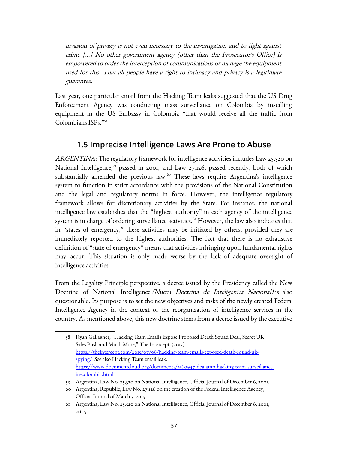invasion of privacy is not even necessary to the investigation and to fight against crime […] No other government agency (other than the Prosecutor's Office) is empowered to order the interception of communications or manage the equipment used for this. That all people have a right to intimacy and privacy is a legitimate guarantee.

Last year, one particular email from the Hacking Team leaks suggested that the US Drug Enforcement Agency was conducting mass surveillance on Colombia by installing equipment in the US Embassy in Colombia "that would receive all the traffic from Colombians ISPs."[58](#page-36-0)

#### **1.5 Imprecise Intelligence Laws Are Prone to Abuse**

ARGENTINA: The regulatory framework for intelligence activities includes Law 25,520 on National Intelligence,<sup>[59](#page-36-1)</sup> passed in 2001, and Law 27,126, passed recently, both of which substantially amended the previous law.<sup>[60](#page-36-2)</sup> These laws require Argentina's intelligence system to function in strict accordance with the provisions of the National Constitution and the legal and regulatory norms in force. However, the intelligence regulatory framework allows for discretionary activities by the State. For instance, the national intelligence law establishes that the "highest authority" in each agency of the intelligence system is in charge of ordering surveillance activities.  $61$  However, the law also indicates that in "states of emergency," these activities may be initiated by others, provided they are immediately reported to the highest authorities. The fact that there is no exhaustive definition of "state of emergency" means that activities infringing upon fundamental rights may occur. This situation is only made worse by the lack of adequate oversight of intelligence activities.

From the Legality Principle perspective, a decree issued by the Presidency called the New Doctrine of National Intelligence (Nueva Doctrina de Inteligenica Nacional) is also questionable. Its purpose is to set the new objectives and tasks of the newly created Federal Intelligence Agency in the context of the reorganization of intelligence services in the country. As mentioned above, this new doctrine stems from a decree issued by the executive

<span id="page-36-0"></span><sup>58</sup> Ryan Gallagher, "Hacking Team Emails Expose Proposed Death Squad Deal, Secret UK Sales Push and Much More," The Intercept, (2015). [https://theintercept.com/2015/07/08/hacking-team-emails-exposed-death-squad-uk](https://theintercept.com/2015/07/08/hacking-team-emails-exposed-death-squad-uk-spying/)[spying/](https://theintercept.com/2015/07/08/hacking-team-emails-exposed-death-squad-uk-spying/) See also Hacking Team email leak. [https://www.documentcloud.org/documents/2160947-dea-amp-hacking-team-surveillance](https://www.documentcloud.org/documents/2160947-dea-amp-hacking-team-surveillance-in-colombia.html)[in-colombia.html](https://www.documentcloud.org/documents/2160947-dea-amp-hacking-team-surveillance-in-colombia.html)

<span id="page-36-1"></span><sup>59</sup> Argentina, Law No. 25,520 on National Intelligence, Official Journal of December 6, 2001.

<span id="page-36-2"></span><sup>60</sup> Argentina, Republic, Law No. 27,126 on the creation of the Federal Intelligence Agency, Official Journal of March 5, 2015.

<span id="page-36-3"></span><sup>61</sup> Argentina, Law No. 25,520 on National Intelligence, Official Journal of December 6, 2001, art. 5.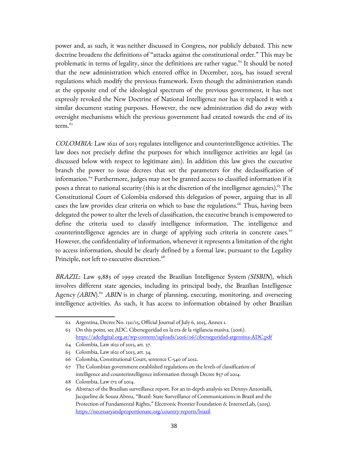power and, as such, it was neither discussed in Congress, nor publicly debated. This new doctrine broadens the definitions of "attacks against the constitutional order." This may be problematic in terms of legality, since the definitions are rather vague.<sup>[62](#page-37-0)</sup> It should be noted that the new administration which entered office in December, 2015, has issued several regulations which modify the previous framework. Even though the administration stands at the opposite end of the ideological spectrum of the previous government, it has not expressly revoked the New Doctrine of National Intelligence nor has it replaced it with a similar document stating purposes. However, the new administration did do away with oversight mechanisms which the previous government had created towards the end of its term. $63$ 

COLOMBIA: Law 1621 of 2013 regulates intelligence and counterintelligence activities. The law does not precisely define the purposes for which intelligence activities are legal (as discussed below with respect to legitimate aim). In addition this law gives the executive branch the power to issue decrees that set the parameters for the declassification of information.[64](#page-37-2) Furthermore, judges may not be granted access to classified information if it poses a threat to national security (this is at the discretion of the intelligence agencies).<sup>[65](#page-37-3)</sup> The Constitutional Court of Colombia endorsed this delegation of power, arguing that in all cases the law provides clear criteria on which to base the regulations.<sup>[66](#page-37-4)</sup> Thus, having been delegated the power to alter the levels of classification, the executive branch is empowered to define the criteria used to classify intelligence information. The intelligence and counterintelligence agencies are in charge of applying such criteria in concrete cases. $67$ However, the confidentiality of information, whenever it represents a limitation of the right to access information, should be clearly defined by a formal law, pursuant to the Legality Principle, not left to executive discretion.<sup>[68](#page-37-6)</sup>

BRAZIL: Law 9,883 of 1999 created the Brazilian Intelligence System *(SISBIN)*, which involves different state agencies, including its principal body, the Brazilian Intelligence Agency (ABIN).<sup>[69](#page-37-7)</sup> ABIN is in charge of planning, executing, monitoring, and overseeing intelligence activities. As such, it has access to information obtained by other Brazilian

<span id="page-37-0"></span><sup>62</sup> Argentina, Decree No. 1311/15, Official Journal of July 6, 2015, Annex 1.

<span id="page-37-1"></span><sup>63</sup> On this point, see ADC. Ciberseguridad en la era de la vigilancia masiva. (2016). <https://adcdigital.org.ar/wp-content/uploads/2016/06/ciberseguridad-argentina-ADC.pdf>

<span id="page-37-2"></span><sup>64</sup> Colombia, Law 1621 of 2013, art. 37.

<span id="page-37-3"></span><sup>65</sup> Colombia, Law 1621 of 2013, art. 34.

<span id="page-37-4"></span><sup>66</sup> Colombia, Constitutional Court, sentence C-540 of 2012.

<span id="page-37-5"></span><sup>67</sup> The Colombian government established regulations on the levels of classification of intelligence and counterintelligence information through Decree 857 of 2014.

<span id="page-37-6"></span><sup>68</sup> Colombia, Law 172 of 2014.

<span id="page-37-7"></span><sup>69</sup> Abstract of the Brazilian surveillance report. For an in-depth analysis see Dennys Antonialli, Jacqueline de Souza Abreu, "Brazil: State Surveillance of Communications in Brazil and the Protection of Fundamental Rights," Electronic Frontier Foundation & InternetLab, (2015). <https://necessaryandproportionate.org/country-reports/brazil>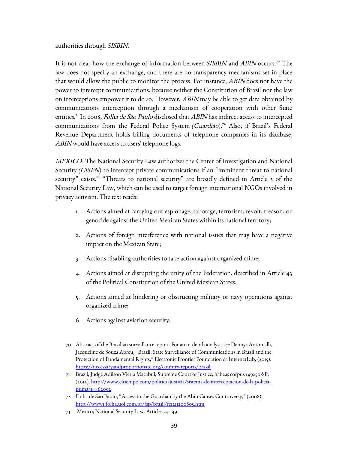authorities through SISBIN.

It is not clear how the exchange of information between *SISBIN* and *ABIN* occurs.<sup>[70](#page-38-0)</sup> The law does not specify an exchange, and there are no transparency mechanisms set in place that would allow the public to monitor the process. For instance, *ABIN* does not have the power to intercept communications, because neither the Constitution of Brazil nor the law on interceptions empower it to do so. However, ABIN may be able to get data obtained by communications interception through a mechanism of cooperation with other State entities.<sup>[71](#page-38-1)</sup> In 2008, Folha de São Paulo disclosed that ABIN has indirect access to intercepted communications from the Federal Police System (Guardião).<sup>[72](#page-38-2)</sup> Also, if Brazil's Federal Revenue Department holds billing documents of telephone companies in its database, ABIN would have access to users' telephone logs.

MEXICO: The National Security Law authorizes the Center of Investigation and National Security (CISEN) to intercept private communications if an "imminent threat to national security" exists.<sup>[73](#page-38-3)</sup> "Threats to national security" are broadly defined in Article 5 of the National Security Law, which can be used to target foreign international NGOs involved in privacy activism. The text reads:

- 1. Actions aimed at carrying out espionage, sabotage, terrorism, revolt, treason, or genocide against the United Mexican States within its national territory;
- 2. Actions of foreign interference with national issues that may have a negative impact on the Mexican State;
- 3. Actions disabling authorities to take action against organized crime;
- 4. Actions aimed at disrupting the unity of the Federation, described in Article 43 of the Political Constitution of the United Mexican States;
- 5. Actions aimed at hindering or obstructing military or navy operations against organized crime;
- 6. Actions against aviation security;

<span id="page-38-0"></span><sup>70</sup> Abstract of the Brazilian surveillance report. For an in-depth analysis see Dennys Antonialli, Jacqueline de Souza Abreu, "Brazil: State Surveillance of Communications in Brazil and the Protection of Fundamental Rights," Electronic Frontier Foundation & InternetLab, (2015). <https://necessaryandproportionate.org/country-reports/brazil>

<span id="page-38-1"></span><sup>71</sup> Brazil, Judge Adilson Vieria Macabul, Supreme Court of Justice, habeas corpus 149250-SP, (2012). [http://www.eltiempo.com/politica/justicia/sistema-de-interceptacion-de-la-policia](http://www.eltiempo.com/politica/justicia/sistema-de-interceptacion-de-la-policia-puma/14462092)[puma/14462092](http://www.eltiempo.com/politica/justicia/sistema-de-interceptacion-de-la-policia-puma/14462092)

<span id="page-38-2"></span><sup>72</sup> Folha de São Paulo, "Access to the Guardian by the Abin Causes Controversy," (2008). <http://www1.folha.uol.com.br/fsp/brasil/fc1211200805.htm>

<span id="page-38-3"></span><sup>73</sup> Mexico, National Security Law. Articles 33 - 49.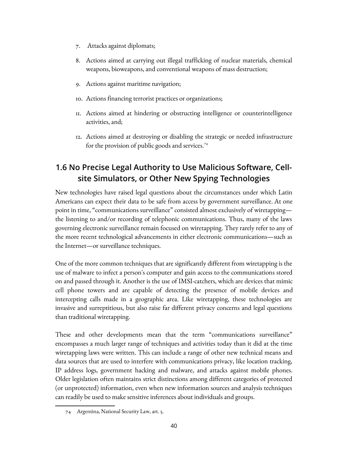- 7. Attacks against diplomats;
- 8. Actions aimed at carrying out illegal trafficking of nuclear materials, chemical weapons, bioweapons, and conventional weapons of mass destruction;
- 9. Actions against maritime navigation;
- 10. Actions financing terrorist practices or organizations;
- 11. Actions aimed at hindering or obstructing intelligence or counterintelligence activities, and;
- 12. Actions aimed at destroying or disabling the strategic or needed infrastructure for the provision of public goods and services.<sup>[74](#page-39-0)</sup>

### **1.6 No Precise Legal Authority to Use Malicious Software, Cellsite Simulators, or Other New Spying Technologies**

New technologies have raised legal questions about the circumstances under which Latin Americans can expect their data to be safe from access by government surveillance. At one point in time, "communications surveillance" consisted almost exclusively of wiretapping the listening to and/or recording of telephonic communications. Thus, many of the laws governing electronic surveillance remain focused on wiretapping. They rarely refer to any of the more recent technological advancements in either electronic communications—such as the Internet—or surveillance techniques.

One of the more common techniques that are significantly different from wiretapping is the use of malware to infect a person's computer and gain access to the communications stored on and passed through it. Another is the use of IMSI-catchers, which are devices that mimic cell phone towers and are capable of detecting the presence of mobile devices and intercepting calls made in a geographic area. Like wiretapping, these technologies are invasive and surreptitious, but also raise far different privacy concerns and legal questions than traditional wiretapping.

These and other developments mean that the term "communications surveillance" encompasses a much larger range of techniques and activities today than it did at the time wiretapping laws were written. This can include a range of other new technical means and data sources that are used to interfere with communications privacy, like location tracking, IP address logs, government hacking and malware, and attacks against mobile phones. Older legislation often maintains strict distinctions among different categories of protected (or unprotected) information, even when new information sources and analysis techniques can readily be used to make sensitive inferences about individuals and groups.

<span id="page-39-0"></span><sup>74</sup> Argentina, National Security Law, art. 5.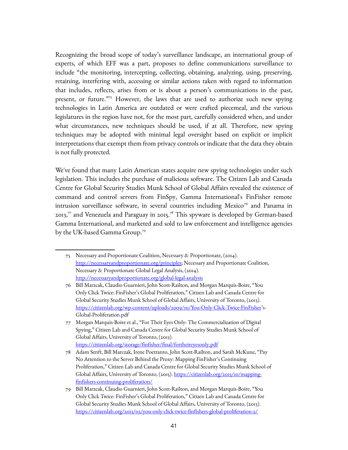Recognizing the broad scope of today's surveillance landscape, an international group of experts, of which EFF was a part, proposes to define communications surveillance to include "the monitoring, intercepting, collecting, obtaining, analyzing, using, preserving, retaining, interfering with, accessing or similar actions taken with regard to information that includes, reflects, arises from or is about a person's communications in the past, present, or future."[75](#page-40-0) However, the laws that are used to authorize such new spying technologies in Latin America are outdated or were crafted piecemeal, and the various legislatures in the region have not, for the most part, carefully considered when, and under what circumstances, new techniques should be used, if at all. Therefore, new spying techniques may be adopted with minimal legal oversight based on explicit or implicit interpretations that exempt them from privacy controls or indicate that the data they obtain is not fully protected.

We've found that many Latin American states acquire new spying technologies under such legislation. This includes the purchase of malicious software. The Citizen Lab and Canada Centre for Global Security Studies Munk School of Global Affairs revealed the existence of command and control servers from FinSpy, Gamma International's FinFisher remote intrusion surveillance software, in several countries including Mexico<sup>[76](#page-40-1)</sup> and Panama in 2013, $^{77}$  $^{77}$  $^{77}$  and Venezuela and Paraguay in 2015. $^{78}$  $^{78}$  $^{78}$  This spyware is developed by German-based Gamma International, and marketed and sold to law enforcement and intelligence agencies by the UK-based Gamma Group.[79](#page-40-4)

<span id="page-40-0"></span><sup>75</sup> Necessary and Proportionate Coalition, Necessary & Proportionate, (2014). [http://necessaryandproportionate.org/principles;](http://necessaryandproportionate.org/principles) Necessary and Proportionate Coalition, Necessary & Proportionate Global Legal Analysis, (2014). <http://necessaryandproportionate.org/global-legal-analysis>

<span id="page-40-1"></span><sup>76</sup> Bill Marzcak, Claudio Guarnieri, John Scott-Railton, and Morgan Marquis-Boire, "You Only Click Twice: FinFisher's Global Proliferation," Citizen Lab and Canada Centre for Global Security Studies Munk School of Global Affairs, University of Toronto, (2013). [https://citizenlab.org/wp-content/uploads/2009/10/You-Only-Click-Twice-FinFisher'](https://citizenlab.org/wp-content/uploads/2009/10/You-Only-Click-Twice-FinFisher)s-Global-Proliferation.pdf

<span id="page-40-2"></span><sup>77</sup> Morgan Marquis-Boire et al., "For Their Eyes Only: The Commercialization of Digital Spying," Citizen Lab and Canada Centre for Global Security Studies Munk School of Global Affairs, University of Toronto, (2013). <https://citizenlab.org/storage/finfisher/final/fortheireyesonly.pdf>

<span id="page-40-3"></span><sup>78</sup> Adam Senft, Bill Marczak, Irene Poetranto, John Scott-Railton, and Sarah McKune, "Pay No Attention to the Server Behind the Proxy: Mapping FinFisher's Continuing Proliferation," Citizen Lab and Canada Centre for Global Security Studies Munk School of Global Affairs, University of Toronto, (2015). [https://citizenlab.org/2015/10/mapping](https://citizenlab.org/2015/10/mapping-finfishers-continuing-proliferation/)[finfishers-continuing-proliferation/](https://citizenlab.org/2015/10/mapping-finfishers-continuing-proliferation/)

<span id="page-40-4"></span><sup>79</sup> Bill Marzcak, Claudio Guarnieri, John Scott-Railton, and Morgan Marquis-Boire, "You Only Click Twice: FinFisher's Global Proliferation," Citizen Lab and Canada Centre for Global Security Studies Munk School of Global Affairs, University of Toronto, (2013). <https://citizenlab.org/2013/03/you-only-click-twice-finfishers-global-proliferation-2/>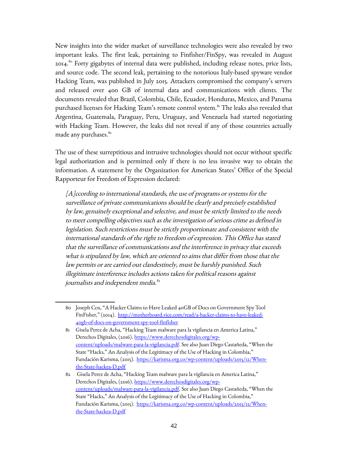New insights into the wider market of surveillance technologies were also revealed by two important leaks. The first leak, pertaining to Finfisher/FinSpy, was revealed in August 2014.<sup>[80](#page-41-0)</sup> Forty gigabytes of internal data were published, including release notes, price lists, and source code. The second leak, pertaining to the notorious Italy-based spyware vendor Hacking Team, was published in July 2015. Attackers compromised the company's servers and released over 400 GB of internal data and communications with clients. The documents revealed that Brazil, Colombia, Chile, Ecuador, Honduras, Mexico, and Panama purchased licenses for Hacking Team's remote control system.<sup>[81](#page-41-1)</sup> The leaks also revealed that Argentina, Guatemala, Paraguay, Peru, Uruguay, and Venezuela had started negotiating with Hacking Team. However, the leaks did not reveal if any of those countries actually made any purchases.<sup>[82](#page-41-2)</sup>

The use of these surreptitious and intrusive technologies should not occur without specific legal authorization and is permitted only if there is no less invasive way to obtain the information. A statement by the Organization for American States' Office of the Special Rapporteur for Freedom of Expression declared:

[A]ccording to international standards, the use of programs or systems for the surveillance of private communications should be clearly and precisely established by law, genuinely exceptional and selective, and must be strictly limited to the needs to meet compelling objectives such as the investigation of serious crime as defined in legislation. Such restrictions must be strictly proportionate and consistent with the international standards of the right to freedom of expression. This Office has stated that the surveillance of communications and the interference in privacy that exceeds what is stipulated by law, which are oriented to aims that differ from those that the law permits or are carried out clandestinely, must be harshly punished. Such illegitimate interference includes actions taken for political reasons against journalists and independent media.<sup>83</sup>

<span id="page-41-0"></span><sup>80</sup> Joseph Cox, "A Hacker Claims to Have Leaked 40GB of Docs on Government Spy Tool FinFisher," (2014). [http://motherboard.vice.com/read/a-hacker-claims-to-have-leaked-](http://motherboard.vice.com/read/a-hacker-claims-to-have-leaked-40gb-of-docs-on-government-spy-tool-finfisher)[40gb-of-docs-on-government-spy-tool-finfisher](http://motherboard.vice.com/read/a-hacker-claims-to-have-leaked-40gb-of-docs-on-government-spy-tool-finfisher)

<span id="page-41-1"></span><sup>81</sup> Gisela Perez de Acha, "Hacking Team malware para la vigilancia en America Latina," Derechos Digitales, (2016). [https://www.derechosdigitales.org/wp](https://www.derechosdigitales.org/wp-content/uploads/malware-para-la-vigilancia.pdf)[content/uploads/malware-para-la-vigilancia.pdf.](https://www.derechosdigitales.org/wp-content/uploads/malware-para-la-vigilancia.pdf) See also Juan Diego Castañeda, "When the State "Hacks," An Analysis of the Legitimacy of the Use of Hacking in Colombia," Fundación Karisma, (2015). [https://karisma.org.co/wp-content/uploads/2015/12/When](https://karisma.org.co/wp-content/uploads/2015/12/When-the-State-hackea-D.pdf)[the-State-hackea-D.pdf](https://karisma.org.co/wp-content/uploads/2015/12/When-the-State-hackea-D.pdf)

<span id="page-41-2"></span><sup>82</sup> Gisela Perez de Acha, "Hacking Team malware para la vigilancia en America Latina," Derechos Digitales, (2016). [https://www.derechosdigitales.org/wp](https://www.derechosdigitales.org/wp-content/uploads/malware-para-la-vigilancia.pdf)[content/uploads/malware-para-la-vigilancia.pdf.](https://www.derechosdigitales.org/wp-content/uploads/malware-para-la-vigilancia.pdf) See also Juan Diego Castañeda, "When the State "Hacks," An Analysis of the Legitimacy of the Use of Hacking in Colombia," Fundación Karisma, (2015). [https://karisma.org.co/wp-content/uploads/2015/12/When](https://karisma.org.co/wp-content/uploads/2015/12/When-the-State-hackea-D.pdf)[the-State-hackea-D.pdf](https://karisma.org.co/wp-content/uploads/2015/12/When-the-State-hackea-D.pdf)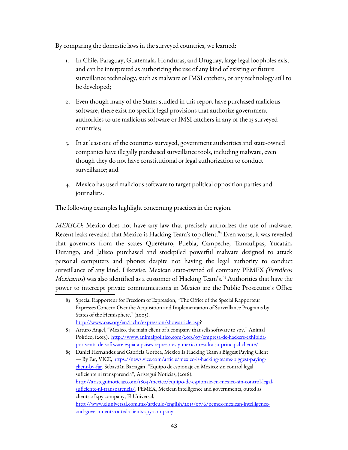By comparing the domestic laws in the surveyed countries, we learned:

- 1. In Chile, Paraguay, Guatemala, Honduras, and Uruguay, large legal loopholes exist and can be interpreted as authorizing the use of any kind of existing or future surveillance technology, such as malware or IMSI catchers, or any technology still to be developed;
- 2. Even though many of the States studied in this report have purchased malicious software, there exist no specific legal provisions that authorize government authorities to use malicious software or IMSI catchers in any of the 13 surveyed countries;
- 3. In at least one of the countries surveyed, government authorities and state-owned companies have illegally purchased surveillance tools, including malware, even though they do not have constitutional or legal authorization to conduct surveillance; and
- 4. Mexico has used malicious software to target political opposition parties and journalists.

The following examples highlight concerning practices in the region.

MEXICO: Mexico does not have any law that precisely authorizes the use of malware. Recent leaks revealed that Mexico is Hacking Team's top client.<sup>[84](#page-42-0)</sup> Even worse, it was revealed that governors from the states Querétaro, Puebla, Campeche, Tamaulipas, Yucatán, Durango, and Jalisco purchased and stockpiled powerful malware designed to attack personal computers and phones despite not having the legal authority to conduct surveillance of any kind. Likewise, Mexican state-owned oil company PEMEX (Petróleos *Mexicanos*) was also identified as a customer of Hacking Team's.<sup>[85](#page-42-1)</sup> Authorities that have the power to intercept private communications in Mexico are the Public Prosecutor's Office

<sup>83</sup> Special Rapporteur for Freedom of Expression, "The Office of the Special Rapporteur Expresses Concern Over the Acquisition and Implementation of Surveillance Programs by States of the Hemisphere," (2005). [http://www.oas.org/en/iachr/expression/showarticle.asp?](http://www.oas.org/en/iachr/expression/showarticle.asp)

<span id="page-42-0"></span><sup>84</sup> Arturo Angel, "Mexico, the main client of a company that sells software to spy." Animal Político, (2015). [http://www.animalpolitico.com/2015/07/empresa-de-hackers-exhibida](http://www.animalpolitico.com/2015/07/empresa-de-hackers-exhibida-por-venta-de-software-espia-a-paises-represores-y-mexico-resulta-su-principal-cliente/)[por-venta-de-software-espia-a-paises-represores-y-mexico-resulta-su-principal-cliente/](http://www.animalpolitico.com/2015/07/empresa-de-hackers-exhibida-por-venta-de-software-espia-a-paises-represores-y-mexico-resulta-su-principal-cliente/)

<span id="page-42-1"></span><sup>85</sup> Daniel Hernandez and Gabriela Gorbea, Mexico Is Hacking Team's Biggest Paying Client — By Far, VICE, [https://news.vice.com/article/mexico-is-hacking-teams-biggest-paying](https://news.vice.com/article/mexico-is-hacking-teams-biggest-paying-client-by-far)[client-by-far,](https://news.vice.com/article/mexico-is-hacking-teams-biggest-paying-client-by-far) Sebastián Barragán, "Equipo de espionaje en México: sin control legal suficiente ni transparencia", Aristegui Noticias, (2016). [http://aristeguinoticias.com/1804/mexico/equipo-de-espionaje-en-mexico-sin-control-legal](http://aristeguinoticias.com/1804/mexico/equipo-de-espionaje-en-mexico-sin-control-legal-suficiente-ni-transparencia/)[suficiente-ni-transparencia/,](http://aristeguinoticias.com/1804/mexico/equipo-de-espionaje-en-mexico-sin-control-legal-suficiente-ni-transparencia/) PEMEX, Mexican intelligence and governments, outed as clients of spy company, El Universal, [http://www.eluniversal.com.mx/articulo/english/2015/07/6/pemex-mexican-intelligence](http://www.eluniversal.com.mx/articulo/english/2015/07/6/pemex-mexican-intelligence-and-governments-outed-clients-spy-company)[and-governments-outed-clients-spy-company](http://www.eluniversal.com.mx/articulo/english/2015/07/6/pemex-mexican-intelligence-and-governments-outed-clients-spy-company)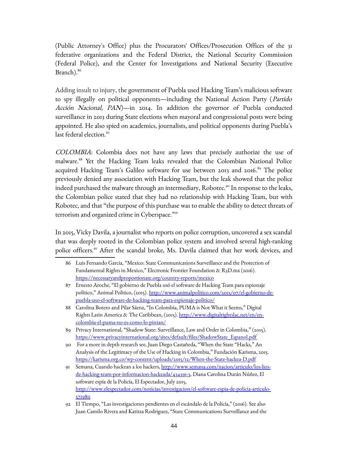(Public Attorney's Office) plus the Procurators' Offices/Prosecution Offices of the 31 federative organizations and the Federal District, the National Security Commission (Federal Police), and the Center for Investigations and National Security (Executive Branch).<sup>[86](#page-43-0)</sup>

Adding insult to injury, the government of Puebla used Hacking Team's malicious software to spy illegally on political opponents—including the National Action Party (Partido Acción Nacional, PAN)—in 2014. In addition the governor of Puebla conducted surveillance in 2013 during State elections when mayoral and congressional posts were being appointed. He also spied on academics, journalists, and political opponents during Puebla's last federal election.<sup>[87](#page-43-1)</sup>

COLOMBIA: Colombia does not have any laws that precisely authorize the use of malware.<sup>[88](#page-43-2)</sup> Yet the Hacking Team leaks revealed that the Colombian National Police acquired Hacking Team's Galileo software for use between 2013 and 2016.<sup>[89](#page-43-3)</sup> The police previously denied any association with Hacking Team, but the leak showed that the police indeed purchased the malware through an intermediary, Robotec.<sup>[90](#page-43-4)</sup> In response to the leaks, the Colombian police stated that they had no relationship with Hacking Team, but with Robotec, and that "the purpose of this purchase was to enable the ability to detect threats of terrorism and organized crime in Cyberspace."[91](#page-43-5)

In 2015, Vicky Davila, a journalist who reports on police corruption, uncovered a sex scandal that was deeply rooted in the Colombian police system and involved several high-ranking police officers.<sup>[92](#page-43-6)</sup> After the scandal broke, Ms. Davila claimed that her work devices, and

<span id="page-43-0"></span><sup>86</sup> Luis Fernando Garcia, "Mexico: State Communications Surveillance and the Protection of Fundamental Rights in Mexico," Electronic Frontier Foundation & R3D.mx (2016). <https://necessaryandproportionate.org/country-reports/mexico>

<span id="page-43-1"></span><sup>87</sup> Ernesto Aroche, "El gobierno de Puebla usó el software de Hacking Team para espionaje político," Animal Politico, (2015). [http://www.animalpolitico.com/2015/07/el-gobierno-de](http://www.animalpolitico.com/2015/07/el-gobierno-de-puebla-uso-el-software-de-hacking-team-para-espionaje-politico/)[puebla-uso-el-software-de-hacking-team-para-espionaje-politico/](http://www.animalpolitico.com/2015/07/el-gobierno-de-puebla-uso-el-software-de-hacking-team-para-espionaje-politico/)

<span id="page-43-2"></span><sup>88</sup> Carolina Botero and Pilar Sáenz, "In Colombia, PUMA is Not What it Seems," Digital Rights Latin America & The Caribbean, (2015). [http://www.digitalrightslac.net/en/en](http://www.digitalrightslac.net/en/en-colombia-el-puma-no-es-como-lo-pintan/)[colombia-el-puma-no-es-como-lo-pintan/](http://www.digitalrightslac.net/en/en-colombia-el-puma-no-es-como-lo-pintan/) 

<span id="page-43-3"></span><sup>89</sup> Privacy International, "Shadow State: Surveillance, Law and Order in Colombia," (2015). [https://www.privacyinternational.org/sites/default/files/ShadowState\\_Espanol.pdf](https://www.privacyinternational.org/sites/default/files/ShadowState_Espanol.pdf)

<span id="page-43-4"></span><sup>90</sup> For a more in depth research see, Juan Diego Castañeda, "When the State "Hacks," An Analysis of the Legitimacy of the Use of Hacking in Colombia," Fundación Karisma, 2015. <https://karisma.org.co/wp-content/uploads/2015/12/When-the-State-hackea-D.pdf>

<span id="page-43-5"></span><sup>91</sup> Semana, Cuando hackean a los hackers, [http://www.semana.com/nacion/articulo/los-lios](http://www.semana.com/nacion/articulo/los-lios-de-hacking-team-por-informacion-hackeada/434391-3)[de-hacking-team-por-informacion-hackeada/434391-3,](http://www.semana.com/nacion/articulo/los-lios-de-hacking-team-por-informacion-hackeada/434391-3) Diana Carolina Durán Núñez, El software espía de la Policía, El Espectador, July 2015, [http://www.elespectador.com/noticias/investigacion/el-software-espia-de-policia-articulo-](http://www.elespectador.com/noticias/investigacion/el-software-espia-de-policia-articulo-571980)[571980](http://www.elespectador.com/noticias/investigacion/el-software-espia-de-policia-articulo-571980)

<span id="page-43-6"></span><sup>92</sup> El Tiempo, "Las investigaciones pendientes en el escándalo de la Policía," (2016). See also Juan Camilo Rivera and Katitza Rodriguez, "State Communications Surveillance and the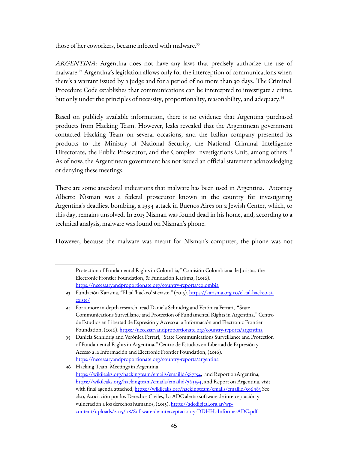those of her coworkers, became infected with malware.<sup>[93](#page-44-0)</sup>

ARGENTINA: Argentina does not have any laws that precisely authorize the use of malware.<sup>[94](#page-44-1)</sup> Argentina's legislation allows only for the interception of communications when there's a warrant issued by a judge and for a period of no more than 30 days. The Criminal Procedure Code establishes that communications can be intercepted to investigate a crime, but only under the principles of necessity, proportionality, reasonability, and adequacy.<sup>[95](#page-44-2)</sup>

Based on publicly available information, there is no evidence that Argentina purchased products from Hacking Team. However, leaks revealed that the Argentinean government contacted Hacking Team on several occasions, and the Italian company presented its products to the Ministry of National Security, the National Criminal Intelligence Directorate, the Public Prosecutor, and the Complex Investigations Unit, among others.<sup>[96](#page-44-3)</sup> As of now, the Argentinean government has not issued an official statement acknowledging or denying these meetings.

There are some anecdotal indications that malware has been used in Argentina. Attorney Alberto Nisman was a federal prosecutor known in the country for investigating Argentina's deadliest bombing, a 1994 attack in Buenos Aires on a Jewish Center, which, to this day, remains unsolved. In 2015 Nisman was found dead in his home, and, according to a technical analysis, malware was found on Nisman's phone.

However, because the malware was meant for Nisman's computer, the phone was not

Protection of Fundamental Rights in Colombia," Comisión Colombiana de Juristas, the Electronic Frontier Foundation, & Fundación Karisma, (2016). <https://necessaryandproportionate.org/country-reports/colombia>

<span id="page-44-0"></span><sup>93</sup> Fundación Karisma, "El tal 'hackeo' sí existe," (2015). [https://karisma.org.co/el-tal-hackeo-si](https://karisma.org.co/el-tal-hackeo-si-existe/)[existe/](https://karisma.org.co/el-tal-hackeo-si-existe/)

<span id="page-44-1"></span><sup>94</sup> For a more in-depth research, read Daniela Schnidrig and Verónica Ferrari, "State Communications Surveillance and Protection of Fundamental Rights in Argentina," Centro de Estudios en Libertad de Expresión y Acceso a la Información and Electronic Frontier Foundation, (2016).<https://necessaryandproportionate.org/country-reports/argentina>

<span id="page-44-2"></span><sup>95</sup> Daniela Schnidrig and Verónica Ferrari, "State Communications Surveillance and Protection of Fundamental Rights in Argentina," Centro de Estudios en Libertad de Expresión y Acceso a la Información and Electronic Frontier Foundation, (2016). <https://necessaryandproportionate.org/country-reports/argentina>

<span id="page-44-3"></span><sup>96</sup> Hacking Team, Meetings in Argentina, [https://wikileaks.org/hackingteam/emails/emailid/587154,](https://wikileaks.org/hackingteam/emails/emailid/587154) and Report onArgentina, [https://wikileaks.org/hackingteam/emails/emailid/765194,](https://wikileaks.org/hackingteam/emails/emailid/765194) and Report on Argentina, visit with final agenda attached,<https://wikileaks.org/hackingteam/emails/emailid/596983>See also, Asociación por los Derechos Civiles, La ADC alerta: software de interceptación y vulneración a los derechos humanos, (2015). [https://adcdigital.org.ar/wp](https://adcdigital.org.ar/wp-content/uploads/2015/08/Software-de-interceptacion-y-DDHH.-Informe-ADC.pdf)[content/uploads/2015/08/Software-de-interceptacion-y-DDHH.-Informe-ADC.pdf](https://adcdigital.org.ar/wp-content/uploads/2015/08/Software-de-interceptacion-y-DDHH.-Informe-ADC.pdf)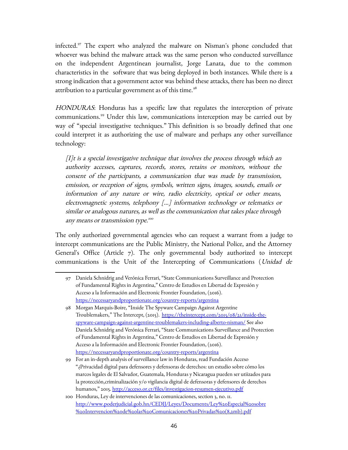infected.[97](#page-45-0) The expert who analyzed the malware on Nisman's phone concluded that whoever was behind the malware attack was the same person who conducted surveillance on the independent Argentinean journalist, Jorge Lanata, due to the common characteristics in the software that was being deployed in both instances. While there is a strong indication that a government actor was behind these attacks, there has been no direct attribution to a particular government as of this time. $98$ 

HONDURAS: Honduras has a specific law that regulates the interception of private communications.[99](#page-45-2) Under this law, communications interception may be carried out by way of "special investigative techniques." This definition is so broadly defined that one could interpret it as authorizing the use of malware and perhaps any other surveillance technology:

[I]t is a special investigative technique that involves the process through which an authority accesses, captures, records, stores, retains or monitors, without the consent of the participants, a communication that was made by transmission, emission, or reception of signs, symbols, written signs, images, sounds, emails or information of any nature or wire, radio electricity, optical or other means, electromagnetic systems, telephony […] information technology or telematics or similar or analogous natures, as well as the communication that takes place through any means or transmission type.<sup>[100](#page-45-3)</sup>

The only authorized governmental agencies who can request a warrant from a judge to intercept communications are the Public Ministry, the National Police, and the Attorney General's Office (Article 7). The only governmental body authorized to intercept communications is the Unit of the Intercepting of Communications (Unidad de

<span id="page-45-0"></span><sup>97</sup> Daniela Schnidrig and Verónica Ferrari, "State Communications Surveillance and Protection of Fundamental Rights in Argentina," Centro de Estudios en Libertad de Expresión y Acceso a la Información and Electronic Frontier Foundation, (2016). <https://necessaryandproportionate.org/country-reports/argentina>

<span id="page-45-1"></span><sup>98</sup> Morgan Marquis-Boire, "Inside The Spyware Campaign Against Argentine Troublemakers," The Intercept, (2015). [https://theintercept.com/2015/08/21/inside-the](https://theintercept.com/2015/08/21/inside-the-spyware-campaign-against-argentine-troublemakers-including-alberto-nisman/)[spyware-campaign-against-argentine-troublemakers-including-alberto-nisman/](https://theintercept.com/2015/08/21/inside-the-spyware-campaign-against-argentine-troublemakers-including-alberto-nisman/) See also Daniela Schnidrig and Verónica Ferrari, "State Communications Surveillance and Protection of Fundamental Rights in Argentina," Centro de Estudios en Libertad de Expresión y Acceso a la Información and Electronic Frontier Foundation, (2016). <https://necessaryandproportionate.org/country-reports/argentina>

<span id="page-45-2"></span><sup>99</sup> For an in-depth analysis of surveillance law in Honduras, read Fundación Acceso "¿Privacidad digital para defensores y defensoras de derechos: un estudio sobre cómo los marcos legales de El Salvador, Guatemala, Honduras y Nicaragua pueden ser utiizados para la protección,criminalización y/o vigilancia digital de defensoras y defensores de derechos humanos," 2015.<http://acceso.or.cr/files/investigacion-resumen-ejecutivo.pdf>

<span id="page-45-3"></span><sup>100</sup> Honduras, Ley de intervenciones de las comunicaciones, section 3, no. 11. [http://www.poderjudicial.gob.hn/CEDIJ/Leyes/Documents/Ley%20Especial%20sobre](http://www.poderjudicial.gob.hn/CEDIJ/Leyes/Documents/Ley%20Especial%20sobre%20Intervencion%20de%20las%20Comunicaciones%20Privadas%20(8,2mb).pdf) [%20Intervencion%20de%20las%20Comunicaciones%20Privadas%20\(8,2mb\).pdf](http://www.poderjudicial.gob.hn/CEDIJ/Leyes/Documents/Ley%20Especial%20sobre%20Intervencion%20de%20las%20Comunicaciones%20Privadas%20(8,2mb).pdf)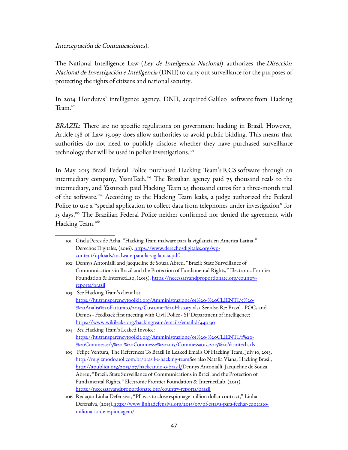#### Interceptación de Comunicaciones).

The National Intelligence Law (Ley de Inteligencia Nacional) authorizes the Dirección Nacional de Investigación e Inteligencia (DNII) to carry out surveillance for the purposes of protecting the rights of citizens and national security.

In 2014 Honduras' intelligence agency, DNII, acquired Galileo software from Hacking Team<sup>[101](#page-46-0)</sup>

BRAZIL: There are no specific regulations on government hacking in Brazil. However, Article 158 of Law 13.097 does allow authorities to avoid public bidding. This means that authorities do not need to publicly disclose whether they have purchased surveillance technology that will be used in police investigations.<sup>[102](#page-46-1)</sup>

In May 2015 Brazil Federal Police purchased Hacking Team's RCS software through an intermediary company, YasniTech.<sup>[103](#page-46-2)</sup> The Brazilian agency paid  $75$  thousand reals to the intermediary, and Yasnitech paid Hacking Team 25 thousand euros for a three-month trial of the software.<sup>[104](#page-46-3)</sup> According to the Hacking Team leaks, a judge authorized the Federal Police to use a "special application to collect data from telephones under investigation" for 15 days.<sup>[105](#page-46-4)</sup> The Brazilian Federal Police neither confirmed nor denied the agreement with Hacking Team.<sup>[106](#page-46-5)</sup>

<span id="page-46-0"></span><sup>101</sup> Gisela Perez de Acha, "Hacking Team malware para la vigilancia en America Latina," Derechos Digitales, (2016). [https://www.derechosdigitales.org/wp](https://www.derechosdigitales.org/wp-content/uploads/malware-para-la-vigilancia.pdf)[content/uploads/malware-para-la-vigilancia.pdf.](https://www.derechosdigitales.org/wp-content/uploads/malware-para-la-vigilancia.pdf)

<span id="page-46-1"></span><sup>102</sup> Dennys Antonialli and Jacqueline de Souza Abreu, "Brazil: State Surveillance of Communications in Brazil and the Protection of Fundamental Rights," Electronic Frontier Foundation & InternetLab, (2015). [https://necessaryandproportionate.org/country](https://necessaryandproportionate.org/country-reports/brazil)[reports/brazil](https://necessaryandproportionate.org/country-reports/brazil)

<span id="page-46-2"></span><sup>103</sup> See Hacking Team's client list: [https://ht.transparencytoolkit.org/Amministrazione/01%20-%20CLIENTI/5%20-](https://ht.transparencytoolkit.org/Amministrazione/01%20-%20CLIENTI/5%20-%20Analisi%20Fatturato/2015/Customer%20History.xlsx) [%20Analisi%20Fatturato/2015/Customer%20History.xlsx](https://ht.transparencytoolkit.org/Amministrazione/01%20-%20CLIENTI/5%20-%20Analisi%20Fatturato/2015/Customer%20History.xlsx) See also Re: Brazil - POCs and Demos - Feedback first meeting with Civil Police - SP Department of intelligence: <https://www.wikileaks.org/hackingteam/emails/emailid/440130>

<span id="page-46-3"></span><sup>104</sup> See Hacking Team's Leaked Invoice: [https://ht.transparencytoolkit.org/Amministrazione/01%20-%20CLIENTI/1%20-](https://ht.transparencytoolkit.org/Amministrazione/01%20-%20CLIENTI/1%20-%20Commesse/5%20-%20Commesse%202015/Commessa013.2015%20Yasnitech.xls) [%20Commesse/5%20-%20Commesse%202015/Commessa013.2015%20Yasnitech.xls](https://ht.transparencytoolkit.org/Amministrazione/01%20-%20CLIENTI/1%20-%20Commesse/5%20-%20Commesse%202015/Commessa013.2015%20Yasnitech.xls)

<span id="page-46-4"></span><sup>105</sup> Felipe Ventura, The References To Brazil In Leaked Emails Of Hacking Team, July 10, 2015, [http://m.gizmodo.uol.com.br/brasil-e-hacking-teamS](http://m.gizmodo.uol.com.br/brasil-e-hacking-team)ee also Natalia Viana, Hacking Brasil, [http://apublica.org/2015/07/hackeando-o-brasil/D](http://apublica.org/2015/07/hackeando-o-brasil/)ennys Antonialli, Jacqueline de Souza Abreu, "Brazil: State Surveillance of Communications in Brazil and the Protection of Fundamental Rights," Electronic Frontier Foundation & InternetLab, (2015). <https://necessaryandproportionate.org/country-reports/brazil>

<span id="page-46-5"></span><sup>106</sup> Redação Linha Defensiva, "PF was to close espionage million dollar contract," Linha Defensiva, (2015)[.http://www.linhadefensiva.org/2015/07/pf-estava-para-fechar-contrato](http://www.linhadefensiva.org/2015/07/pf-estava-para-fechar-contrato-milionario-de-espionagem/)[milionario-de-espionagem/](http://www.linhadefensiva.org/2015/07/pf-estava-para-fechar-contrato-milionario-de-espionagem/)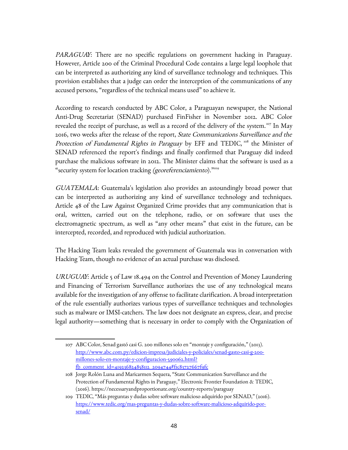PARAGUAY: There are no specific regulations on government hacking in Paraguay. However, Article 200 of the Criminal Procedural Code contains a large legal loophole that can be interpreted as authorizing any kind of surveillance technology and techniques. This provision establishes that a judge can order the interception of the communications of any accused persons, "regardless of the technical means used" to achieve it.

According to research conducted by ABC Color, a Paraguayan newspaper, the National Anti-Drug Secretariat (SENAD) purchased FinFisher in November 2012. ABC Color revealed the receipt of purchase, as well as a record of the delivery of the system.<sup>[107](#page-47-0)</sup> In May 2016, two weeks after the release of the report, State Communications Surveillance and the Protection of Fundamental Rights in Paraguay by EFF and TEDIC, <sup>[108](#page-47-1)</sup> the Minister of SENAD referenced the report's findings and finally confirmed that Paraguay did indeed purchase the malicious software in 2012. The Minister claims that the software is used as a "security system for location tracking (georeferenciamiento)."<sup>[109](#page-47-2)</sup>

GUATEMALA: Guatemala's legislation also provides an astoundingly broad power that can be interpreted as authorizing any kind of surveillance technology and techniques. Article 48 of the Law Against Organized Crime provides that any communication that is oral, written, carried out on the telephone, radio, or on software that uses the electromagnetic spectrum, as well as "any other means" that exist in the future, can be intercepted, recorded, and reproduced with judicial authorization.

The Hacking Team leaks revealed the government of Guatemala was in conversation with Hacking Team, though no evidence of an actual purchase was disclosed.

URUGUAY: Article 5 of Law 18.494 on the Control and Prevention of Money Laundering and Financing of Terrorism Surveillance authorizes the use of any technological means available for the investigation of any offense to facilitate clarification. A broad interpretation of the rule essentially authorizes various types of surveillance techniques and technologies such as malware or IMSI-catchers. The law does not designate an express, clear, and precise legal authority—something that is necessary in order to comply with the Organization of

<span id="page-47-0"></span><sup>107</sup> ABC Color, Senad gastó casi G. 200 millones solo en "montaje y configuración," (2013). [http://www.abc.com.py/edicion-impresa/judiciales-y-policiales/senad-gasto-casi-g-200](http://www.abc.com.py/edicion-impresa/judiciales-y-policiales/senad-gasto-casi-g-200-millones-solo-en-montaje-y-configuracion-590062.html?fb_comment_id=419236824858112_2094744#f1c83727667f9fc) [millones-solo-en-montaje-y-configuracion-590062.html?](http://www.abc.com.py/edicion-impresa/judiciales-y-policiales/senad-gasto-casi-g-200-millones-solo-en-montaje-y-configuracion-590062.html?fb_comment_id=419236824858112_2094744#f1c83727667f9fc) [fb\\_comment\\_id=419236824858112\\_2094744#f1c83727667f9fc](http://www.abc.com.py/edicion-impresa/judiciales-y-policiales/senad-gasto-casi-g-200-millones-solo-en-montaje-y-configuracion-590062.html?fb_comment_id=419236824858112_2094744#f1c83727667f9fc)

<span id="page-47-1"></span><sup>108</sup> Jorge Rolón Luna and Maricarmen Sequera, "State Communication Surveillance and the Protection of Fundamental Rights in Paraguay," Electronic Frontier Foundation & TEDIC, (2016). https://necessaryandproportionate.org/country-reports/paraguay

<span id="page-47-2"></span><sup>109</sup> TEDIC, "Más preguntas y dudas sobre software malicioso adquirido por SENAD," (2016). [https://www.tedic.org/mas-preguntas-y-dudas-sobre-software-malicioso-adquirido-por](https://www.tedic.org/mas-preguntas-y-dudas-sobre-software-malicioso-adquirido-por-senad/)[senad/](https://www.tedic.org/mas-preguntas-y-dudas-sobre-software-malicioso-adquirido-por-senad/)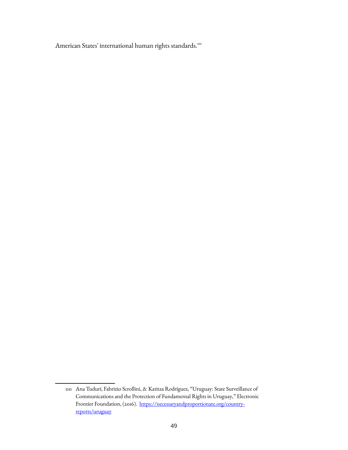American States' international human rights standards.<sup>[110](#page-48-0)</sup>

<span id="page-48-0"></span><sup>110</sup> Ana Tudurí, Fabrizio Scrollini, & Katitza Rodríguez, "Uruguay: State Surveillance of Communications and the Protection of Fundamental Rights in Uruguay," Electronic Frontier Foundation, (2016). [https://necessaryandproportionate.org/country](https://necessaryandproportionate.org/country-reports/uruguay)[reports/uruguay](https://necessaryandproportionate.org/country-reports/uruguay)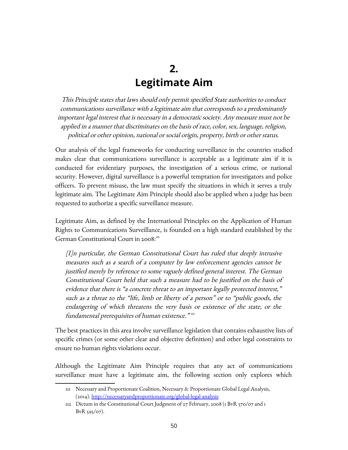# **2. Legitimate Aim**

This Principle states that laws should only permit specified State authorities to conduct communications surveillance with a legitimate aim that corresponds to a predominantly important legal interest that is necessary in a democratic society. Any measure must not be applied in a manner that discriminates on the basis of race, color, sex, language, religion, political or other opinion, national or social origin, property, birth or other status.

Our analysis of the legal frameworks for conducting surveillance in the countries studied makes clear that communications surveillance is acceptable as a legitimate aim if it is conducted for evidentiary purposes, the investigation of a serious crime, or national security. However, digital surveillance is a powerful temptation for investigators and police officers. To prevent misuse, the law must specify the situations in which it serves a truly legitimate aim. The Legitimate Aim Principle should also be applied when a judge has been requested to authorize a specific surveillance measure.

Legitimate Aim, as defined by the International Principles on the Application of Human Rights to Communications Surveillance, is founded on a high standard established by the German Constitutional Court in  $2008$ <sup> $\text{m}$ </sup>

[I]n particular, the German Constitutional Court has ruled that deeply intrusive measures such as a search of a computer by law enforcement agencies cannot be justified merely by reference to some vaguely defined general interest. The German Constitutional Court held that such a measure had to be justified on the basis of evidence that there is "a concrete threat to an important legally protected interest," such as a threat to the "life, limb or liberty of a person" or to "public goods, the endangering of which threatens the very basis or existence of the state, or the fundamental prerequisites of human existence.  $"\text{^{}}$ 

The best practices in this area involve surveillance legislation that contains exhaustive lists of specific crimes (or some other clear and objective definition) and other legal constraints to ensure no human rights violations occur.

Although the Legitimate Aim Principle requires that any act of communications surveillance must have a legitimate aim, the following section only explores which

<span id="page-49-0"></span><sup>111</sup> Necessary and Proportionate Coalition, Necessary & Proportionate Global Legal Analysis, (2014).<http://necessaryandproportionate.org/global-legal-analysis>

<span id="page-49-1"></span><sup>112</sup> Dictum in the Constitutional Court Judgment of 27 February, 2008 (1 BvR 370/07 and 1 BvR 595/07).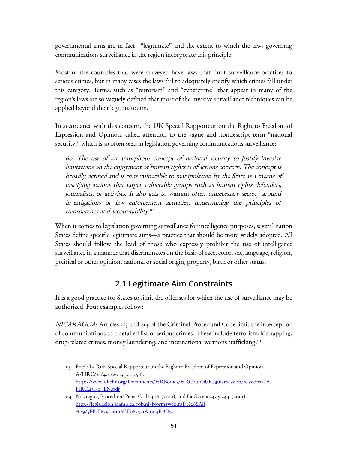governmental aims are in fact "legitimate" and the extent to which the laws governing communications surveillance in the region incorporate this principle.

Most of the countries that were surveyed have laws that limit surveillance practices to serious crimes, but in many cases the laws fail to adequately specify which crimes fall under this category. Terms, such as "terrorism" and "cybercrime" that appear in many of the region's laws are so vaguely defined that most of the invasive surveillance techniques can be applied beyond their legitimate aim.

In accordance with this concern, the UN Special Rapporteur on the Right to Freedom of Expression and Opinion, called attention to the vague and nondescript term "national security," which is so often seen in legislation governing communications surveillance:

60. The use of an amorphous concept of national security to justify invasive limitations on the enjoyment of human rights is of serious concern. The concept is broadly defined and is thus vulnerable to manipulation by the State as a means of justifying actions that target vulnerable groups such as human rights defenders, journalists, or activists. It also acts to warrant often unnecessary secrecy around investigations or law enforcement activities, undermining the principles of transparency and accountability."3

When it comes to legislation governing surveillance for intelligence purposes, several nation States define specific legitimate aims—a practice that should be more widely adopted. All States should follow the lead of those who expressly prohibit the use of intelligence surveillance in a manner that discriminates on the basis of race, color, sex, language, religion, political or other opinion, national or social origin, property, birth or other status.

### **2.1 Legitimate Aim Constraints**

It is a good practice for States to limit the offenses for which the use of surveillance may be authorized. Four examples follow:

NICARAGUA: Articles 213 and 214 of the Criminal Procedural Code limit the interception of communications to a detailed list of serious crimes. These include terrorism, kidnapping, drug-related crimes, money laundering, and international weapons trafficking."<sup>4</sup>

<span id="page-50-0"></span><sup>113</sup> Frank La Rue, Special Rapporteur on the Right to Freedom of Expression and Opinion, A/HRC/23/40, (2013, para. 58). [http://www.ohchr.org/Documents/HRBodies/HRCouncil/RegularSession/Session23/A.](http://www.ohchr.org/Documents/HRBodies/HRCouncil/RegularSession/Session23/A.HRC.23.40_EN.pdf) [HRC.23.40\\_EN.pdf](http://www.ohchr.org/Documents/HRBodies/HRCouncil/RegularSession/Session23/A.HRC.23.40_EN.pdf)

<span id="page-50-1"></span><sup>114</sup> Nicaragua, Procedural Penal Code 406, (2001), and La Gaceta 243 y 244, (2001). [http://legislacion.asamblea.gob.ni/Normaweb.nsf/%28\\$All](http://legislacion.asamblea.gob.ni/Normaweb.nsf/($All)/5EB5F629016016CE062571A1004F7C62) [%29/5EB5F629016016CE062571A1004F7C62](http://legislacion.asamblea.gob.ni/Normaweb.nsf/($All)/5EB5F629016016CE062571A1004F7C62)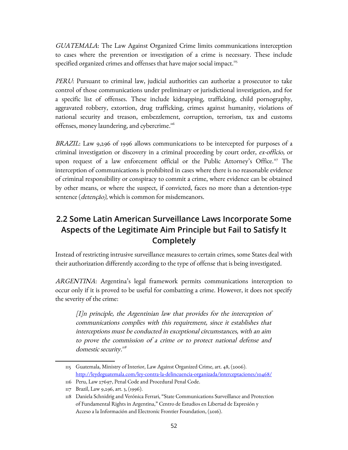GUATEMALA: The Law Against Organized Crime limits communications interception to cases where the prevention or investigation of a crime is necessary. These include specified organized crimes and offenses that have major social impact. $115$ 

PERU: Pursuant to criminal law, judicial authorities can authorize a prosecutor to take control of those communications under preliminary or jurisdictional investigation, and for a specific list of offenses. These include kidnapping, trafficking, child pornography, aggravated robbery, extortion, drug trafficking, crimes against humanity, violations of national security and treason, embezzlement, corruption, terrorism, tax and customs offenses, money laundering, and cybercrime.<sup>[116](#page-51-1)</sup>

BRAZIL: Law 9,296 of 1996 allows communications to be intercepted for purposes of a criminal investigation or discovery in a criminal proceeding by court order, ex-officio, or upon request of a law enforcement official or the Public Attorney's Office.<sup>[117](#page-51-2)</sup> The interception of communications is prohibited in cases where there is no reasonable evidence of criminal responsibility or conspiracy to commit a crime, where evidence can be obtained by other means, or where the suspect, if convicted, faces no more than a detention-type sentence (*detenção*), which is common for misdemeanors.

### **2.2 Some Latin American Surveillance Laws Incorporate Some Aspects of the Legitimate Aim Principle but Fail to Satisfy It Completely**

Instead of restricting intrusive surveillance measures to certain crimes, some States deal with their authorization differently according to the type of offense that is being investigated.

ARGENTINA: Argentina's legal framework permits communications interception to occur only if it is proved to be useful for combatting a crime. However, it does not specify the severity of the crime:

[I]n principle, the Argentinian law that provides for the interception of communications complies with this requirement, since it establishes that interceptions must be conducted in exceptional circumstances, with an aim to prove the commission of a crime or to protect national defense and domestic security."<sup>8</sup>

<span id="page-51-0"></span><sup>115</sup> Guatemala, Ministry of Interior, Law Against Organized Crime, art. 48, (2006). <http://leydeguatemala.com/ley-contra-la-delincuencia-organizada/interceptaciones/10468/>

<span id="page-51-1"></span><sup>116</sup> Peru, Law 27697, Penal Code and Procedural Penal Code.

<span id="page-51-2"></span><sup>117</sup> Brazil, Law 9,296, art. 3, (1996).

<span id="page-51-3"></span><sup>118</sup> Daniela Schnidrig and Verónica Ferrari, "State Communications Surveillance and Protection of Fundamental Rights in Argentina," Centro de Estudios en Libertad de Expresión y Acceso a la Información and Electronic Frontier Foundation, (2016).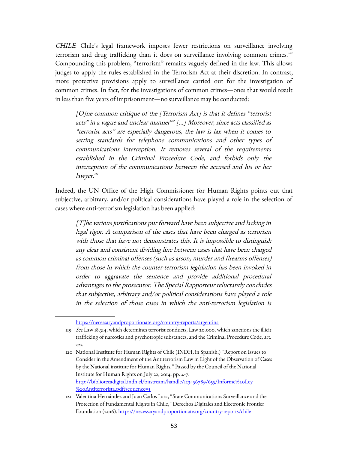CHILE: Chile's legal framework imposes fewer restrictions on surveillance involving terrorism and drug trafficking than it does on surveillance involving common crimes.<sup>[119](#page-52-0)</sup> Compounding this problem, "terrorism" remains vaguely defined in the law. This allows judges to apply the rules established in the Terrorism Act at their discretion. In contrast, more protective provisions apply to surveillance carried out for the investigation of common crimes. In fact, for the investigations of common crimes—ones that would result in less than five years of imprisonment—no surveillance may be conducted:

[O]ne common critique of the [Terrorism Act] is that it defines "terrorist acts" in a vague and unclear manner $^{\scriptscriptstyle 22}$  [...] Moreover, since acts classified as "terrorist acts" are especially dangerous, the law is lax when it comes to setting standards for telephone communications and other types of communications interception. It removes several of the requirements established in the Criminal Procedure Code, and forbids only the interception of the communications between the accused and his or her lawyer.<sup>[121](#page-52-2)</sup>

Indeed, the UN Office of the High Commissioner for Human Rights points out that subjective, arbitrary, and/or political considerations have played a role in the selection of cases where anti-terrorism legislation has been applied:

[T]he various justifications put forward have been subjective and lacking in legal rigor. A comparison of the cases that have been charged as terrorism with those that have not demonstrates this. It is impossible to distinguish any clear and consistent dividing line between cases that have been charged as common criminal offenses (such as arson, murder and firearms offenses) from those in which the counter-terrorism legislation has been invoked in order to aggravate the sentence and provide additional procedural advantages to the prosecutor. The Special Rapporteur reluctantly concludes that subjective, arbitrary and/or political considerations have played a role in the selection of those cases in which the anti-terrorism legislation is

<span id="page-52-0"></span><https://necessaryandproportionate.org/country-reports/argentina>

<sup>119</sup> See Law 18.314, which determines terrorist conducts, Law 20.000, which sanctions the illicit trafficking of narcotics and psychotropic substances, and the Criminal Procedure Code, art. 222

<span id="page-52-1"></span><sup>120</sup> National Institute for Human Rights of Chile (INDH, in Spanish.) "Report on Issues to Consider in the Amendment of the Antiterrorism Law in Light of the Observation of Cases by the National institute for Human Rights." Passed by the Council of the National Institute for Human Rights on July 22, 2014. pp. 4-7. [http://bibliotecadigital.indh.cl/bitstream/handle/123456789/655/Informe%20Ley](http://bibliotecadigital.indh.cl/bitstream/handle/123456789/655/Informe%20Ley%20Antiterrorista.pdf?sequence=1) [%20Antiterrorista.pdf?sequence=1](http://bibliotecadigital.indh.cl/bitstream/handle/123456789/655/Informe%20Ley%20Antiterrorista.pdf?sequence=1)

<span id="page-52-2"></span><sup>121</sup> Valentina Hernández and Juan Carlos Lara, "State Communications Surveillance and the Protection of Fundamental Rights in Chile," Derechos Digitales and Electronic Frontier Foundation (2016).<https://necessaryandproportionate.org/country-reports/chile>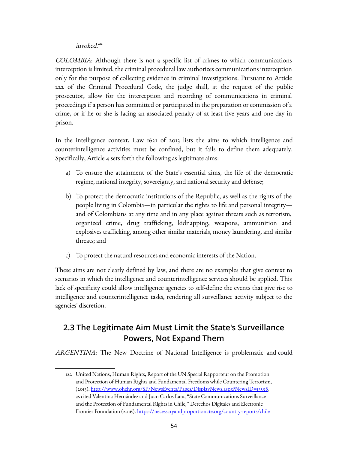#### invoked.<sup>[122](#page-53-0)</sup>

COLOMBIA: Although there is not a specific list of crimes to which communications interception is limited, the criminal procedural law authorizes communications interception only for the purpose of collecting evidence in criminal investigations. Pursuant to Article 222 of the Criminal Procedural Code, the judge shall, at the request of the public prosecutor, allow for the interception and recording of communications in criminal proceedings if a person has committed or participated in the preparation or commission of a crime, or if he or she is facing an associated penalty of at least five years and one day in prison.

In the intelligence context, Law 1621 of 2013 lists the aims to which intelligence and counterintelligence activities must be confined, but it fails to define them adequately. Specifically, Article 4 sets forth the following as legitimate aims:

- a) To ensure the attainment of the State's essential aims, the life of the democratic regime, national integrity, sovereignty, and national security and defense;
- b) To protect the democratic institutions of the Republic, as well as the rights of the people living in Colombia—in particular the rights to life and personal integrity and of Colombians at any time and in any place against threats such as terrorism, organized crime, drug trafficking, kidnapping, weapons, ammunition and explosives trafficking, among other similar materials, money laundering, and similar threats; and
- c) To protect the natural resources and economic interests of the Nation.

These aims are not clearly defined by law, and there are no examples that give context to scenarios in which the intelligence and counterintelligence services should be applied. This lack of specificity could allow intelligence agencies to self-define the events that give rise to intelligence and counterintelligence tasks, rendering all surveillance activity subject to the agencies' discretion.

### **2.3 The Legitimate Aim Must Limit the State's Surveillance Powers, Not Expand Them**

ARGENTINA: The New Doctrine of National Intelligence is problematic and could

<span id="page-53-0"></span><sup>122</sup> United Nations, Human Rights, Report of the UN Special Rapporteur on the Promotion and Protection of Human Rights and Fundamental Freedoms while Countering Terrorism, (2013). [http://www.ohchr.org/SP/NewsEvents/Pages/DisplayNews.aspx?NewsID=13598,](http://www.ohchr.org/SP/NewsEvents/Pages/DisplayNews.aspx?NewsID=13598) as cited Valentina Hernández and Juan Carlos Lara, "State Communications Surveillance and the Protection of Fundamental Rights in Chile," Derechos Digitales and Electronic Frontier Foundation (2016).<https://necessaryandproportionate.org/country-reports/chile>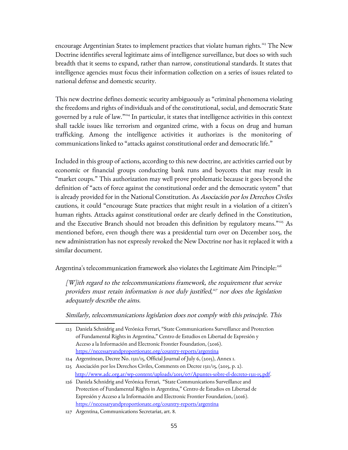encourage Argentinian States to implement practices that violate human rights.<sup>[123](#page-54-0)</sup> The New Doctrine identifies several legitimate aims of intelligence surveillance, but does so with such breadth that it seems to expand, rather than narrow, constitutional standards. It states that intelligence agencies must focus their information collection on a series of issues related to national defense and domestic security.

This new doctrine defines domestic security ambiguously as "criminal phenomena violating the freedoms and rights of individuals and of the constitutional, social, and democratic State governed by a rule of law."[124](#page-54-1) In particular, it states that intelligence activities in this context shall tackle issues like terrorism and organized crime, with a focus on drug and human trafficking. Among the intelligence activities it authorizes is the monitoring of communications linked to "attacks against constitutional order and democratic life."

Included in this group of actions, according to this new doctrine, are activities carried out by economic or financial groups conducting bank runs and boycotts that may result in "market coups." This authorization may well prove problematic because it goes beyond the definition of "acts of force against the constitutional order and the democratic system" that is already provided for in the National Constitution. As Asociación por los Derechos Civiles cautions, it could "encourage State practices that might result in a violation of a citizen's human rights. Attacks against constitutional order are clearly defined in the Constitution, and the Executive Branch should not broaden this definition by regulatory means."<sup>[125](#page-54-2)</sup> As mentioned before, even though there was a presidential turn over on December 2015, the new administration has not expressly revoked the New Doctrine nor has it replaced it with a similar document.

Argentina's telecommunication framework also violates the Legitimate Aim Principle:<sup>[126](#page-54-3)</sup>

[W]ith regard to the telecommunications framework, the requirement that service providers must retain information is not duly justified, [127](#page-54-4) nor does the legislation adequately describe the aims.

Similarly, telecommunications legislation does not comply with this principle. This

<span id="page-54-0"></span><sup>123</sup> Daniela Schnidrig and Verónica Ferrari, "State Communications Surveillance and Protection of Fundamental Rights in Argentina," Centro de Estudios en Libertad de Expresión y Acceso a la Información and Electronic Frontier Foundation, (2016). <https://necessaryandproportionate.org/country-reports/argentina>

<span id="page-54-1"></span><sup>124</sup> Argentinean, Decree No. 1311/15, Official Journal of July 6, (2015), Annex 1.

<span id="page-54-2"></span><sup>125</sup> Asociación por los Derechos Civiles, Comments on Decree 1311/15, (2015, p. 2). [http://www.adc.org.ar/wp-content/uploads/2015/07/Apuntes-sobre-el-decreto-1311-15.pdf.](http://www.adc.org.ar/wp-content/uploads/2015/07/Apuntes-sobre-el-decreto-1311-15.pdf)

<span id="page-54-3"></span><sup>126</sup> Daniela Schnidrig and Verónica Ferrari, "State Communications Surveillance and Protection of Fundamental Rights in Argentina," Centro de Estudios en Libertad de Expresión y Acceso a la Información and Electronic Frontier Foundation, (2016). <https://necessaryandproportionate.org/country-reports/argentina>

<span id="page-54-4"></span><sup>127</sup> Argentina, Communications Secretariat, art. 8.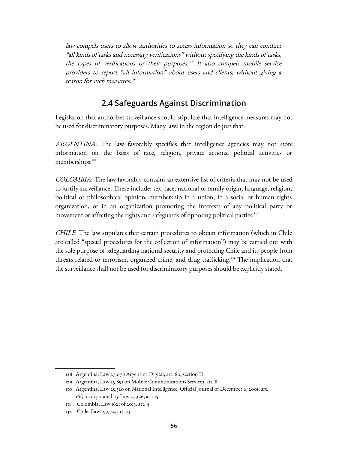law compels users to allow authorities to access information so they can conduct "all kinds of tasks and necessary verifications" without specifying the kinds of tasks, the types of verifications or their purposes. $^{128}$  $^{128}$  $^{128}$  It also compels mobile service providers to report "all information" about users and clients, without giving a reason for such measures. [129](#page-55-1)

#### **2.4 Safeguards Against Discrimination**

Legislation that authorizes surveillance should stipulate that intelligence measures may not be used for discriminatory purposes. Many laws in the region do just that.

ARGENTINA: The law favorably specifies that intelligence agencies may not store information on the basis of race, religion, private actions, political activities or memberships.<sup>[130](#page-55-2)</sup>

COLOMBIA: The law favorably contains an extensive list of criteria that may not be used to justify surveillance. These include: sex, race, national or family origin, language, religion, political or philosophical opinion, membership in a union, in a social or human rights organization, or in an organization promoting the interests of any political party or movement or affecting the rights and safeguards of opposing political parties.<sup>[131](#page-55-3)</sup>

CHILE: The law stipulates that certain procedures to obtain information (which in Chile are called "special procedures for the collection of information") may be carried out with the sole purpose of safeguarding national security and protecting Chile and its people from threats related to terrorism, organized crime, and drug trafficking.<sup>[132](#page-55-4)</sup> The implication that the surveillance shall not be used for discriminatory purposes should be explicitly stated.

<span id="page-55-0"></span><sup>128</sup> Argentina, Law 27,078 Argentina Digital, art. 60, section D.

<span id="page-55-1"></span><sup>129</sup> Argentina, Law 25,891 on Mobile Communications Services, art. 8.

<span id="page-55-2"></span><sup>130</sup> Argentina, Law 25,520 on National Intelligence, Official Journal of December 6, 2001, art. 16f, incorporated by Law 27,126, art. 15

<span id="page-55-3"></span><sup>131</sup> Colombia, Law 1621 of 2013, art. 4.

<span id="page-55-4"></span><sup>132</sup> Chile, Law 19,974, art. 23.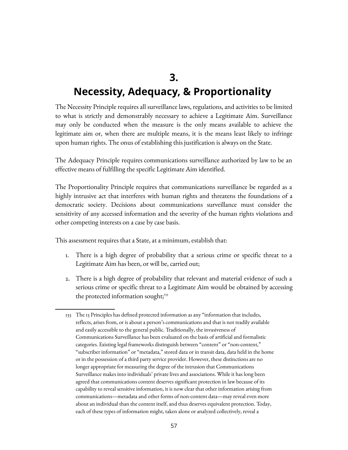# **3.**

# **Necessity, Adequacy, & Proportionality**

The Necessity Principle requires all surveillance laws, regulations, and activities to be limited to what is strictly and demonstrably necessary to achieve a Legitimate Aim. Surveillance may only be conducted when the measure is the only means available to achieve the legitimate aim or, when there are multiple means, it is the means least likely to infringe upon human rights. The onus of establishing this justification is always on the State.

The Adequacy Principle requires communications surveillance authorized by law to be an effective means of fulfilling the specific Legitimate Aim identified.

The Proportionality Principle requires that communications surveillance be regarded as a highly intrusive act that interferes with human rights and threatens the foundations of a democratic society. Decisions about communications surveillance must consider the sensitivity of any accessed information and the severity of the human rights violations and other competing interests on a case by case basis.

This assessment requires that a State, at a minimum, establish that:

- 1. There is a high degree of probability that a serious crime or specific threat to a Legitimate Aim has been, or will be, carried out;
- 2. There is a high degree of probability that relevant and material evidence of such a serious crime or specific threat to a Legitimate Aim would be obtained by accessing the protected information sought;<sup>[133](#page-56-0)</sup>

<span id="page-56-0"></span><sup>133</sup> The 13 Principles has defined protected information as any "information that includes, reflects, arises from, or is about a person's communications and that is not readily available and easily accessible to the general public. Traditionally, the invasiveness of Communications Surveillance has been evaluated on the basis of artificial and formalistic categories. Existing legal frameworks distinguish between "content" or "non-content," "subscriber information" or "metadata," stored data or in transit data, data held in the home or in the possession of a third party service provider. However, these distinctions are no longer appropriate for measuring the degree of the intrusion that Communications Surveillance makes into individuals' private lives and associations. While it has long been agreed that communications content deserves significant protection in law because of its capability to reveal sensitive information, it is now clear that other information arising from communications—metadata and other forms of non-content data—may reveal even more about an individual than the content itself, and thus deserves equivalent protection. Today, each of these types of information might, taken alone or analyzed collectively, reveal a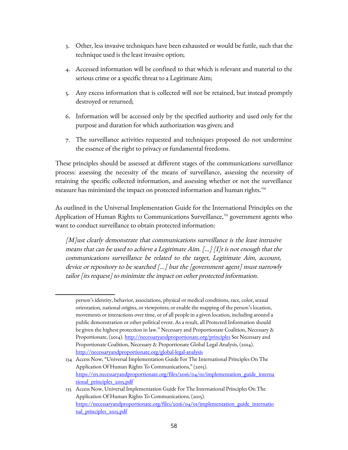- 3. Other, less invasive techniques have been exhausted or would be futile, such that the technique used is the least invasive option;
- 4. Accessed information will be confined to that which is relevant and material to the serious crime or a specific threat to a Legitimate Aim;
- 5. Any excess information that is collected will not be retained, but instead promptly destroyed or returned;
- 6. Information will be accessed only by the specified authority and used only for the purpose and duration for which authorization was given; and
- 7. The surveillance activities requested and techniques proposed do not undermine the essence of the right to privacy or fundamental freedoms.

These principles should be assessed at different stages of the communications surveillance process: assessing the necessity of the means of surveillance, assessing the necessity of retaining the specific collected information, and assessing whether or not the surveillance measure has minimized the impact on protected information and human rights.<sup>[134](#page-57-0)</sup>

As outlined in the Universal Implementation Guide for the International Principles on the Application of Human Rights to Communications Surveillance,<sup>[135](#page-57-1)</sup> government agents who want to conduct surveillance to obtain protected information:

[M]ust clearly demonstrate that communications surveillance is the least intrusive means that can be used to achieve a Legitimate Aim. […] [I]t is not enough that the communications surveillance be related to the target, Legitimate Aim, account, device or repository to be searched [...] but the [government agent] must narrowly tailor [its request] to minimize the impact on other protected information.

person's identity, behavior, associations, physical or medical conditions, race, color, sexual orientation, national origins, or viewpoints; or enable the mapping of the person's location, movements or interactions over time, or of all people in a given location, including around a public demonstration or other political event. As a result, all Protected Information should be given the highest protection in law." Necessary and Proportionate Coalition, Necessary & Proportionate, (2014).<http://necessaryandproportionate.org/principles>See Necessary and Proportionate Coalition, Necessary & Proportionate Global Legal Analysis, (2014). <http://necessaryandproportionate.org/global-legal-analysis>

<span id="page-57-0"></span><sup>134</sup> Access Now, "Universal Implementation Guide For The International Principles On The Application Of Human Rights To Communications," (2015). [https://en.necessaryandproportionate.org/files/2016/04/01/implementation\\_guide\\_interna](https://en.necessaryandproportionate.org/files/2016/04/01/implementation_guide_international_principles_2015.pdf) [tional\\_principles\\_2015.pdf](https://en.necessaryandproportionate.org/files/2016/04/01/implementation_guide_international_principles_2015.pdf)

<span id="page-57-1"></span><sup>135</sup> Access Now, Universal Implementation Guide For The International Principles On The Application Of Human Rights To Communications, (2015). [https://necessaryandproportionate.org/files/2016/04/01/implementation\\_guide\\_internatio](https://necessaryandproportionate.org/files/2016/04/01/implementation_guide_international_principles_2015.pdf) [nal\\_principles\\_2015.pdf](https://necessaryandproportionate.org/files/2016/04/01/implementation_guide_international_principles_2015.pdf)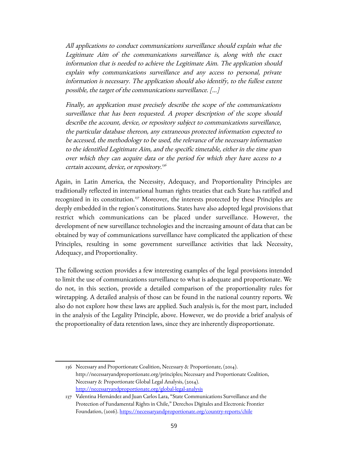All applications to conduct communications surveillance should explain what the Legitimate Aim of the communications surveillance is, along with the exact information that is needed to achieve the Legitimate Aim. The application should explain why communications surveillance and any access to personal, private information is necessary. The application should also identify, to the fullest extent possible, the target of the communications surveillance. […]

Finally, an application must precisely describe the scope of the communications surveillance that has been requested. A proper description of the scope should describe the account, device, or repository subject to communications surveillance, the particular database thereon, any extraneous protected information expected to be accessed, the methodology to be used, the relevance of the necessary information to the identified Legitimate Aim, and the specific timetable, either in the time span over which they can acquire data or the period for which they have access to a certain account, device, or repository. [136](#page-58-0)

Again, in Latin America, the Necessity, Adequacy, and Proportionality Principles are traditionally reflected in international human rights treaties that each State has ratified and recognized in its constitution.<sup>[137](#page-58-1)</sup> Moreover, the interests protected by these Principles are deeply embedded in the region's constitutions. States have also adopted legal provisions that restrict which communications can be placed under surveillance. However, the development of new surveillance technologies and the increasing amount of data that can be obtained by way of communications surveillance have complicated the application of these Principles, resulting in some government surveillance activities that lack Necessity, Adequacy, and Proportionality.

The following section provides a few interesting examples of the legal provisions intended to limit the use of communications surveillance to what is adequate and proportionate. We do not, in this section, provide a detailed comparison of the proportionality rules for wiretapping. A detailed analysis of those can be found in the national country reports. We also do not explore how these laws are applied. Such analysis is, for the most part, included in the analysis of the Legality Principle, above. However, we do provide a brief analysis of the proportionality of data retention laws, since they are inherently disproportionate.

<span id="page-58-0"></span><sup>136</sup> Necessary and Proportionate Coalition, Necessary & Proportionate, (2014). http://necessaryandproportionate.org/principles; Necessary and Proportionate Coalition, Necessary & Proportionate Global Legal Analysis, (2014). <http://necessaryandproportionate.org/global-legal-analysis>

<span id="page-58-1"></span><sup>137</sup> Valentina Hernández and Juan Carlos Lara, "State Communications Surveillance and the Protection of Fundamental Rights in Chile," Derechos Digitales and Electronic Frontier Foundation, (2016).<https://necessaryandproportionate.org/country-reports/chile>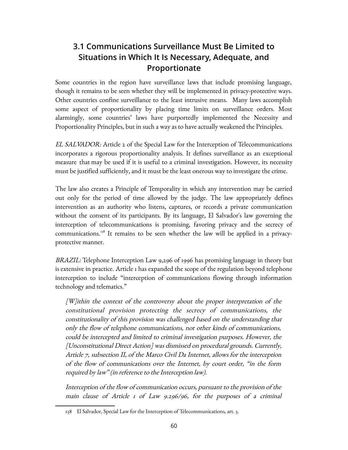### **3.1 Communications Surveillance Must Be Limited to Situations in Which It Is Necessary, Adequate, and Proportionate**

Some countries in the region have surveillance laws that include promising language, though it remains to be seen whether they will be implemented in privacy-protective ways. Other countries confine surveillance to the least intrusive means. Many laws accomplish some aspect of proportionality by placing time limits on surveillance orders. Most alarmingly, some countries' laws have purportedly implemented the Necessity and Proportionality Principles, but in such a way as to have actually weakened the Principles.

EL SALVADOR: Article 2 of the Special Law for the Interception of Telecommunications incorporates a rigorous proportionality analysis. It defines surveillance as an exceptional measure that may be used if it is useful to a criminal investigation. However, its necessity must be justified sufficiently, and it must be the least onerous way to investigate the crime.

The law also creates a Principle of Temporality in which any intervention may be carried out only for the period of time allowed by the judge. The law appropriately defines intervention as an authority who listens, captures, or records a private communication without the consent of its participants. By its language, El Salvador's law governing the interception of telecommunications is promising, favoring privacy and the secrecy of communications.<sup>[138](#page-59-0)</sup> It remains to be seen whether the law will be applied in a privacyprotective manner.

BRAZIL: Telephone Interception Law 9,296 of 1996 has promising language in theory but is extensive in practice. Article 1 has expanded the scope of the regulation beyond telephone interception to include "interception of communications flowing through information technology and telematics."

[W]ithin the context of the controversy about the proper interpretation of the constitutional provision protecting the secrecy of communications, the constitutionality of this provision was challenged based on the understanding that only the flow of telephone communications, not other kinds of communications, could be intercepted and limited to criminal investigation purposes. However, the [Unconstitutional Direct Action] was dismissed on procedural grounds. Currently, Article 7, subsection II, of the Marco Civil Da Internet, allows for the interception of the flow of communications over the Internet, by court order, "in the form required by law" (in reference to the Interception law).

Interception of the flow of communication occurs, pursuant to the provision of the main clause of Article 1 of Law 9.296/96, for the purposes of a criminal

<span id="page-59-0"></span><sup>138</sup> El Salvador, Special Law for the Interception of Telecommunications, art. 3.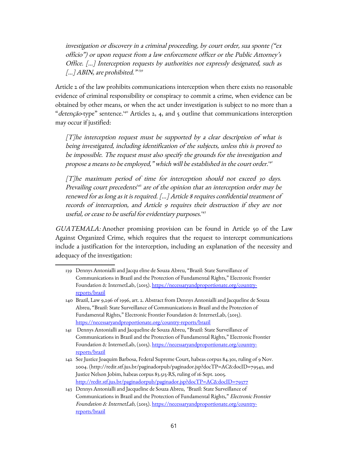investigation or discovery in a criminal proceeding, by court order, sua sponte ("ex officio") or upon request from a law enforcement officer or the Public Attorney's Office. […] Interception requests by authorities not expressly designated, such as [...] ABIN, are prohibited." <sup>339</sup>

Article 2 of the law prohibits communications interception when there exists no reasonable evidence of criminal responsibility or conspiracy to commit a crime, when evidence can be obtained by other means, or when the act under investigation is subject to no more than a "detenção-type" sentence.<sup>[140](#page-60-1)</sup> Articles 2, 4, and 5 outline that communications interception may occur if justified:

 $[T]$ he interception request must be supported by a clear description of what is being investigated, including identification of the subjects, unless this is proved to be impossible. The request must also specify the grounds for the investigation and propose a means to be employed," which will be established in the court order.<sup>[141](#page-60-2)</sup>

[T]he maximum period of time for interception should not exceed 30 days. Prevailing court precedents<sup>[142](#page-60-3)</sup> are of the opinion that an interception order may be renewed for as long as it is required. […] Article 8 requires confidential treatment of records of interception, and Article 9 requires their destruction if they are not useful, or cease to be useful for evidentiary purposes. [143](#page-60-4)

GUATEMALA: Another promising provision can be found in Article 50 of the Law Against Organized Crime, which requires that the request to intercept communications include a justification for the interception, including an explanation of the necessity and adequacy of the investigation:

<span id="page-60-0"></span><sup>139</sup> Dennys Antonialli and Jacqu eline de Souza Abreu, "Brazil: State Surveillance of Communications in Brazil and the Protection of Fundamental Rights," Electronic Frontier Foundation & InternetLab, (2015). [https://necessaryandproportionate.org/country](https://necessaryandproportionate.org/country-reports/brazil)[reports/brazil](https://necessaryandproportionate.org/country-reports/brazil)

<span id="page-60-1"></span><sup>140</sup> Brazil, Law 9,296 of 1996, art. 2. Abstract from Dennys Antonialli and Jacqueline de Souza Abreu, "Brazil: State Surveillance of Communications in Brazil and the Protection of Fundamental Rights," Electronic Frontier Foundation & InternetLab, (2015). <https://necessaryandproportionate.org/country-reports/brazil>

<span id="page-60-2"></span><sup>141</sup> Dennys Antonialli and Jacqueline de Souza Abreu, "Brazil: State Surveillance of Communications in Brazil and the Protection of Fundamental Rights," Electronic Frontier Foundation & InternetLab, (2015). [https://necessaryandproportionate.org/country](https://necessaryandproportionate.org/country-reports/brazil)[reports/brazil](https://necessaryandproportionate.org/country-reports/brazil)

<span id="page-60-3"></span><sup>142</sup> See Justice Joaquim Barbosa, Federal Supreme Court, habeas corpus 84.301, ruling of 9 Nov. 2004. (http://redir.stf.jus.br/paginadorpub/paginador.jsp?docTP=AC&docID=79542, and Justice Nelson Jobim, habeas corpus 83.515-RS, ruling of 16 Sept. 2005. <http://redir.stf.jus.br/paginadorpub/paginador.jsp?docTP=AC&docID=79377>

<span id="page-60-4"></span><sup>143</sup> Dennys Antonialli and Jacqueline de Souza Abreu, "Brazil: State Surveillance of Communications in Brazil and the Protection of Fundamental Rights," Electronic Frontier Foundation & InternetLab, (2015). [https://necessaryandproportionate.org/country](https://necessaryandproportionate.org/country-reports/brazil)[reports/brazil](https://necessaryandproportionate.org/country-reports/brazil)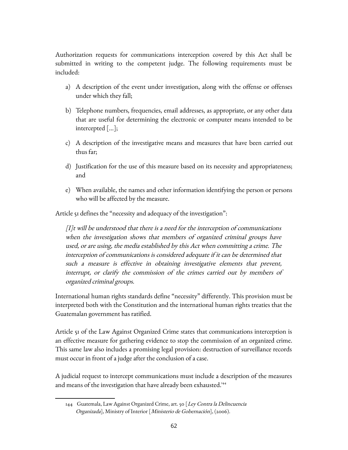Authorization requests for communications interception covered by this Act shall be submitted in writing to the competent judge. The following requirements must be included:

- a) A description of the event under investigation, along with the offense or offenses under which they fall;
- b) Telephone numbers, frequencies, email addresses, as appropriate, or any other data that are useful for determining the electronic or computer means intended to be intercepted [...];
- c) A description of the investigative means and measures that have been carried out thus far;
- d) Justification for the use of this measure based on its necessity and appropriateness; and
- e) When available, the names and other information identifying the person or persons who will be affected by the measure.

Article 51 defines the "necessity and adequacy of the investigation":

 $[1]$ t will be understood that there is a need for the interception of communications when the investigation shows that members of organized criminal groups have used, or are using, the media established by this Act when committing a crime. The interception of communications is considered adequate if it can be determined that such a measure is effective in obtaining investigative elements that prevent, interrupt, or clarify the commission of the crimes carried out by members of organized criminal groups.

International human rights standards define "necessity" differently. This provision must be interpreted both with the Constitution and the international human rights treaties that the Guatemalan government has ratified.

Article 51 of the Law Against Organized Crime states that communications interception is an effective measure for gathering evidence to stop the commission of an organized crime. This same law also includes a promising legal provision: destruction of surveillance records must occur in front of a judge after the conclusion of a case.

A judicial request to intercept communications must include a description of the measures and means of the investigation that have already been exhausted.<sup>[144](#page-61-0)</sup>

<span id="page-61-0"></span><sup>144</sup> Guatemala, Law Against Organized Crime, art. 50 [Ley Contra la Delincuencia Organizada], Ministry of Interior [Ministerio de Gobernación], (2006).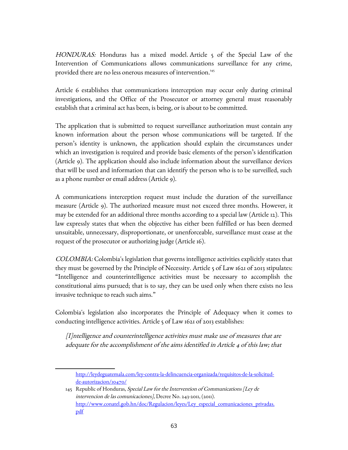HONDURAS: Honduras has a mixed model. Article 5 of the Special Law of the Intervention of Communications allows communications surveillance for any crime, provided there are no less onerous measures of intervention.<sup>[145](#page-62-0)</sup>

Article 6 establishes that communications interception may occur only during criminal investigations, and the Office of the Prosecutor or attorney general must reasonably establish that a criminal act has been, is being, or is about to be committed.

The application that is submitted to request surveillance authorization must contain any known information about the person whose communications will be targeted. If the person's identity is unknown, the application should explain the circumstances under which an investigation is required and provide basic elements of the person's identification (Article 9). The application should also include information about the surveillance devices that will be used and information that can identify the person who is to be surveilled, such as a phone number or email address (Article 9).

A communications interception request must include the duration of the surveillance measure (Article 9). The authorized measure must not exceed three months. However, it may be extended for an additional three months according to a special law (Article 12). This law expressly states that when the objective has either been fulfilled or has been deemed unsuitable, unnecessary, disproportionate, or unenforceable, surveillance must cease at the request of the prosecutor or authorizing judge (Article 16).

COLOMBIA: Colombia's legislation that governs intelligence activities explicitly states that they must be governed by the Principle of Necessity. Article 5 of Law 1621 of 2013 stipulates: "Intelligence and counterintelligence activities must be necessary to accomplish the constitutional aims pursued; that is to say, they can be used only when there exists no less invasive technique to reach such aims."

Colombia's legislation also incorporates the Principle of Adequacy when it comes to conducting intelligence activities. Article 5 of Law 1621 of 2013 establishes:

[I]ntelligence and counterintelligence activities must make use of measures that are adequate for the accomplishment of the aims identified in Article 4 of this law; that

[http://leydeguatemala.com/ley-contra-la-delincuencia-organizada/requisitos-de-la-solicitud](http://leydeguatemala.com/ley-contra-la-delincuencia-organizada/requisitos-de-la-solicitud-de-autorizacion/10470/)[de-autorizacion/10470/](http://leydeguatemala.com/ley-contra-la-delincuencia-organizada/requisitos-de-la-solicitud-de-autorizacion/10470/)

<span id="page-62-0"></span><sup>145</sup> Republic of Honduras, Special Law for the Intervention of Communications [Ley de intervencion de las comunicaciones], Decree No. 243-2011, (2011). [http://www.conatel.gob.hn/doc/Regulacion/leyes/Ley\\_especial\\_comunicaciones\\_privadas.](http://www.conatel.gob.hn/doc/Regulacion/leyes/Ley_especial_comunicaciones_privadas.pdf) [pdf](http://www.conatel.gob.hn/doc/Regulacion/leyes/Ley_especial_comunicaciones_privadas.pdf)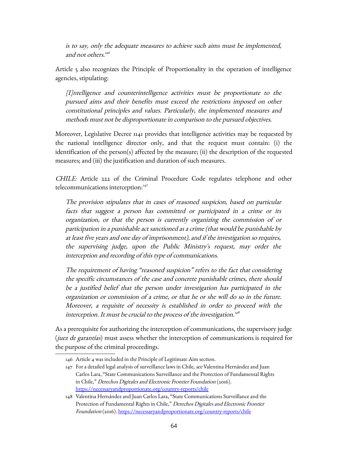is to say, only the adequate measures to achieve such aims must be implemented, and not others. [146](#page-63-0)

Article 5 also recognizes the Principle of Proportionality in the operation of intelligence agencies, stipulating:

[I]ntelligence and counterintelligence activities must be proportionate to the pursued aims and their benefits must exceed the restrictions imposed on other constitutional principles and values. Particularly, the implemented measures and methods must not be disproportionate in comparison to the pursued objectives.

Moreover, Legislative Decree 1141 provides that intelligence activities may be requested by the national intelligence director only, and that the request must contain: (i) the identification of the person(s) affected by the measure; (ii) the description of the requested measures; and (iii) the justification and duration of such measures.

CHILE: Article 222 of the Criminal Procedure Code regulates telephone and other telecommunications interception:<sup>[147](#page-63-1)</sup>

The provision stipulates that in cases of reasoned suspicion, based on particular facts that suggest a person has committed or participated in a crime or its organization, or that the person is currently organizing the commission of or participation in a punishable act sanctioned as a crime (that would be punishable by at least five years and one day of imprisonment), and if the investigation so requires, the supervising judge, upon the Public Ministry's request, may order the interception and recording of this type of communications.

The requirement of having "reasoned suspicion" refers to the fact that considering the specific circumstances of the case and concrete punishable crimes, there should be a justified belief that the person under investigation has participated in the organization or commission of a crime, or that he or she will do so in the future. Moreover, a requisite of necessity is established in order to proceed with the interception. It must be crucial to the process of the investigation. $^{\scriptscriptstyle 148}$  $^{\scriptscriptstyle 148}$  $^{\scriptscriptstyle 148}$ 

As a prerequisite for authorizing the interception of communications, the supervisory judge (juez de garantías) must assess whether the interception of communications is required for the purpose of the criminal proceedings.

<span id="page-63-0"></span><sup>146</sup> Article 4 was included in the Principle of Legitimate Aim section.

<span id="page-63-1"></span><sup>147</sup> For a detailed legal analysis of surveillance laws in Chile, see Valentina Hernández and Juan Carlos Lara, "State Communications Surveillance and the Protection of Fundamental Rights in Chile," Derechos Digitales and Electronic Frontier Foundation (2016). <https://necessaryandproportionate.org/country-reports/chile>

<span id="page-63-2"></span><sup>148</sup> Valentina Hernández and Juan Carlos Lara, "State Communications Surveillance and the Protection of Fundamental Rights in Chile," Derechos Digitales and Electronic Frontier Foundation (2016).<https://necessaryandproportionate.org/country-reports/chile>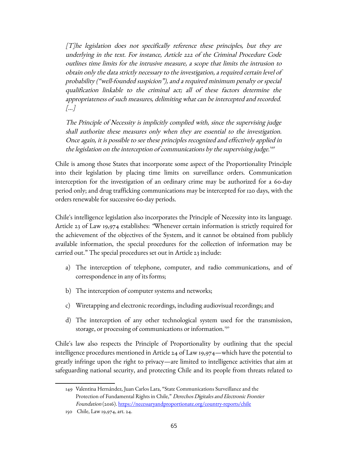[T]he legislation does not specifically reference these principles, but they are underlying in the text. For instance, Article 222 of the Criminal Procedure Code outlines time limits for the intrusive measure, a scope that limits the intrusion to obtain only the data strictly necessary to the investigation, a required certain level of probability ("well-founded suspicion"), and a required minimum penalty or special qualification linkable to the criminal act; all of these factors determine the appropriateness of such measures, delimiting what can be intercepted and recorded. […]

The Principle of Necessity is implicitly complied with, since the supervising judge shall authorize these measures only when they are essential to the investigation. Once again, it is possible to see these principles recognized and effectively applied in the legislation on the interception of communications by the supervising judge.<sup>[149](#page-64-0)</sup>

Chile is among those States that incorporate some aspect of the Proportionality Principle into their legislation by placing time limits on surveillance orders. Communication interception for the investigation of an ordinary crime may be authorized for a 60-day period only; and drug trafficking communications may be intercepted for 120 days, with the orders renewable for successive 60-day periods.

Chile's intelligence legislation also incorporates the Principle of Necessity into its language. Article 23 of Law 19,974 establishes: "Whenever certain information is strictly required for the achievement of the objectives of the System, and it cannot be obtained from publicly available information, the special procedures for the collection of information may be carried out." The special procedures set out in Article 23 include:

- a) The interception of telephone, computer, and radio communications, and of correspondence in any of its forms;
- b) The interception of computer systems and networks;
- c) Wiretapping and electronic recordings, including audiovisual recordings; and
- d) The interception of any other technological system used for the transmission, storage, or processing of communications or information.<sup>[150](#page-64-1)</sup>

Chile's law also respects the Principle of Proportionality by outlining that the special intelligence procedures mentioned in Article 24 of Law 19,974—which have the potential to greatly infringe upon the right to privacy—are limited to intelligence activities that aim at safeguarding national security, and protecting Chile and its people from threats related to

<span id="page-64-0"></span><sup>149</sup> Valentina Hernández, Juan Carlos Lara, "State Communications Surveillance and the Protection of Fundamental Rights in Chile," Derechos Digitales and Electronic Frontier Foundation (2016).<https://necessaryandproportionate.org/country-reports/chile>

<span id="page-64-1"></span><sup>150</sup> Chile, Law 19,974, art. 24.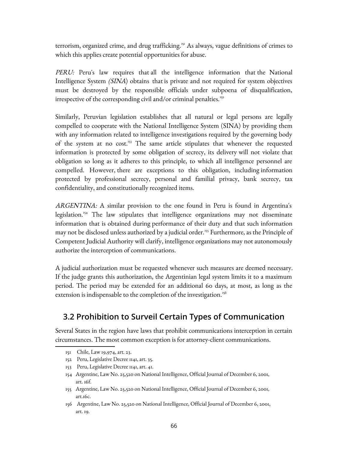terrorism, organized crime, and drug trafficking.[151](#page-65-0) As always, vague definitions of crimes to which this applies create potential opportunities for abuse.

PERU: Peru's law requires that all the intelligence information that the National Intelligence System (SINA) obtains that is private and not required for system objectives must be destroyed by the responsible officials under subpoena of disqualification, irrespective of the corresponding civil and/or criminal penalties.<sup>[152](#page-65-1)</sup>

Similarly, Peruvian legislation establishes that all natural or legal persons are legally compelled to cooperate with the National Intelligence System (SINA) by providing them with any information related to intelligence investigations required by the governing body of the system at no cost.<sup>[153](#page-65-2)</sup> The same article stipulates that whenever the requested information is protected by some obligation of secrecy, its delivery will not violate that obligation so long as it adheres to this principle, to which all intelligence personnel are compelled. However, there are exceptions to this obligation, including information protected by professional secrecy, personal and familial privacy, bank secrecy, tax confidentiality, and constitutionally recognized items.

ARGENTINA: A similar provision to the one found in Peru is found in Argentina's legislation.<sup>[154](#page-65-3)</sup> The law stipulates that intelligence organizations may not disseminate information that is obtained during performance of their duty and that such information may not be disclosed unless authorized by a judicial order.<sup>[155](#page-65-4)</sup> Furthermore, as the Principle of Competent Judicial Authority will clarify, intelligence organizations may not autonomously authorize the interception of communications.

A judicial authorization must be requested whenever such measures are deemed necessary. If the judge grants this authorization, the Argentinian legal system limits it to a maximum period. The period may be extended for an additional 60 days, at most, as long as the extension is indispensable to the completion of the investigation.<sup>[156](#page-65-5)</sup>

### **3.2 Prohibition to Surveil Certain Types of Communication**

Several States in the region have laws that prohibit communications interception in certain circumstances. The most common exception is for attorney-client communications.

- <span id="page-65-0"></span>151 Chile, Law 19,974, art. 23.
- <span id="page-65-1"></span>152 Peru, Legislative Decree 1141, art. 35.
- <span id="page-65-2"></span>153 Peru, Legislative Decree 1141, art. 41.
- <span id="page-65-3"></span>154 Argentine, Law No. 25,520 on National Intelligence, Official Journal of December 6, 2001, art. 16f.
- <span id="page-65-4"></span>155 Argentine, Law No. 25,520 on National Intelligence, Official Journal of December 6, 2001, art.16c.
- <span id="page-65-5"></span>156 Argentine, Law No. 25,520 on National Intelligence, Official Journal of December 6, 2001, art. 19.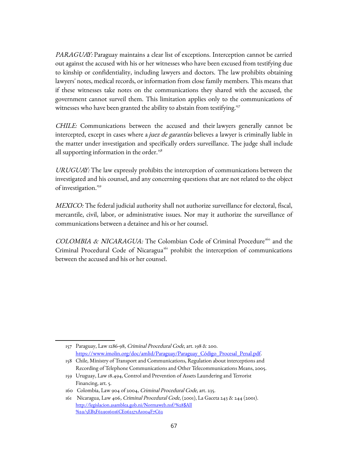PARAGUAY: Paraguay maintains a clear list of exceptions. Interception cannot be carried out against the accused with his or her witnesses who have been excused from testifying due to kinship or confidentiality, including lawyers and doctors. The law prohibits obtaining lawyers' notes, medical records, or information from close family members. This means that if these witnesses take notes on the communications they shared with the accused, the government cannot surveil them. This limitation applies only to the communications of witnesses who have been granted the ability to abstain from testifying.<sup>[157](#page-66-0)</sup>

CHILE: Communications between the accused and their lawyers generally cannot be intercepted, except in cases where a *juez de garantías* believes a lawyer is criminally liable in the matter under investigation and specifically orders surveillance. The judge shall include all supporting information in the order.<sup>[158](#page-66-1)</sup>

URUGUAY: The law expressly prohibits the interception of communications between the investigated and his counsel, and any concerning questions that are not related to the object of investigation.<sup>[159](#page-66-2)</sup>

MEXICO: The federal judicial authority shall not authorize surveillance for electoral, fiscal, mercantile, civil, labor, or administrative issues. Nor may it authorize the surveillance of communications between a detainee and his or her counsel.

COLOMBIA & NICARAGUA: The Colombian Code of Criminal Procedure<sup>[160](#page-66-3)</sup> and the Criminal Procedural Code of Nicaragua<sup>[161](#page-66-4)</sup> prohibit the interception of communications between the accused and his or her counsel.

<span id="page-66-0"></span><sup>157</sup> Paraguay, Law 1286-98, Criminal Procedural Code, art. 198 & 200. [https://www.imolin.org/doc/amlid/Paraguay/Paraguay\\_Código\\_Procesal\\_Penal.pdf.](https://www.imolin.org/doc/amlid/Paraguay/Paraguay_C%C3%B3digo_Procesal_Penal.pdf)

<span id="page-66-1"></span><sup>158</sup> Chile, Ministry of Transport and Communications, Regulation about interceptions and Recording of Telephone Communications and Other Telecommunications Means, 2005.

<span id="page-66-2"></span><sup>159</sup> Uruguay, Law 18.494, Control and Prevention of Assets Laundering and Terrorist Financing, art. 5.

<span id="page-66-3"></span><sup>160</sup> Colombia, Law 904 of 2004, Criminal Procedural Code, art. 235.

<span id="page-66-4"></span><sup>161</sup> Nicaragua, Law 406, Criminal Procedural Code, (2001), La Gaceta 243 & 244 (2001). [http://legislacion.asamblea.gob.ni/Normaweb.nsf/%28\\$All](http://legislacion.asamblea.gob.ni/Normaweb.nsf/($All)/5EB5F629016016CE062571A1004F7C62) [%29/5EB5F629016016CE062571A1004F7C62](http://legislacion.asamblea.gob.ni/Normaweb.nsf/($All)/5EB5F629016016CE062571A1004F7C62)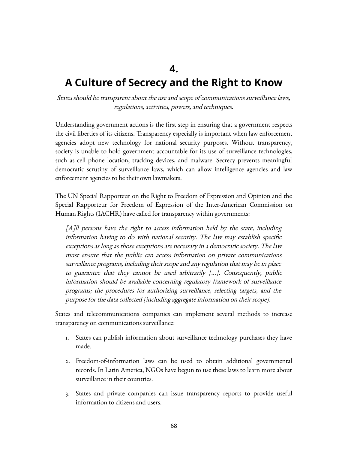## **4.**

# **A Culture of Secrecy and the Right to Know**

States should be transparent about the use and scope of communications surveillance laws, regulations, activities, powers, and techniques.

Understanding government actions is the first step in ensuring that a government respects the civil liberties of its citizens. Transparency especially is important when law enforcement agencies adopt new technology for national security purposes. Without transparency, society is unable to hold government accountable for its use of surveillance technologies, such as cell phone location, tracking devices, and malware. Secrecy prevents meaningful democratic scrutiny of surveillance laws, which can allow intelligence agencies and law enforcement agencies to be their own lawmakers.

The UN Special Rapporteur on the Right to Freedom of Expression and Opinion and the Special Rapporteur for Freedom of Expression of the Inter-American Commission on Human Rights (IACHR) have called for transparency within governments:

[A]ll persons have the right to access information held by the state, including information having to do with national security. The law may establish specific exceptions as long as those exceptions are necessary in a democratic society. The law must ensure that the public can access information on private communications surveillance programs, including their scope and any regulation that may be in place to guarantee that they cannot be used arbitrarily [...]. Consequently, public information should be available concerning regulatory framework of surveillance programs; the procedures for authorizing surveillance, selecting targets, and the purpose for the data collected [including aggregate information on their scope].

States and telecommunications companies can implement several methods to increase transparency on communications surveillance:

- 1. States can publish information about surveillance technology purchases they have made.
- 2. Freedom-of-information laws can be used to obtain additional governmental records. In Latin America, NGOs have begun to use these laws to learn more about surveillance in their countries.
- 3. States and private companies can issue transparency reports to provide useful information to citizens and users.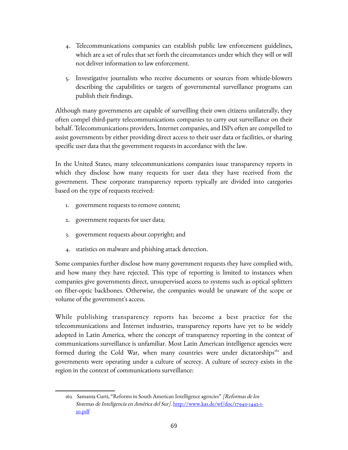- 4. Telecommunications companies can establish public law enforcement guidelines, which are a set of rules that set forth the circumstances under which they will or will not deliver information to law enforcement.
- 5. Investigative journalists who receive documents or sources from whistle-blowers describing the capabilities or targets of governmental surveillance programs can publish their findings.

Although many governments are capable of surveilling their own citizens unilaterally, they often compel third-party telecommunications companies to carry out surveillance on their behalf. Telecommunications providers, Internet companies, and ISPs often are compelled to assist governments by either providing direct access to their user data or facilities, or sharing specific user data that the government requests in accordance with the law.

In the United States, many telecommunications companies issue transparency reports in which they disclose how many requests for user data they have received from the government. These corporate transparency reports typically are divided into categories based on the type of requests received:

- 1. government requests to remove content;
- 2. government requests for user data;
- 3. government requests about copyright; and
- 4. statistics on malware and phishing attack detection.

Some companies further disclose how many government requests they have complied with, and how many they have rejected. This type of reporting is limited to instances when companies give governments direct, unsupervised access to systems such as optical splitters on fiber-optic backbones. Otherwise, the companies would be unaware of the scope or volume of the government's access.

While publishing transparency reports has become a best practice for the telecommunications and Internet industries, transparency reports have yet to be widely adopted in Latin America, where the concept of transparency reporting in the context of communications surveillance is unfamiliar. Most Latin American intelligence agencies were formed during the Cold War, when many countries were under dictatorships<sup>[162](#page-68-0)</sup> and governments were operating under a culture of secrecy. A culture of secrecy exists in the region in the context of communications surveillance:

<span id="page-68-0"></span><sup>162</sup> Samanta Curti, "Reforms in South American Intelligence agencies" [Reformas de los Sistemas de Inteligencia en América del Sur]. [http://www.kas.de/wf/doc/17940-1442-1-](http://www.kas.de/wf/doc/17940-1442-1-30.pdf) [30.pdf](http://www.kas.de/wf/doc/17940-1442-1-30.pdf)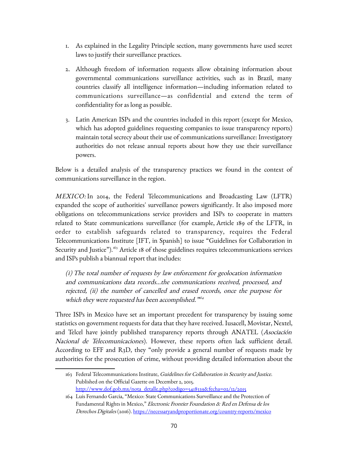- 1. As explained in the Legality Principle section, many governments have used secret laws to justify their surveillance practices.
- 2. Although freedom of information requests allow obtaining information about governmental communications surveillance activities, such as in Brazil, many countries classify all intelligence information—including information related to communications surveillance—as confidential and extend the term of confidentiality for as long as possible.
- 3. Latin American ISPs and the countries included in this report (except for Mexico, which has adopted guidelines requesting companies to issue transparency reports) maintain total secrecy about their use of communications surveillance: Investigatory authorities do not release annual reports about how they use their surveillance powers.

Below is a detailed analysis of the transparency practices we found in the context of communications surveillance in the region.

MEXICO: In 2014, the Federal Telecommunications and Broadcasting Law (LFTR) expanded the scope of authorities' surveillance powers significantly. It also imposed more obligations on telecommunications service providers and ISPs to cooperate in matters related to State communications surveillance (for example, Article 189 of the LFTR, in order to establish safeguards related to transparency, requires the Federal Telecommunications Institute [IFT, in Spanish] to issue "Guidelines for Collaboration in Security and Justice").<sup>[163](#page-69-0)</sup> Article 18 of those guidelines requires telecommunications services and ISPs publish a biannual report that includes:

(i) The total number of requests by law enforcement for geolocation information and communications data records...the communications received, processed, and rejected, (ii) the number of cancelled and erased records, once the purpose for which they were requested has been accomplished."<sup>564</sup>

Three ISPs in Mexico have set an important precedent for transparency by issuing some statistics on government requests for data that they have received. Iusacell, Movistar, Nextel, and Telcel have jointly published transparency reports through ANATEL (Asociación Nacional de Telecomunicaciones). However, these reports often lack sufficient detail. According to EFF and R3D, they "only provide a general number of requests made by authorities for the prosecution of crime, without providing detailed information about the

<span id="page-69-0"></span><sup>163</sup> Federal Telecommunications Institute, Guidelines for Collaboration in Security and Justice. Published on the Official Gazette on December 2, 2015. [http://www.dof.gob.mx/nota\\_detalle.php?codigo=5418339&fecha=02/12/2015](http://www.dof.gob.mx/nota_detalle.php?codigo=5418339&fecha=02/12/2015) 

<span id="page-69-1"></span><sup>164</sup> Luis Fernando Garcia, "Mexico: State Communications Surveillance and the Protection of Fundamental Rights in Mexico," Electronic Frontier Foundation & Red en Defensa de los Derechos Digitales (2016). <https://necessaryandproportionate.org/country-reports/mexico>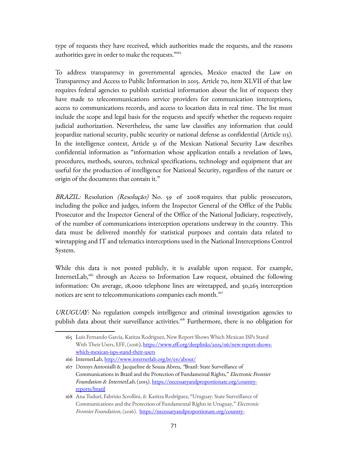type of requests they have received, which authorities made the requests, and the reasons authorities gave in order to make the requests."<sup>[165](#page-70-0)</sup>

To address transparency in governmental agencies, Mexico enacted the Law on Transparency and Access to Public Information in 2015. Article 70, item XLVII of that law requires federal agencies to publish statistical information about the list of requests they have made to telecommunications service providers for communication interceptions, access to communications records, and access to location data in real time. The list must include the scope and legal basis for the requests and specify whether the requests require judicial authorization. Nevertheless, the same law classifies any information that could jeopardize national security, public security or national defense as confidential (Article 113). In the intelligence context, Article 51 of the Mexican National Security Law describes confidential information as "information whose application entails a revelation of laws, procedures, methods, sources, technical specifications, technology and equipment that are useful for the production of intelligence for National Security, regardless of the nature or origin of the documents that contain it."

BRAZIL: Resolution *(Resolução)* No. 59 of 2008 requires that public prosecutors, including the police and judges, inform the Inspector General of the Office of the Public Prosecutor and the Inspector General of the Office of the National Judiciary, respectively, of the number of communications interception operations underway in the country. This data must be delivered monthly for statistical purposes and contain data related to wiretapping and IT and telematics interceptions used in the National Interceptions Control System.

While this data is not posted publicly, it is available upon request. For example, InternetLab,<sup>[166](#page-70-1)</sup> through an Access to Information Law request, obtained the following information: On average, 18,000 telephone lines are wiretapped, and 50,265 interception notices are sent to telecommunications companies each month.<sup>[167](#page-70-2)</sup>

URUGUAY: No regulation compels intelligence and criminal investigation agencies to publish data about their surveillance activities.<sup>[168](#page-70-3)</sup> Furthermore, there is no obligation for

<span id="page-70-0"></span><sup>165</sup> Luis Fernando Garcia, Katitza Rodriguez, New Report Shows Which Mexican ISPs Stand With Their Users, EFF, (2016), [https://www.eff.org/deeplinks/2015/06/new-report-shows](https://www.eff.org/deeplinks/2015/06/new-report-shows-which-mexican-isps-stand-their-users)[which-mexican-isps-stand-their-users](https://www.eff.org/deeplinks/2015/06/new-report-shows-which-mexican-isps-stand-their-users)

<span id="page-70-1"></span><sup>166</sup> InternetLab,<http://www.internetlab.org.br/en/about/>

<span id="page-70-2"></span><sup>167</sup> Dennys Antonialli & Jacqueline de Souza Abreu, "Brazil: State Surveillance of Communications in Brazil and the Protection of Fundamental Rights," Electronic Frontier Foundation & InternetLab, (2015). [https://necessaryandproportionate.org/country](https://necessaryandproportionate.org/country-reports/brazil)[reports/brazil](https://necessaryandproportionate.org/country-reports/brazil)

<span id="page-70-3"></span><sup>168</sup> Ana Tudurí, Fabrizio Scrollini, & Katitza Rodríguez, "Uruguay: State Surveillance of Communications and the Protection of Fundamental Rights in Uruguay," Electronic Frontier Foundation, (2016). [https://necessaryandproportionate.org/country-](https://necessaryandproportionate.org/country-reports/uruguay)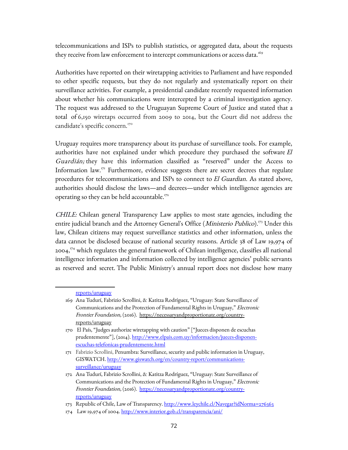telecommunications and ISPs to publish statistics, or aggregated data, about the requests they receive from law enforcement to intercept communications or access data.<sup>[169](#page-71-0)</sup>

Authorities have reported on their wiretapping activities to Parliament and have responded to other specific requests, but they do not regularly and systematically report on their surveillance activities. For example, a presidential candidate recently requested information about whether his communications were intercepted by a criminal investigation agency. The request was addressed to the Uruguayan Supreme Court of Justice and stated that a total of 6,150 wiretaps occurred from 2009 to 2014, but the Court did not address the candidate's specific concern.<sup>[170](#page-71-1)</sup>

Uruguay requires more transparency about its purchase of surveillance tools. For example, authorities have not explained under which procedure they purchased the software El Guardián; they have this information classified as "reserved" under the Access to Information law.<sup>[171](#page-71-2)</sup> Furthermore, evidence suggests there are secret decrees that regulate procedures for telecommunications and ISPs to connect to El Guardian. As stated above, authorities should disclose the laws—and decrees—under which intelligence agencies are operating so they can be held accountable.<sup>[172](#page-71-3)</sup>

CHILE: Chilean general Transparency Law applies to most state agencies, including the entire judicial branch and the Attorney General's Office (*Ministerio Publico*).<sup>[173](#page-71-4)</sup> Under this law, Chilean citizens may request surveillance statistics and other information, unless the data cannot be disclosed because of national security reasons. Article 38 of Law 19,974 of 2004, [174](#page-71-5) which regulates the general framework of Chilean intelligence, classifies all national intelligence information and information collected by intelligence agencies' public servants as reserved and secret. The Public Ministry's annual report does not disclose how many

<span id="page-71-0"></span>[reports/uruguay](https://necessaryandproportionate.org/country-reports/uruguay)

<sup>169</sup> Ana Tudurí, Fabrizio Scrollini, & Katitza Rodríguez, "Uruguay: State Surveillance of Communications and the Protection of Fundamental Rights in Uruguay," Electronic Frontier Foundation, (2016). [https://necessaryandproportionate.org/country](https://necessaryandproportionate.org/country-reports/uruguay)[reports/uruguay](https://necessaryandproportionate.org/country-reports/uruguay)

<span id="page-71-1"></span><sup>170</sup> El País, "Judges authorize wiretapping with caution" ["Jueces disponen de escuchas prudentemente"], (2014). [http://www.elpais.com.uy/informacion/jueces-disponen](http://www.elpais.com.uy/informacion/jueces-disponen-escuchas-telefonicas-prudentemente.htm)[escuchas-telefonicas-prudentemente.html](http://www.elpais.com.uy/informacion/jueces-disponen-escuchas-telefonicas-prudentemente.htm)

<span id="page-71-2"></span><sup>171</sup> Fabrizio Scrollini, Penumbra: Surveillance, security and public information in Uruguay, GISWATCH. [http://www.giswatch.org/en/country-report/communications](http://www.giswatch.org/en/country-report/communications-surveillance/uruguay)[surveillance/uruguay](http://www.giswatch.org/en/country-report/communications-surveillance/uruguay)

<span id="page-71-3"></span><sup>172</sup> Ana Tudurí, Fabrizio Scrollini, & Katitza Rodríguez, "Uruguay: State Surveillance of Communications and the Protection of Fundamental Rights in Uruguay," Electronic Frontier Foundation, (2016). [https://necessaryandproportionate.org/country](https://necessaryandproportionate.org/country-reports/uruguay)[reports/uruguay](https://necessaryandproportionate.org/country-reports/uruguay)

<span id="page-71-4"></span><sup>173</sup> Republic of Chile, Law of Transparency.<http://www.leychile.cl/Navegar?idNorma=276363>

<span id="page-71-5"></span><sup>174</sup> Law 19,974 of 2004.<http://www.interior.gob.cl/transparencia/ani/>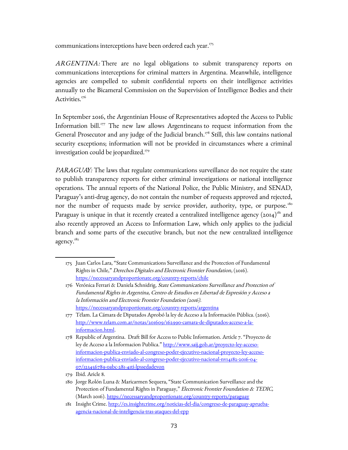communications interceptions have been ordered each year.<sup>[175](#page-72-0)</sup>

ARGENTINA: There are no legal obligations to submit transparency reports on communications interceptions for criminal matters in Argentina. Meanwhile, intelligence agencies are compelled to submit confidential reports on their intelligence activities annually to the Bicameral Commission on the Supervision of Intelligence Bodies and their Activities.<sup>[176](#page-72-1)</sup>

In September 2016, the Argentinian House of Representatives adopted the Access to Public Information bill.<sup>[177](#page-72-2)</sup> The new law allows Argentineans to request information from the General Prosecutor and any judge of the Judicial branch.<sup>[178](#page-72-3)</sup> Still, this law contains national security exceptions; information will not be provided in circumstances where a criminal investigation could be jeopardized. $179$ 

PARAGUAY: The laws that regulate communications surveillance do not require the state to publish transparency reports for either criminal investigations or national intelligence operations. The annual reports of the National Police, the Public Ministry, and SENAD, Paraguay's anti-drug agency, do not contain the number of requests approved and rejected, nor the number of requests made by service provider, authority, type, or purpose.<sup>[180](#page-72-5)</sup> Paraguay is unique in that it recently created a centralized intelligence agency  $(2014)^{181}$  $(2014)^{181}$  $(2014)^{181}$  and also recently approved an Access to Information Law, which only applies to the judicial branch and some parts of the executive branch, but not the new centralized intelligence agency.<sup>182</sup>

<span id="page-72-0"></span><sup>175</sup> Juan Carlos Lara, "State Communications Surveillance and the Protection of Fundamental Rights in Chile," Derechos Digitales and Electronic Frontier Foundation, (2016). <https://necessaryandproportionate.org/country-reports/chile>

<span id="page-72-1"></span><sup>176</sup> Verónica Ferrari & Daniela Schnidrig, State Communications Surveillance and Protection of Fundamental Rights in Argentina, Centro de Estudios en Libertad de Expresión y Acceso a la Información and Electronic Frontier Foundation (2016). <https://necessaryandproportionate.org/country-reports/argentina>

<span id="page-72-2"></span><sup>177</sup> Télam. La Cámara de Diputados Aprobó la ley de Acceso a la Información Pública. (2016). [http://www.telam.com.ar/notas/201609/162990-camara-de-diputados-acceso-a-la](http://www.telam.com.ar/notas/201609/162990-camara-de-diputados-acceso-a-la-informacion.html)[informacion.html.](http://www.telam.com.ar/notas/201609/162990-camara-de-diputados-acceso-a-la-informacion.html)

<span id="page-72-3"></span><sup>178</sup> Republic of Argentina. Draft Bill for Access to Public Information. Article 7. "Proyecto de ley de Acceso a la Informacion Publica." [http://www.saij.gob.ar/proyecto-ley-acceso](http://www.saij.gob.ar/proyecto-ley-acceso-informacion-publica-enviado-al-congreso-poder-ejecutivo-nacional-proyecto-ley-acceso-informacion-publica-enviado-al-congreso-poder-ejecutivo-nacional-nv14182-2016-04-07/123456789-0abc-281-41ti-lpssedadevon)[informacion-publica-enviado-al-congreso-poder-ejecutivo-nacional-proyecto-ley-acceso](http://www.saij.gob.ar/proyecto-ley-acceso-informacion-publica-enviado-al-congreso-poder-ejecutivo-nacional-proyecto-ley-acceso-informacion-publica-enviado-al-congreso-poder-ejecutivo-nacional-nv14182-2016-04-07/123456789-0abc-281-41ti-lpssedadevon)informacion-publica-enviado-al-congreso-poder-ejecutivo-nacional-nv14182-2016-04- [07/123456789-0abc-281-41ti-lpssedadevon](http://www.saij.gob.ar/proyecto-ley-acceso-informacion-publica-enviado-al-congreso-poder-ejecutivo-nacional-proyecto-ley-acceso-informacion-publica-enviado-al-congreso-poder-ejecutivo-nacional-nv14182-2016-04-07/123456789-0abc-281-41ti-lpssedadevon)

<span id="page-72-4"></span><sup>179</sup> Ibid. Aricle 8.

<span id="page-72-5"></span><sup>180</sup> Jorge Rolón Luna & Maricarmen Sequera, "State Communication Surveillance and the Protection of Fundamental Rights in Paraguay," Electronic Frontier Foundation & TEDIC, (March 2016).<https://necessaryandproportionate.org/country-reports/paraguay>

<span id="page-72-6"></span><sup>181</sup> Insight Crime. [http://es.insightcrime.org/noticias-del-dia/congreso-de-par aguay-aprueba](http://es.insightcrime.org/noticias-del-dia/congreso-de-paraguay-aprueba-agencia-nacional-de-inteligencia-tras-ataques-del-epp)[agencia-nacional-de-inteligencia-tras-ataques-del-epp](http://es.insightcrime.org/noticias-del-dia/congreso-de-paraguay-aprueba-agencia-nacional-de-inteligencia-tras-ataques-del-epp)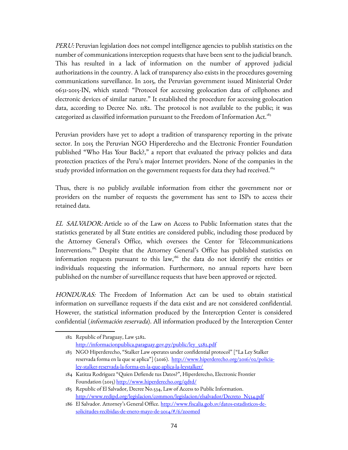PERU: Peruvian legislation does not compel intelligence agencies to publish statistics on the number of communications interception requests that have been sent to the judicial branch. This has resulted in a lack of information on the number of approved judicial authorizations in the country. A lack of transparency also exists in the procedures governing communications surveillance. In 2015, the Peruvian government issued Ministerial Order 0631-2015-IN, which stated: "Protocol for accessing geolocation data of cellphones and electronic devices of similar nature." It established the procedure for accessing geolocation data, according to Decree No. 1182. The protocol is not available to the public; it was categorized as classified information pursuant to the Freedom of Information Act.<sup>[183](#page-73-0)</sup>

Peruvian providers have yet to adopt a tradition of transparency reporting in the private sector. In 2015 the Peruvian NGO Hiperderecho and the Electronic Frontier Foundation published "Who Has Your Back?," a report that evaluated the privacy policies and data protection practices of the Peru's major Internet providers. None of the companies in the study provided information on the government requests for data they had received.<sup>[184](#page-73-1)</sup>

Thus, there is no publicly available information from either the government nor or providers on the number of requests the government has sent to ISPs to access their retained data.

EL SALVADOR: Article 10 of the Law on Access to Public Information states that the statistics generated by all State entities are considered public, including those produced by the Attorney General's Office, which oversees the Center for Telecommunications Interventions.[185](#page-73-2) Despite that the Attorney General's Office has published statistics on information requests pursuant to this law, $186$  the data do not identify the entities or individuals requesting the information. Furthermore, no annual reports have been published on the number of surveillance requests that have been approved or rejected.

HONDURAS: The Freedom of Information Act can be used to obtain statistical information on surveillance requests if the data exist and are not considered confidential. However, the statistical information produced by the Interception Center is considered confidential (*información reservada*). All information produced by the Interception Center

<sup>182</sup> Republic of Paraguay, Law 5282. [http://informacionpublica.paraguay.gov.py/public/ley\\_5282.pdf](http://informacionpublica.paraguay.gov.py/public/ley_5282.pdf)

<span id="page-73-0"></span><sup>183</sup> NGO Hiperderecho, "Stalker Law operates under confidential protocol" ["La Ley Stalker reservada forma en la que se aplica"] (2016). [http://www.hiperderecho.org/2016/02/policia](http://www.hiperderecho.org/2016/02/policia-ley-stalker-reservada-la-forma-en-la-que-aplica-la-leystalker/)[ley-stalker-reservada-la-forma-en-la-que-aplica-la-leystalker/](http://www.hiperderecho.org/2016/02/policia-ley-stalker-reservada-la-forma-en-la-que-aplica-la-leystalker/)

<span id="page-73-1"></span><sup>184</sup> Katitza Rodriguez "Quien Defiende tus Datos?", Hiperderecho, Electronic Frontier Foundation (2015)<http://www.hiperderecho.org/qdtd/>

<span id="page-73-2"></span><sup>185</sup> Republic of El Salvador, Decree No.534, Law of Access to Public Information. [http://www.redipd.org/legislacion/common/legislacion/elsalvador/Decreto\\_N534.pdf](http://www.redipd.org/legislacion/common/legislacion/elsalvador/Decreto_N534.pdf)

<span id="page-73-3"></span><sup>186</sup> El Salvador. Attorney's General Office. [http://www.fiscalia.gob.sv/datos-estadisticos-de](http://www.fiscalia.gob.sv/datos-estadisticos-de-solicitudes-recibidas-de-enero-mayo-de-2014/#/6/zoomed)[solicitudes-recibidas-de-enero-mayo-de-2014/#/6/zoomed](http://www.fiscalia.gob.sv/datos-estadisticos-de-solicitudes-recibidas-de-enero-mayo-de-2014/#/6/zoomed)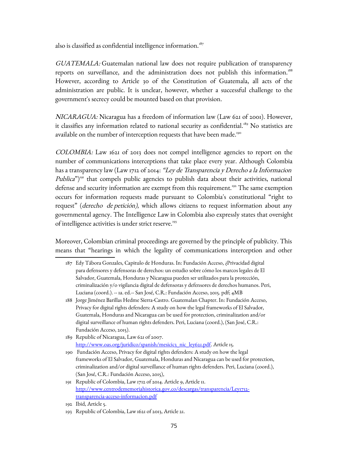also is classified as confidential intelligence information.<sup>[187](#page-74-0)</sup>

GUATEMALA: Guatemalan national law does not require publication of transparency reports on surveillance, and the administration does not publish this information.<sup>[188](#page-74-1)</sup> However, according to Article 30 of the Constitution of Guatemala, all acts of the administration are public. It is unclear, however, whether a successful challenge to the government's secrecy could be mounted based on that provision.

NICARAGUA: Nicaragua has a freedom of information law (Law 621 of 2001). However, it classifies any information related to national security as confidential.<sup>[189](#page-74-2)</sup> No statistics are available on the number of interception requests that have been made.<sup>[190](#page-74-3)</sup>

COLOMBIA: Law 1621 of 2013 does not compel intelligence agencies to report on the number of communications interceptions that take place every year. Although Colombia has a transparency law (Law 1712 of 2014: "Ley de Transparencia y Derecho a la Informacion Publica")<sup>[191](#page-74-4)</sup> that compels public agencies to publish data about their activities, national defense and security information are exempt from this requirement.<sup>[192](#page-74-5)</sup> The same exemption occurs for information requests made pursuant to Colombia's constitutional "right to request" (*derecho de petición*), which allows citizens to request information about any governmental agency. The Intelligence Law in Colombia also expressly states that oversight of intelligence activities is under strict reserve.<sup>[193](#page-74-6)</sup>

Moreover, Colombian criminal proceedings are governed by the principle of publicity. This means that "hearings in which the legality of communications interception and other

- <span id="page-74-0"></span>187 Edy Tábora Gonzales, Capitulo de Honduras. In: Fundación Acceso, ¿Privacidad digital para defensores y defensoras de derechos: un estudio sobre cómo los marcos legales de El Salvador, Guatemala, Honduras y Nicaragua pueden ser utilizados para la protección, criminalización y/o vigilancia digital de defensoras y defensores de derechos humanos. Peri, Luciana (coord.). -- 1a. ed.-- San José, C.R.: Fundación Acceso, 2015. pdf; 4MB
- <span id="page-74-1"></span>188 Jorge Jiménez Barillas Hedme Sierra-Castro. Guatemalan Chapter. In: Fundación Acceso, Privacy for digital rights defenders: A study on how the legal frameworks of El Salvador, Guatemala, Honduras and Nicaragua can be used for protection, criminalization and/or digital surveillance of human rights defenders. Peri, Luciana (coord.), (San José, C.R.: Fundación Acceso, 2015).
- <span id="page-74-2"></span>189 Republic of Nicaragua, Law 621 of 2007. [http://www.oas.org/juridico/spanish/mesicic3\\_nic\\_ley621.pdf.](http://www.oas.org/juridico/spanish/mesicic3_nic_ley621.pdf) Article 15.
- <span id="page-74-3"></span>190 Fundación Acceso, Privacy for digital rights defenders: A study on how the legal frameworks of El Salvador, Guatemala, Honduras and Nicaragua can be used for protection, criminalization and/or digital surveillance of human rights defenders. Peri, Luciana (coord.), (San José, C.R.: Fundación Acceso, 2015),
- <span id="page-74-4"></span>191 Republic of Colombia, Law 1712 of 2014. Article 9, Article 11. [http://www.centrodememoriahistorica.gov.co/descargas/transparencia/Ley1712](http://www.centrodememoriahistorica.gov.co/descargas/transparencia/Ley1712-transparencia-acceso-informacion.pdf) [transparencia-acceso-informacion.pdf](http://www.centrodememoriahistorica.gov.co/descargas/transparencia/Ley1712-transparencia-acceso-informacion.pdf)

<span id="page-74-5"></span><sup>192</sup> Ibid, Article 5.

<span id="page-74-6"></span><sup>193</sup> Republic of Colombia, Law 1621 of 2013, Article 21.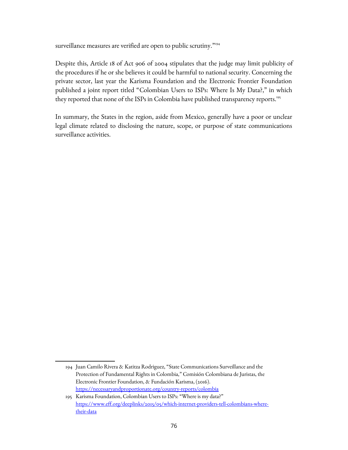surveillance measures are verified are open to public scrutiny."<sup>[194](#page-75-0)</sup>

Despite this, Article 18 of Act 906 of 2004 stipulates that the judge may limit publicity of the procedures if he or she believes it could be harmful to national security. Concerning the private sector, last year the Karisma Foundation and the Electronic Frontier Foundation published a joint report titled "Colombian Users to ISPs: Where Is My Data?," in which they reported that none of the ISPs in Colombia have published transparency reports.<sup>[195](#page-75-1)</sup>

In summary, the States in the region, aside from Mexico, generally have a poor or unclear legal climate related to disclosing the nature, scope, or purpose of state communications surveillance activities.

<span id="page-75-0"></span><sup>194</sup> Juan Camilo Rivera & Katitza Rodriguez, "State Communications Surveillance and the Protection of Fundamental Rights in Colombia," Comisión Colombiana de Juristas, the Electronic Frontier Foundation, & Fundación Karisma, (2016). <https://necessaryandproportionate.org/country-reports/colombia>

<span id="page-75-1"></span><sup>195</sup> Karisma Foundation, Colombian Users to ISPs: "Where is my data?" [https://www.eff.org/deeplinks/2015/05/which-internet-providers-tell-colombians-where](https://www.eff.org/deeplinks/2015/05/which-internet-providers-tell-colombians-where-their-data)[their-data](https://www.eff.org/deeplinks/2015/05/which-internet-providers-tell-colombians-where-their-data)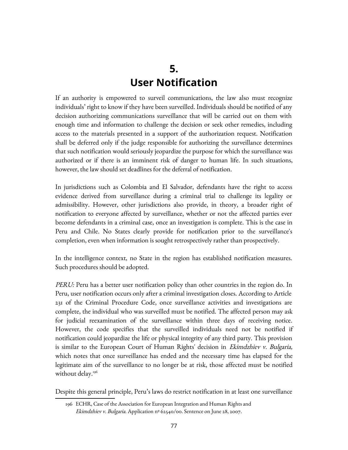## **5. User Notification**

If an authority is empowered to surveil communications, the law also must recognize individuals' right to know if they have been surveilled. Individuals should be notified of any decision authorizing communications surveillance that will be carried out on them with enough time and information to challenge the decision or seek other remedies, including access to the materials presented in a support of the authorization request. Notification shall be deferred only if the judge responsible for authorizing the surveillance determines that such notification would seriously jeopardize the purpose for which the surveillance was authorized or if there is an imminent risk of danger to human life. In such situations, however, the law should set deadlines for the deferral of notification.

In jurisdictions such as Colombia and El Salvador, defendants have the right to access evidence derived from surveillance during a criminal trial to challenge its legality or admissibility. However, other jurisdictions also provide, in theory, a broader right of notification to everyone affected by surveillance, whether or not the affected parties ever become defendants in a criminal case, once an investigation is complete. This is the case in Peru and Chile. No States clearly provide for notification prior to the surveillance's completion, even when information is sought retrospectively rather than prospectively.

In the intelligence context, no State in the region has established notification measures. Such procedures should be adopted.

PERU: Peru has a better user notification policy than other countries in the region do. In Peru, user notification occurs only after a criminal investigation closes. According to Article 231 of the Criminal Procedure Code, once surveillance activities and investigations are complete, the individual who was surveilled must be notified. The affected person may ask for judicial reexamination of the surveillance within three days of receiving notice. However, the code specifies that the surveilled individuals need not be notified if notification could jeopardize the life or physical integrity of any third party. This provision is similar to the European Court of Human Rights' decision in *Ekimdzhiev v. Bulgaria,* which notes that once surveillance has ended and the necessary time has elapsed for the legitimate aim of the surveillance to no longer be at risk, those affected must be notified without delay.<sup>[196](#page-76-0)</sup>

Despite this general principle, Peru's laws do restrict notification in at least one surveillance

<span id="page-76-0"></span><sup>196</sup> ECHR, Case of the Association for European Integration and Human Rights and Ekimdzhiev v. Bulgaria. Application nº 62540/00. Sentence on June 28, 2007.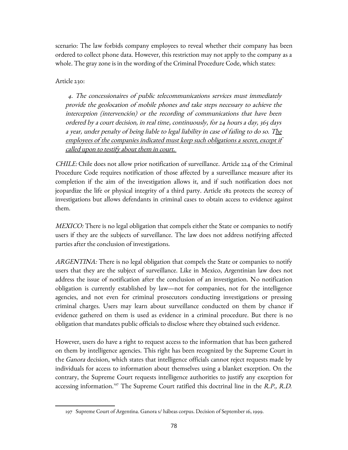scenario: The law forbids company employees to reveal whether their company has been ordered to collect phone data. However, this restriction may not apply to the company as a whole. The gray zone is in the wording of the Criminal Procedure Code, which states:

Article 230:

 4. The concessionaires of public telecommunications services must immediately provide the geolocation of mobile phones and take steps necessary to achieve the interception (intervención) or the recording of communications that have been ordered by a court decision, in real time, continuously, for 24 hours a day, 365 days a year, under penalty of being liable to legal liability in case of failing to do so. The employees of the companies indicated must keep such obligations a secret, except if called upon to testify about them in court.

CHILE: Chile does not allow prior notification of surveillance. Article 224 of the Criminal Procedure Code requires notification of those affected by a surveillance measure after its completion if the aim of the investigation allows it, and if such notification does not jeopardize the life or physical integrity of a third party. Article 182 protects the secrecy of investigations but allows defendants in criminal cases to obtain access to evidence against them.

*MEXICO:* There is no legal obligation that compels either the State or companies to notify users if they are the subjects of surveillance. The law does not address notifying affected parties after the conclusion of investigations.

ARGENTINA: There is no legal obligation that compels the State or companies to notify users that they are the subject of surveillance. Like in Mexico, Argentinian law does not address the issue of notification after the conclusion of an investigation. No notification obligation is currently established by law—not for companies, not for the intelligence agencies, and not even for criminal prosecutors conducting investigations or pressing criminal charges. Users may learn about surveillance conducted on them by chance if evidence gathered on them is used as evidence in a criminal procedure. But there is no obligation that mandates public officials to disclose where they obtained such evidence.

However, users do have a right to request access to the information that has been gathered on them by intelligence agencies. This right has been recognized by the Supreme Court in the *Ganora* decision, which states that intelligence officials cannot reject requests made by individuals for access to information about themselves using a blanket exception. On the contrary, the Supreme Court requests intelligence authorities to justify any exception for accessing information.<sup>[197](#page-77-0)</sup> The Supreme Court ratified this doctrinal line in the R.P., R.D.

<span id="page-77-0"></span><sup>197</sup> Supreme Court of Argentina. Ganora s/ hábeas corpus. Decision of September 16, 1999.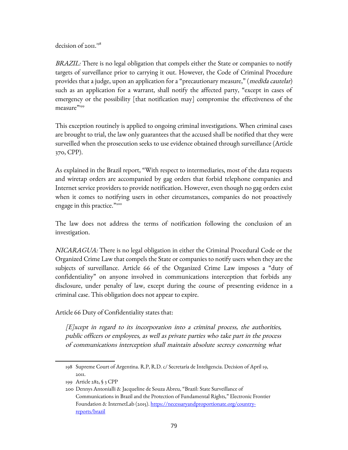decision of 2011.<sup>[198](#page-78-0)</sup>

BRAZIL: There is no legal obligation that compels either the State or companies to notify targets of surveillance prior to carrying it out. However, the Code of Criminal Procedure provides that a judge, upon an application for a "precautionary measure," (*medida cautelar*) such as an application for a warrant, shall notify the affected party, "except in cases of emergency or the possibility [that notification may] compromise the effectiveness of the measure<sup>"[199](#page-78-1)</sup>

This exception routinely is applied to ongoing criminal investigations. When criminal cases are brought to trial, the law only guarantees that the accused shall be notified that they were surveilled when the prosecution seeks to use evidence obtained through surveillance (Article 370, CPP).

As explained in the Brazil report, "With respect to intermediaries, most of the data requests and wiretap orders are accompanied by gag orders that forbid telephone companies and Internet service providers to provide notification. However, even though no gag orders exist when it comes to notifying users in other circumstances, companies do not proactively engage in this practice."[200](#page-78-2)

The law does not address the terms of notification following the conclusion of an investigation.

NICARAGUA: There is no legal obligation in either the Criminal Procedural Code or the Organized Crime Law that compels the State or companies to notify users when they are the subjects of surveillance. Article 66 of the Organized Crime Law imposes a "duty of confidentiality" on anyone involved in communications interception that forbids any disclosure, under penalty of law, except during the course of presenting evidence in a criminal case. This obligation does not appear to expire.

Article 66 Duty of Confidentiality states that:

[E]xcept in regard to its incorporation into a criminal process, the authorities, public officers or employees, as well as private parties who take part in the process of communications interception shall maintain absolute secrecy concerning what

<span id="page-78-0"></span><sup>198</sup> Supreme Court of Argentina. R.P, R.D. c/ Secretaría de Inteligencia. Decision of April 19, 2011.

<span id="page-78-1"></span><sup>199</sup> Article 282, § 3 CPP

<span id="page-78-2"></span><sup>200</sup> Dennys Antonialli & Jacqueline de Souza Abreu, "Brazil: State Surveillance of Communications in Brazil and the Protection of Fundamental Rights," Electronic Frontier Foundation & InternetLab (2015). [https://necessaryandproportionate.org/country](https://necessaryandproportionate.org/country-reports/brazil)[reports/brazil](https://necessaryandproportionate.org/country-reports/brazil)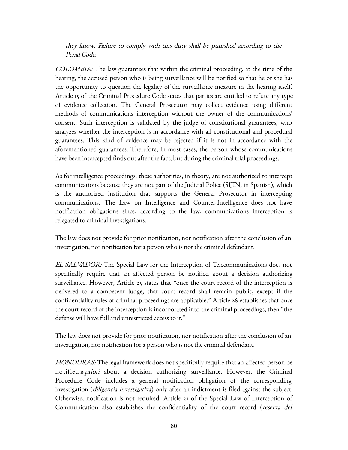they know. Failure to comply with this duty shall be punished according to the Penal Code.

COLOMBIA: The law guarantees that within the criminal proceeding, at the time of the hearing, the accused person who is being surveillance will be notified so that he or she has the opportunity to question the legality of the surveillance measure in the hearing itself. Article 15 of the Criminal Procedure Code states that parties are entitled to refute any type of evidence collection. The General Prosecutor may collect evidence using different methods of communications interception without the owner of the communications' consent. Such interception is validated by the judge of constitutional guarantees, who analyzes whether the interception is in accordance with all constitutional and procedural guarantees. This kind of evidence may be rejected if it is not in accordance with the aforementioned guarantees. Therefore, in most cases, the person whose communications have been intercepted finds out after the fact, but during the criminal trial proceedings.

As for intelligence proceedings, these authorities, in theory, are not authorized to intercept communications because they are not part of the Judicial Police (SIJIN, in Spanish), which is the authorized institution that supports the General Prosecutor in intercepting communications. The Law on Intelligence and Counter-Intelligence does not have notification obligations since, according to the law, communications interception is relegated to criminal investigations.

The law does not provide for prior notification, nor notification after the conclusion of an investigation, nor notification for a person who is not the criminal defendant.

EL SALVADOR: The Special Law for the Interception of Telecommunications does not specifically require that an affected person be notified about a decision authorizing surveillance. However, Article 25 states that "once the court record of the interception is delivered to a competent judge, that court record shall remain public, except if the confidentiality rules of criminal proceedings are applicable." Article 26 establishes that once the court record of the interception is incorporated into the criminal proceedings, then "the defense will have full and unrestricted access to it."

The law does not provide for prior notification, nor notification after the conclusion of an investigation, nor notification for a person who is not the criminal defendant.

HONDURAS: The legal framework does not specifically require that an affected person be notified *a-priori* about a decision authorizing surveillance. However, the Criminal Procedure Code includes a general notification obligation of the corresponding investigation (diligencia investigativa) only after an indictment is filed against the subject. Otherwise, notification is not required. Article 21 of the Special Law of Interception of Communication also establishes the confidentiality of the court record (reserva del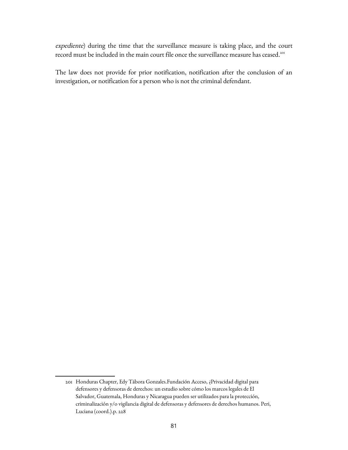expediente) during the time that the surveillance measure is taking place, and the court record must be included in the main court file once the surveillance measure has ceased.<sup>[201](#page-80-0)</sup>

The law does not provide for prior notification, notification after the conclusion of an investigation, or notification for a person who is not the criminal defendant.

<span id="page-80-0"></span><sup>201</sup> Honduras Chapter, Edy Tábora Gonzales.Fundación Acceso, ¿Privacidad digital para defensores y defensoras de derechos: un estudio sobre cómo los marcos legales de El Salvador, Guatemala, Honduras y Nicaragua pueden ser utilizados para la protección, criminalización y/o vigilancia digital de defensoras y defensores de derechos humanos. Peri, Luciana (coord.).p. 228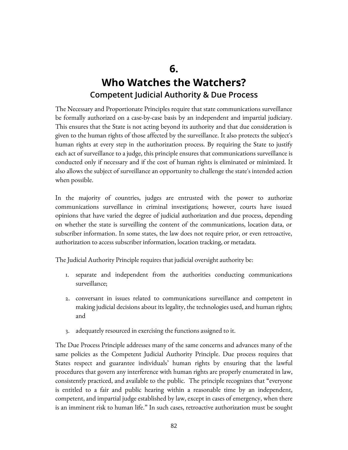#### **6. Who Watches the Watchers? Competent Judicial Authority & Due Process**

The Necessary and Proportionate Principles require that state communications surveillance be formally authorized on a case-by-case basis by an independent and impartial judiciary. This ensures that the State is not acting beyond its authority and that due consideration is given to the human rights of those affected by the surveillance. It also protects the subject's human rights at every step in the authorization process. By requiring the State to justify each act of surveillance to a judge, this principle ensures that communications surveillance is conducted only if necessary and if the cost of human rights is eliminated or minimized. It also allows the subject of surveillance an opportunity to challenge the state's intended action when possible.

In the majority of countries, judges are entrusted with the power to authorize communications surveillance in criminal investigations; however, courts have issued opinions that have varied the degree of judicial authorization and due process, depending on whether the state is surveilling the content of the communications, location data, or subscriber information. In some states, the law does not require prior, or even retroactive, authorization to access subscriber information, location tracking, or metadata.

The Judicial Authority Principle requires that judicial oversight authority be:

- 1. separate and independent from the authorities conducting communications surveillance;
- 2. conversant in issues related to communications surveillance and competent in making judicial decisions about its legality, the technologies used, and human rights; and
- 3. adequately resourced in exercising the functions assigned to it.

The Due Process Principle addresses many of the same concerns and advances many of the same policies as the Competent Judicial Authority Principle. Due process requires that States respect and guarantee individuals' human rights by ensuring that the lawful procedures that govern any interference with human rights are properly enumerated in law, consistently practiced, and available to the public. The principle recognizes that "everyone is entitled to a fair and public hearing within a reasonable time by an independent, competent, and impartial judge established by law, except in cases of emergency, when there is an imminent risk to human life." In such cases, retroactive authorization must be sought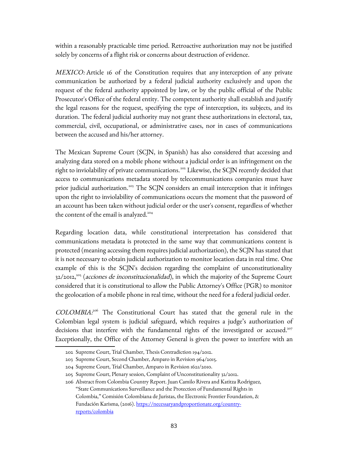within a reasonably practicable time period. Retroactive authorization may not be justified solely by concerns of a flight risk or concerns about destruction of evidence.

MEXICO: Article 16 of the Constitution requires that any interception of any private communication be authorized by a federal judicial authority exclusively and upon the request of the federal authority appointed by law, or by the public official of the Public Prosecutor's Office of the federal entity. The competent authority shall establish and justify the legal reasons for the request, specifying the type of interception, its subjects, and its duration. The federal judicial authority may not grant these authorizations in electoral, tax, commercial, civil, occupational, or administrative cases, nor in cases of communications between the accused and his/her attorney.

The Mexican Supreme Court (SCJN, in Spanish) has also considered that accessing and analyzing data stored on a mobile phone without a judicial order is an infringement on the right to inviolability of private communications. [202](#page-82-0) Likewise, the SCJN recently decided that access to communications metadata stored by telecommunications companies must have prior judicial authorization.<sup>[203](#page-82-1)</sup> The SCJN considers an email interception that it infringes upon the right to inviolability of communications occurs the moment that the password of an account has been taken without judicial order or the user's consent, regardless of whether the content of the email is analyzed.<sup>[204](#page-82-2)</sup>

Regarding location data, while constitutional interpretation has considered that communications metadata is protected in the same way that communications content is protected (meaning accessing them requires judicial authorization), the SCJN has stated that it is not necessary to obtain judicial authorization to monitor location data in real time. One example of this is the SCJN's decision regarding the complaint of unconstitutionality  $32/2012$ ,<sup>[205](#page-82-3)</sup> (*acciones de inconstitucionalidad*), in which the majority of the Supreme Court considered that it is constitutional to allow the Public Attorney's Office (PGR) to monitor the geolocation of a mobile phone in real time, without the need for a federal judicial order.

COLOMBIA.<sup>[206](#page-82-4)</sup> The Constitutional Court has stated that the general rule in the Colombian legal system is judicial safeguard, which requires a judge's authorization of decisions that interfere with the fundamental rights of the investigated or accused.<sup>207</sup> Exceptionally, the Office of the Attorney General is given the power to interfere with an

<span id="page-82-0"></span><sup>202</sup> Supreme Court, Trial Chamber, Thesis Contradiction 194/2012.

<span id="page-82-1"></span><sup>203</sup> Supreme Court, Second Chamber, Amparo in Revision 964/2015.

<span id="page-82-2"></span><sup>204</sup> Supreme Court, Trial Chamber, Amparo in Revision 1621/2010.

<span id="page-82-3"></span><sup>205</sup> Supreme Court, Plenary session, Complaint of Unconstitutionality 32/2012.

<span id="page-82-4"></span><sup>206</sup> Abstract from Colombia Country Report. Juan Camilo Rivera and Katitza Rodriguez, "State Communications Surveillance and the Protection of Fundamental Rights in Colombia," Comisión Colombiana de Juristas, the Electronic Frontier Foundation, & Fundación Karisma, (2016). [https://necessaryandproportionate.org/country](https://necessaryandproportionate.org/country-reports/colombia)[reports/colombia](https://necessaryandproportionate.org/country-reports/colombia)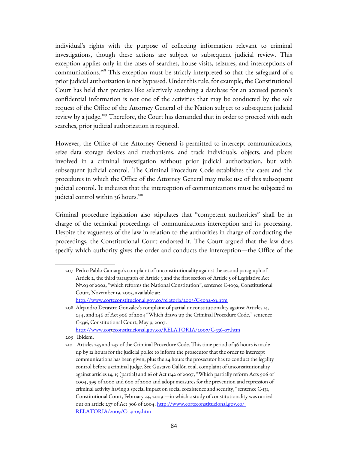individual's rights with the purpose of collecting information relevant to criminal investigations, though these actions are subject to subsequent judicial review. This exception applies only in the cases of searches, house visits, seizures, and interceptions of communications.<sup>[208](#page-83-0)</sup> This exception must be strictly interpreted so that the safeguard of a prior judicial authorization is not bypassed. Under this rule, for example, the Constitutional Court has held that practices like selectively searching a database for an accused person's confidential information is not one of the activities that may be conducted by the sole request of the Office of the Attorney General of the Nation subject to subsequent judicial review by a judge.<sup>[209](#page-83-1)</sup> Therefore, the Court has demanded that in order to proceed with such searches, prior judicial authorization is required.

However, the Office of the Attorney General is permitted to intercept communications, seize data storage devices and mechanisms, and track individuals, objects, and places involved in a criminal investigation without prior judicial authorization, but with subsequent judicial control. The Criminal Procedure Code establishes the cases and the procedures in which the Office of the Attorney General may make use of this subsequent judicial control. It indicates that the interception of communications must be subjected to judicial control within 36 hours.<sup>[210](#page-83-2)</sup>

Criminal procedure legislation also stipulates that "competent authorities" shall be in charge of the technical proceedings of communications interception and its processing. Despite the vagueness of the law in relation to the authorities in charge of conducting the proceedings, the Constitutional Court endorsed it. The Court argued that the law does specify which authority gives the order and conducts the interception—the Office of the

<sup>207</sup> Pedro Pablo Camargo's complaint of unconstitutionality against the second paragraph of Article 2, the third paragraph of Article 3 and the first section of Article 5 of Legislative Act Nº.03 of 2002, "which reforms the National Constitution", sentence C-1092, Constitutional Court, November 19, 2003, available at:

<span id="page-83-0"></span><http://www.corteconstitucional.gov.co/relatoria/2003/C-1092-03.htm>

<sup>208</sup> Alejandro Decastro González's complaint of partial unconstitutionality against Articles 14, 244, and 246 of Act 906 of 2004 "Which draws up the Criminal Procedure Code," sentence C-336, Constitutional Court, May 9, 2007. <http://www.corteconstitucional.gov.co/RELATORIA/2007/C-336-07.htm>

<span id="page-83-1"></span>

<sup>209</sup> Ibidem.

<span id="page-83-2"></span><sup>210</sup> Articles 235 and 237 of the Criminal Procedure Code. This time period of 36 hours is made up by 12 hours for the judicial police to inform the prosecutor that the order to intercept communications has been given, plus the 24 hours the prosecutor has to conduct the legality control before a criminal judge. See Gustavo Gallón et al. complaint of unconstitutionality against articles 14, 15 (partial) and 16 of Act 1142 of 2007, "Which partially reform Acts 906 of 2004, 599 of 2000 and 600 of 2000 and adopt measures for the prevention and repression of criminal activity having a special impact on social coexistence and security," sentence C-131, Constitutional Court, February 24, 2009 —in which a study of constitutionality was carried out on article 237 of Act 906 of 2004. [http://www.corteconstitucional.gov.co/](http://www.corteconstitucional.gov.co/%20RELATORIA/2009/C-131-09.htm)  [RELATORIA/2009/C-131-09.htm](http://www.corteconstitucional.gov.co/%20RELATORIA/2009/C-131-09.htm)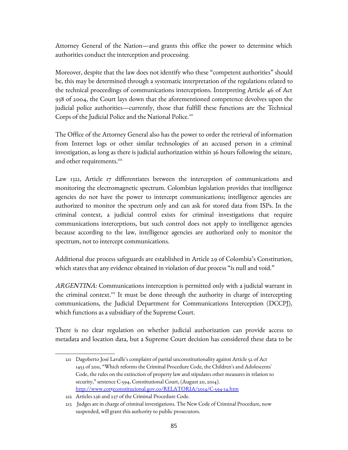Attorney General of the Nation—and grants this office the power to determine which authorities conduct the interception and processing.

Moreover, despite that the law does not identify who these "competent authorities" should be, this may be determined through a systematic interpretation of the regulations related to the technical proceedings of communications interceptions. Interpreting Article 46 of Act 938 of 2004, the Court lays down that the aforementioned competence devolves upon the judicial police authorities—currently, those that fulfill these functions are the Technical Corps of the Judicial Police and the National Police.<sup>[211](#page-84-0)</sup>

The Office of the Attorney General also has the power to order the retrieval of information from Internet logs or other similar technologies of an accused person in a criminal investigation, as long as there is judicial authorization within 36 hours following the seizure, and other requirements.<sup>[212](#page-84-1)</sup>

Law 1321, Article 17 differentiates between the interception of communications and monitoring the electromagnetic spectrum. Colombian legislation provides that intelligence agencies do not have the power to intercept communications; intelligence agencies are authorized to monitor the spectrum only and can ask for stored data from ISPs. In the criminal context, a judicial control exists for criminal investigations that require communications interceptions, but such control does not apply to intelligence agencies because according to the law, intelligence agencies are authorized only to monitor the spectrum, not to intercept communications.

Additional due process safeguards are established in Article 29 of Colombia's Constitution, which states that any evidence obtained in violation of due process "is null and void."

ARGENTINA: Communications interception is permitted only with a judicial warrant in the criminal context.<sup>[213](#page-84-2)</sup> It must be done through the authority in charge of intercepting communications, the Judicial Department for Communications Interception (DCCPJ), which functions as a subsidiary of the Supreme Court.

There is no clear regulation on whether judicial authorization can provide access to metadata and location data, but a Supreme Court decision has considered these data to be

<span id="page-84-0"></span><sup>211</sup> Dagoberto José Lavalle's complaint of partial unconstitutionality against Article 52 of Act 1453 of 2011, "Which reforms the Criminal Procedure Code, the Children's and Adolescents' Code, the rules on the extinction of property law and stipulates other measures in relation to security," sentence C-594, Constitutional Court, (August 20, 2014). <http://www.corteconstitucional.gov.co/RELATORIA/2014/C-594-14.htm>

<span id="page-84-1"></span><sup>212</sup> Articles 236 and 237 of the Criminal Procedure Code.

<span id="page-84-2"></span><sup>213</sup> Judges are in charge of criminal investigations. The New Code of Criminal Procedure, now suspended, will grant this authority to public prosecutors.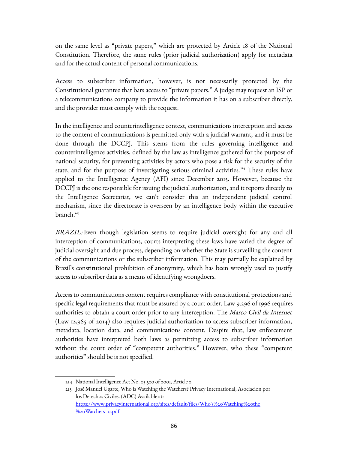on the same level as "private papers," which are protected by Article 18 of the National Constitution. Therefore, the same rules (prior judicial authorization) apply for metadata and for the actual content of personal communications.

Access to subscriber information, however, is not necessarily protected by the Constitutional guarantee that bars access to "private papers." A judge may request an ISP or a telecommunications company to provide the information it has on a subscriber directly, and the provider must comply with the request.

In the intelligence and counterintelligence context, communications interception and access to the content of communications is permitted only with a judicial warrant, and it must be done through the DCCPJ. This stems from the rules governing intelligence and counterintelligence activities, defined by the law as intelligence gathered for the purpose of national security, for preventing activities by actors who pose a risk for the security of the state, and for the purpose of investigating serious criminal activities.<sup>[214](#page-85-0)</sup> These rules have applied to the Intelligence Agency (AFI) since December 2015. However, because the DCCPJ is the one responsible for issuing the judicial authorization, and it reports directly to the Intelligence Secretariat, we can't consider this an independent judicial control mechanism, since the directorate is overseen by an intelligence body within the executive  $branch.<sup>215</sup>$  $branch.<sup>215</sup>$  $branch.<sup>215</sup>$ 

BRAZIL: Even though legislation seems to require judicial oversight for any and all interception of communications, courts interpreting these laws have varied the degree of judicial oversight and due process, depending on whether the State is surveilling the content of the communications or the subscriber information. This may partially be explained by Brazil's constitutional prohibition of anonymity, which has been wrongly used to justify access to subscriber data as a means of identifying wrongdoers.

Access to communications content requires compliance with constitutional protections and specific legal requirements that must be assured by a court order. Law 9.296 of 1996 requires authorities to obtain a court order prior to any interception. The *Marco Civil da Internet* (Law 12,965 of 2014) also requires judicial authorization to access subscriber information, metadata, location data, and communications content. Despite that, law enforcement authorities have interpreted both laws as permitting access to subscriber information without the court order of "competent authorities." However, who these "competent authorities" should be is not specified.

<span id="page-85-0"></span><sup>214</sup> National Intelligence Act No. 25.520 of 2001, Article 2.

<span id="page-85-1"></span><sup>215</sup> José Manuel Ugarte, Who is Watching the Watchers? Privacy International, Asociacion por los Derechos Civiles. (ADC) Available at: [https://www.privacyinternational.org/sites/default/files/Who's%20Watching%20the](https://www.privacyinternational.org/sites/default/files/Who) [%20Watchers\\_0.pdf](https://www.privacyinternational.org/sites/default/files/Who)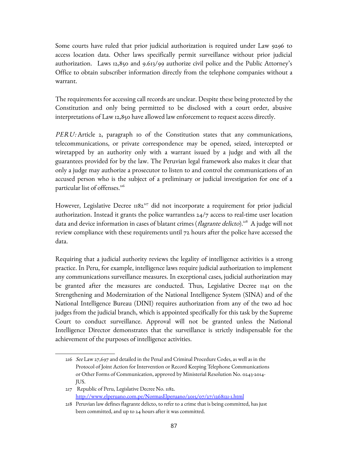Some courts have ruled that prior judicial authorization is required under Law 9296 to access location data. Other laws specifically permit surveillance without prior judicial authorization. Laws 12,850 and 9.613/99 authorize civil police and the Public Attorney's Office to obtain subscriber information directly from the telephone companies without a warrant.

The requirements for accessing call records are unclear. Despite these being protected by the Constitution and only being permitted to be disclosed with a court order, abusive interpretations of Law 12,850 have allowed law enforcement to request access directly.

PERU: Article 2, paragraph 10 of the Constitution states that any communications, telecommunications, or private correspondence may be opened, seized, intercepted or wiretapped by an authority only with a warrant issued by a judge and with all the guarantees provided for by the law. The Peruvian legal framework also makes it clear that only a judge may authorize a prosecutor to listen to and control the communications of an accused person who is the subject of a preliminary or judicial investigation for one of a particular list of offenses.<sup>[216](#page-86-0)</sup>

However, Legislative Decree 1182<sup>[217](#page-86-1)</sup> did not incorporate a requirement for prior judicial authorization. Instead it grants the police warrantless 24/7 access to real-time user location data and device information in cases of blatant crimes (*flagrante delicto*).<sup>[218](#page-86-2)</sup> A judge will not review compliance with these requirements until 72 hours after the police have accessed the data.

Requiring that a judicial authority reviews the legality of intelligence activities is a strong practice. In Peru, for example, intelligence laws require judicial authorization to implement any communications surveillance measures. In exceptional cases, judicial authorization may be granted after the measures are conducted. Thus, Legislative Decree 1141 on the Strengthening and Modernization of the National Intelligence System (SINA) and of the National Intelligence Bureau (DINI) requires authorization from any of the two ad hoc judges from the judicial branch, which is appointed specifically for this task by the Supreme Court to conduct surveillance. Approval will not be granted unless the National Intelligence Director demonstrates that the surveillance is strictly indispensable for the achievement of the purposes of intelligence activities.

<span id="page-86-0"></span><sup>216</sup> See Law 27,697 and detailed in the Penal and Criminal Procedure Codes, as well as in the Protocol of Joint Action for Intervention or Record Keeping Telephone Communications or Other Forms of Communication, approved by Ministerial Resolution No. 0243-2014- JUS.

<span id="page-86-1"></span><sup>217</sup> Republic of Peru, Legislative Decree No. 1182. <http://www.elperuano.com.pe/NormasElperuano/2015/07/27/1268121-1.html>

<span id="page-86-2"></span><sup>218</sup> Peruvian law defines flagrante delicto, to refer to a crime that is being committed, has just been committed, and up to 24 hours after it was committed.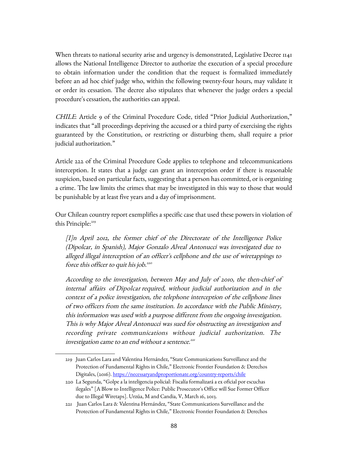When threats to national security arise and urgency is demonstrated, Legislative Decree 1141 allows the National Intelligence Director to authorize the execution of a special procedure to obtain information under the condition that the request is formalized immediately before an ad hoc chief judge who, within the following twenty-four hours, may validate it or order its cessation. The decree also stipulates that whenever the judge orders a special procedure's cessation, the authorities can appeal.

CHILE: Article 9 of the Criminal Procedure Code, titled "Prior Judicial Authorization," indicates that "all proceedings depriving the accused or a third party of exercising the rights guaranteed by the Constitution, or restricting or disturbing them, shall require a prior judicial authorization."

Article 222 of the Criminal Procedure Code applies to telephone and telecommunications interception. It states that a judge can grant an interception order if there is reasonable suspicion, based on particular facts, suggesting that a person has committed, or is organizing a crime. The law limits the crimes that may be investigated in this way to those that would be punishable by at least five years and a day of imprisonment.

Our Chilean country report exemplifies a specific case that used these powers in violation of this Principle:<sup>[219](#page-87-0)</sup>

[I]n April 2012, the former chief of the Directorate of the Intelligence Police (Dipolcar, in Spanish), Major Gonzalo Alveal Antonucci was investigated due to alleged illegal interception of an officer's cellphone and the use of wiretappings to force this officer to quit his job.<del>"</del>

According to the investigation, between May and July of 2010, the then-chief of internal affairs of Dipolcar required, without judicial authorization and in the context of a police investigation, the telephone interception of the cellphone lines of two officers from the same institution. In accordance with the Public Ministry, this information was used with a purpose different from the ongoing investigation. This is why Major Alveal Antonucci was sued for obstructing an investigation and recording private communications without judicial authorization. The investigation came to an end without a sentence.<sup>[221](#page-87-2)</sup>

<span id="page-87-0"></span><sup>219</sup> Juan Carlos Lara and Valentina Hernández, "State Communications Surveillance and the Protection of Fundamental Rights in Chile," Electronic Frontier Foundation & Derechos Digitales, (2016).<https://necessaryandproportionate.org/country-reports/chile>

<span id="page-87-1"></span><sup>220</sup> La Segunda, "Golpe a la inteligencia policial: Fiscalía formalizará a ex oficial por escuchas ilegales" [A Blow to Intelligence Police: Public Prosecutor's Office will Sue Former Officer due to Illegal Wiretaps]. Urzúa, M and Candia, V, March 16, 2013.

<span id="page-87-2"></span><sup>221</sup> Juan Carlos Lara & Valentina Hernández, "State Communications Surveillance and the Protection of Fundamental Rights in Chile," Electronic Frontier Foundation & Derechos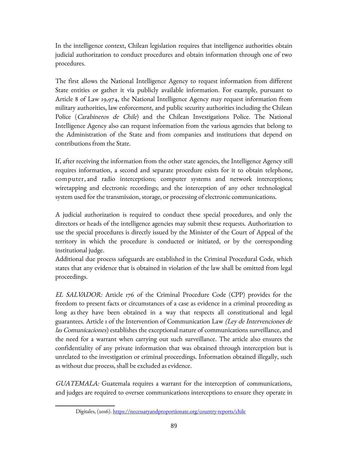In the intelligence context, Chilean legislation requires that intelligence authorities obtain judicial authorization to conduct procedures and obtain information through one of two procedures.

The first allows the National Intelligence Agency to request information from different State entities or gather it via publicly available information. For example, pursuant to Article 8 of Law 19,974, the National Intelligence Agency may request information from military authorities, law enforcement, and public security authorities including the Chilean Police (*Carabineros de Chile*) and the Chilean Investigations Police. The National Intelligence Agency also can request information from the various agencies that belong to the Administration of the State and from companies and institutions that depend on contributions from the State.

If, after receiving the information from the other state agencies, the Intelligence Agency still requires information, a second and separate procedure exists for it to obtain telephone, computer, and radio interceptions; computer systems and network interceptions; wiretapping and electronic recordings; and the interception of any other technological system used for the transmission, storage, or processing of electronic communications.

A judicial authorization is required to conduct these special procedures, and only the directors or heads of the intelligence agencies may submit these requests. Authorization to use the special procedures is directly issued by the Minister of the Court of Appeal of the territory in which the procedure is conducted or initiated, or by the corresponding institutional judge.

Additional due process safeguards are established in the Criminal Procedural Code, which states that any evidence that is obtained in violation of the law shall be omitted from legal proceedings.

EL SALVADOR: Article 176 of the Criminal Procedure Code (CPP) provides for the freedom to present facts or circumstances of a case as evidence in a criminal proceeding as long as they have been obtained in a way that respects all constitutional and legal guarantees. Article 1 of the Intervention of Communication Law (Ley de Intervenciones de las Comunicaciones) establishes the exceptional nature of communications surveillance, and the need for a warrant when carrying out such surveillance. The article also ensures the confidentiality of any private information that was obtained through interception but is unrelated to the investigation or criminal proceedings. Information obtained illegally, such as without due process, shall be excluded as evidence.

GUATEMALA: Guatemala requires a warrant for the interception of communications, and judges are required to oversee communications interceptions to ensure they operate in

Digitales, (2016).<https://necessaryandproportionate.org/country-reports/chile>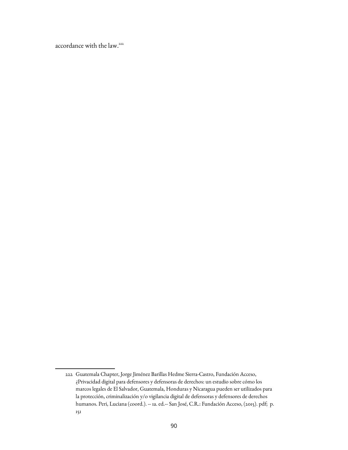accordance with the law.<sup>[222](#page-89-0)</sup>

<span id="page-89-0"></span><sup>222</sup> Guatemala Chapter, Jorge Jiménez Barillas Hedme Sierra-Castro, Fundación Acceso, ¿Privacidad digital para defensores y defensoras de derechos: un estudio sobre cómo los marcos legales de El Salvador, Guatemala, Honduras y Nicaragua pueden ser utilizados para la protección, criminalización y/o vigilancia digital de defensoras y defensores de derechos humanos. Peri, Luciana (coord.). -- 1a. ed.-- San José, C.R.: Fundación Acceso, (2015). pdf; p. 151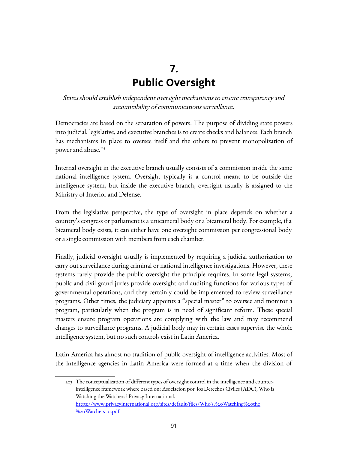## **7. Public Oversight**

States should establish independent oversight mechanisms to ensure transparency and accountability of communications surveillance.

Democracies are based on the separation of powers. The purpose of dividing state powers into judicial, legislative, and executive branches is to create checks and balances. Each branch has mechanisms in place to oversee itself and the others to prevent monopolization of power and abuse.<sup>[223](#page-90-0)</sup>

Internal oversight in the executive branch usually consists of a commission inside the same national intelligence system. Oversight typically is a control meant to be outside the intelligence system, but inside the executive branch, oversight usually is assigned to the Ministry of Interior and Defense.

From the legislative perspective, the type of oversight in place depends on whether a country's congress or parliament is a unicameral body or a bicameral body. For example, if a bicameral body exists, it can either have one oversight commission per congressional body or a single commission with members from each chamber.

Finally, judicial oversight usually is implemented by requiring a judicial authorization to carry out surveillance during criminal or national intelligence investigations. However, these systems rarely provide the public oversight the principle requires. In some legal systems, public and civil grand juries provide oversight and auditing functions for various types of governmental operations, and they certainly could be implemented to review surveillance programs. Other times, the judiciary appoints a "special master" to oversee and monitor a program, particularly when the program is in need of significant reform. These special masters ensure program operations are complying with the law and may recommend changes to surveillance programs. A judicial body may in certain cases supervise the whole intelligence system, but no such controls exist in Latin America.

Latin America has almost no tradition of public oversight of intelligence activities. Most of the intelligence agencies in Latin America were formed at a time when the division of

<span id="page-90-0"></span><sup>223</sup> The conceptualization of different types of oversight control in the intelligence and counterintelligence framework where based on: Asociacion por los Derechos Civiles (ADC), Who is Watching the Watchers? Privacy International. [https://www.privacyinternational.org/sites/default/files/Who's%20Watching%20the](https://www.privacyinternational.org/sites/default/files/Who) [%20Watchers\\_0.pdf](https://www.privacyinternational.org/sites/default/files/Who)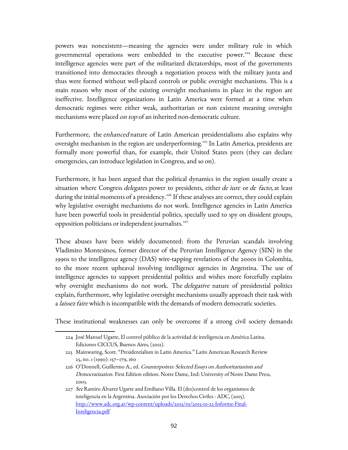powers was nonexistent—meaning the agencies were under military rule in which governmental operations were embedded in the executive power.<sup>[224](#page-91-0)</sup> Because these intelligence agencies were part of the militarized dictatorships, most of the governments transitioned into democracies through a negotiation process with the military junta and thus were formed without well-placed controls or public oversight mechanisms. This is a main reason why most of the existing oversight mechanisms in place in the region are ineffective. Intelligence organizations in Latin America were formed at a time when democratic regimes were either weak, authoritarian or non existent meaning oversight mechanisms were placed on top of an inherited non-democratic culture.

Furthermore, the enhanced nature of Latin American presidentialisms also explains why oversight mechanism in the region are underperforming.<sup>[225](#page-91-1)</sup> In Latin America, presidents are formally more powerful than, for example, their United States peers (they can declare emergencies, can introduce legislation in Congress, and so on).

Furthermore, it has been argued that the political dynamics in the region usually create a situation where Congress *delegates* power to presidents, either *de iure* or *de facto*, at least during the initial moments of a presidency.<sup>[226](#page-91-2)</sup> If these analyses are correct, they could explain why legislative oversight mechanisms do not work. Intelligence agencies in Latin America have been powerful tools in presidential politics, specially used to spy on dissident groups, opposition politicians or independent journalists.<sup>[227](#page-91-3)</sup>

These abuses have been widely documented: from the Peruvian scandals involving Vladimiro Montesinos, former director of the Peruvian Intelligence Agency (SIN) in the 1990s to the intelligence agency (DAS) wire-tapping revelations of the 2000s in Colombia, to the more recent upheaval involving intelligence agencies in Argentina. The use of intelligence agencies to support presidential politics and wishes more forcefully explains why oversight mechanisms do not work. The *delegative* nature of presidential politics explain, furthermore, why legislative oversight mechanisms usually approach their task with a *laissez faire* which is incompatible with the demands of modern democratic societies.

These institutional weaknesses can only be overcome if a strong civil society demands

<span id="page-91-0"></span><sup>224</sup> José Manuel Ugarte, El control público de la actividad de inteligencia en América Latina. Ediciones CICCUS, Buenos Aires, (2012).

<span id="page-91-1"></span><sup>225</sup> Mainwaring, Scott. "Presidentialism in Latin America." Latin American Research Review 25, no. 1 (1990): 157–179, 160

<span id="page-91-2"></span><sup>226</sup> O'Donnell, Guillermo A., ed. Counterpoints: Selected Essays on Authoritarianism and Democratization. First Edition edition. Notre Dame, Ind: University of Notre Dame Press, 2003.

<span id="page-91-3"></span><sup>227</sup> See Ramiro Álvarez Ugarte and Emiliano Villa. El (des)control de los organismos de inteligencia en la Argentina. Asociación por los Derechos Civiles - ADC, (2015). [http://www.adc.org.ar/wp-content/uploads/2015/01/2015-01-23-Informe-Final-](http://www.adc.org.ar/wp-content/uploads/2015/01/2015-01-23-Informe-Final-Inteligencia.pdf)[Inteligencia.pdf](http://www.adc.org.ar/wp-content/uploads/2015/01/2015-01-23-Informe-Final-Inteligencia.pdf)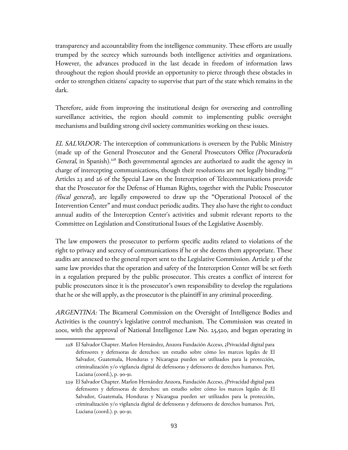transparency and accountability from the intelligence community. These efforts are usually trumped by the secrecy which surrounds both intelligence activities and organizations. However, the advances produced in the last decade in freedom of information laws throughout the region should provide an opportunity to pierce through these obstacles in order to strengthen citizens' capacity to supervise that part of the state which remains in the dark.

Therefore, aside from improving the institutional design for overseeing and controlling surveillance activities, the region should commit to implementing public oversight mechanisms and building strong civil society communities working on these issues.

EL SALVADOR: The interception of communications is overseen by the Public Ministry (made up of the General Prosecutor and the General Prosecutors Office (Procuradoría General, in Spanish).<sup>[228](#page-92-0)</sup> Both governmental agencies are authorized to audit the agency in charge of intercepting communications, though their resolutions are not legally binding.<sup>[229](#page-92-1)</sup> Articles 23 and 26 of the Special Law on the Interception of Telecommunications provide that the Prosecutor for the Defense of Human Rights, together with the Public Prosecutor (fiscal general), are legally empowered to draw up the "Operational Protocol of the Intervention Center" and must conduct periodic audits. They also have the right to conduct annual audits of the Interception Center's activities and submit relevant reports to the Committee on Legislation and Constitutional Issues of the Legislative Assembly.

The law empowers the prosecutor to perform specific audits related to violations of the right to privacy and secrecy of communications if he or she deems them appropriate. These audits are annexed to the general report sent to the Legislative Commission. Article 31 of the same law provides that the operation and safety of the Interception Center will be set forth in a regulation prepared by the public prosecutor. This creates a conflict of interest for public prosecutors since it is the prosecutor's own responsibility to develop the regulations that he or she will apply, as the prosecutor is the plaintiff in any criminal proceeding.

ARGENTINA: The Bicameral Commission on the Oversight of Intelligence Bodies and Activities is the country's legislative control mechanism. The Commission was created in 2001, with the approval of National Intelligence Law No. 25,520, and began operating in

<span id="page-92-0"></span><sup>228</sup> El Salvador Chapter. Marlon Hernández, Anzora Fundación Acceso, ¿Privacidad digital para defensores y defensoras de derechos: un estudio sobre cómo los marcos legales de El Salvador, Guatemala, Honduras y Nicaragua pueden ser utilizados para la protección, criminalización y/o vigilancia digital de defensoras y defensores de derechos humanos. Peri, Luciana (coord.), p. 90-91.

<span id="page-92-1"></span><sup>229</sup> El Salvador Chapter. Marlon Hernández Anzora, Fundación Acceso, ¿Privacidad digital para defensores y defensoras de derechos: un estudio sobre cómo los marcos legales de El Salvador, Guatemala, Honduras y Nicaragua pueden ser utilizados para la protección, criminalización y/o vigilancia digital de defensoras y defensores de derechos humanos. Peri, Luciana (coord.). p. 90-91.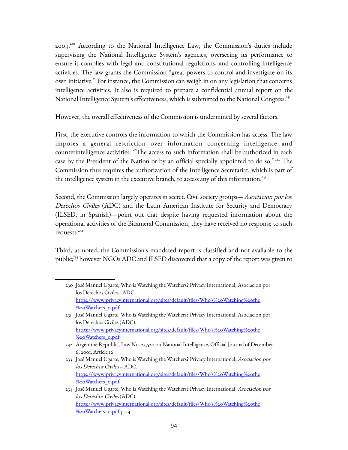2004.<sup>[230](#page-93-0)</sup> According to the National Intelligence Law, the Commission's duties include supervising the National Intelligence System's agencies, overseeing its performance to ensure it complies with legal and constitutional regulations, and controlling intelligence activities. The law grants the Commission "great powers to control and investigate on its own initiative." For instance, the Commission can weigh in on any legislation that concerns intelligence activities. It also is required to prepare a confidential annual report on the National Intelligence System's effectiveness, which is submitted to the National Congress.<sup>[231](#page-93-1)</sup>

However, the overall effectiveness of the Commission is undermined by several factors.

First, the executive controls the information to which the Commission has access. The law imposes a general restriction over information concerning intelligence and counterintelligence activities: "The access to such information shall be authorized in each case by the President of the Nation or by an official specially appointed to do so."<sup>222</sup> The Commission thus requires the authorization of the Intelligence Secretariat, which is part of the intelligence system in the executive branch, to access any of this information. $^{233}$  $^{233}$  $^{233}$ 

Second, the Commission largely operates in secret. Civil society groups—Asociacion por los Derechos Civiles (ADC) and the Latin American Institute for Security and Democracy (ILSED, in Spanish)—point out that despite having requested information about the operational activities of the Bicameral Commission, they have received no response to such requests. $234$ 

Third, as noted, the Commission's mandated report is classified and not available to the public;<sup>235</sup> however NGOs ADC and ILSED discovered that a copy of the report was given to

<span id="page-93-0"></span><sup>230</sup> José Manuel Ugarte, Who is Watching the Watchers? Privacy International, Asociacion por los Derechos Civiles - ADC, [https://www.privacyinternational.org/sites/default/files/Who's%20Watching%20the](https://www.privacyinternational.org/sites/default/files/Who) [%20Watchers\\_0.pdf](https://www.privacyinternational.org/sites/default/files/Who)

<span id="page-93-1"></span><sup>231</sup> José Manuel Ugarte, Who is Watching the Watchers? Privacy International, Asociacion por los Derechos Civiles (ADC). [https://www.privacyinternational.org/sites/default/files/Who's%20Watching%20the](https://www.privacyinternational.org/sites/default/files/Who) [%20Watchers\\_0.pdf](https://www.privacyinternational.org/sites/default/files/Who)

<span id="page-93-2"></span><sup>232</sup> Argentine Republic, Law No. 25,520 on National Intelligence, Official Journal of December 6, 2001, Article 16.

<span id="page-93-3"></span><sup>233</sup> José Manuel Ugarte, Who is Watching the Watchers? Privacy International, Asociacion por los Derechos Civiles – ADC. [https://www.privacyinternational.org/sites/default/files/Who's%20Watching%20the](https://www.privacyinternational.org/sites/default/files/Who) [%20Watchers\\_0.pdf](https://www.privacyinternational.org/sites/default/files/Who)

<span id="page-93-4"></span><sup>234</sup> José Manuel Ugarte, Who is Watching the Watchers? Privacy International, Asociacion por los Derechos Civiles (ADC). [https://www.privacyinternational.org/sites/default/files/Who's%20Watching%20the](https://www.privacyinternational.org/sites/default/files/Who) [%20Watchers\\_0.pdf](https://www.privacyinternational.org/sites/default/files/Who) p. 14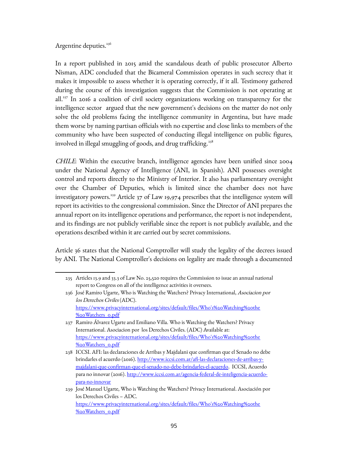Argentine deputies.<sup>[236](#page-94-0)</sup>

In a report published in 2015 amid the scandalous death of public prosecutor Alberto Nisman, ADC concluded that the Bicameral Commission operates in such secrecy that it makes it impossible to assess whether it is operating correctly, if it all. Testimony gathered during the course of this investigation suggests that the Commission is not operating at all.<sup>[237](#page-94-1)</sup> In 2016 a coalition of civil society organizations working on transparency for the intelligence sector argued that the new government's decisions on the matter do not only solve the old problems facing the intelligence community in Argentina, but have made them worse by naming partisan officials with no expertise and close links to members of the community who have been suspected of conducting illegal intelligence on public figures, involved in illegal smuggling of goods, and drug trafficking.<sup>[238](#page-94-2)</sup>

CHILE: Within the executive branch, intelligence agencies have been unified since 2004 under the National Agency of Intelligence (ANI, in Spanish). ANI possesses oversight control and reports directly to the Ministry of Interior. It also has parliamentary oversight over the Chamber of Deputies, which is limited since the chamber does not have investigatory powers.<sup>[239](#page-94-3)</sup> Article 37 of Law 19,974 prescribes that the intelligence system will report its activities to the congressional commission. Since the Director of ANI prepares the annual report on its intelligence operations and performance, the report is not independent, and its findings are not publicly verifiable since the report is not publicly available, and the operations described within it are carried out by secret commissions.

Article 36 states that the National Comptroller will study the legality of the decrees issued by ANI. The National Comptroller's decisions on legality are made through a documented

<sup>235</sup> Articles 13.9 and 33.3 of Law No. 25,520 requires the Commission to issue an annual national report to Congress on all of the intelligence activities it oversees.

<span id="page-94-0"></span><sup>236</sup> José Ramiro Ugarte, Who is Watching the Watchers? Privacy International, Asociacion por los Derechos Civiles (ADC). [https://www.privacyinternational.org/sites/default/files/Who's%20Watching%20the](https://www.privacyinternational.org/sites/default/files/Who) [%20Watchers\\_0.pdf](https://www.privacyinternational.org/sites/default/files/Who)

<span id="page-94-1"></span><sup>237</sup> Ramiro Álvarez Ugarte and Emiliano Villa. Who is Watching the Watchers? Privacy International. Asociacion por los Derechos Civiles. (ADC) Available at: [https://www.privacyinternational.org/sites/default/files/Who's%20Watching%20the](https://www.privacyinternational.org/sites/default/files/Who) [%20Watchers\\_0.pdf](https://www.privacyinternational.org/sites/default/files/Who)

<span id="page-94-2"></span><sup>238</sup> ICCSI. AFI: las declaraciones de Arribas y Majdalani que confirman que el Senado no debe brindarles el acuerdo (2016). [http://www.iccsi.com.ar/afi-las-declaraciones-de-arribas-y](http://www.iccsi.com.ar/afi-las-declaraciones-de-arribas-y-majdalani-que-confirman-que-el-senado-no-debe-brindarles-el-acuerdo)[majdalani-que-confirman-que-el-senado-no-debe-brindarles-el-acuerdo.](http://www.iccsi.com.ar/afi-las-declaraciones-de-arribas-y-majdalani-que-confirman-que-el-senado-no-debe-brindarles-el-acuerdo) ICCSI, Acuerdo para no innovar (2016). [http://www.iccsi.com.ar/agencia-federal-de-inteligencia-acuerdo](http://www.iccsi.com.ar/agencia-federal-de-inteligencia-acuerdo-para-no-innovar)[para-no-innovar](http://www.iccsi.com.ar/agencia-federal-de-inteligencia-acuerdo-para-no-innovar) 

<span id="page-94-3"></span><sup>239</sup> José Manuel Ugarte, Who is Watching the Watchers? Privacy International. Asociación por los Derechos Civiles – ADC. [https://www.privacyinternational.org/sites/default/files/Who's%20Watching%20the](https://www.privacyinternational.org/sites/default/files/Who)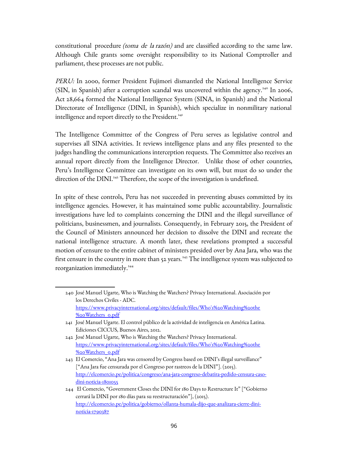constitutional procedure (toma de la razón) and are classified according to the same law. Although Chile grants some oversight responsibility to its National Comptroller and parliament, these processes are not public.

PERU: In 2000, former President Fujimori dismantled the National Intelligence Service (SIN, in Spanish) after a corruption scandal was uncovered within the agency.<sup>[240](#page-95-0)</sup> In 2006, Act 28,664 formed the National Intelligence System (SINA, in Spanish) and the National Directorate of Intelligence (DINI, in Spanish), which specialize in nonmilitary national intelligence and report directly to the President.<sup>[241](#page-95-1)</sup>

The Intelligence Committee of the Congress of Peru serves as legislative control and supervises all SINA activities. It reviews intelligence plans and any files presented to the judges handling the communications interception requests. The Committee also receives an annual report directly from the Intelligence Director. Unlike those of other countries, Peru's Intelligence Committee can investigate on its own will, but must do so under the direction of the DINI.<sup>[242](#page-95-2)</sup> Therefore, the scope of the investigation is undefined.

In spite of these controls, Peru has not succeeded in preventing abuses committed by its intelligence agencies. However, it has maintained some public accountability. Journalistic investigations have led to complaints concerning the DINI and the illegal surveillance of politicians, businessmen, and journalists. Consequently, in February 2015, the President of the Council of Ministers announced her decision to dissolve the DINI and recreate the national intelligence structure. A month later, these revelations prompted a successful motion of censure to the entire cabinet of ministers presided over by Ana Jara, who was the first censure in the country in more than 52 years.<sup>[243](#page-95-3)</sup> The intelligence system was subjected to reorganization immediately.<sup>[244](#page-95-4)</sup>

<span id="page-95-0"></span><sup>240</sup> José Manuel Ugarte, Who is Watching the Watchers? Privacy International. Asociación por los Derechos Civiles - ADC. [https://www.privacyinternational.org/sites/default/files/Who's%20Watching%20the](https://www.privacyinternational.org/sites/default/files/Who) [%20Watchers\\_0.pdf](https://www.privacyinternational.org/sites/default/files/Who)

<span id="page-95-1"></span><sup>241</sup> José Manuel Ugarte. El control público de la actividad de inteligencia en América Latina. Ediciones CICCUS, Buenos Aires, 2012.

<span id="page-95-2"></span><sup>242</sup> José Manuel Ugarte, Who is Watching the Watchers? Privacy International. [https://www.privacyinternational.org/sites/default/files/Who's%20Watching%20the](https://www.privacyinternational.org/sites/default/files/Who) [%20Watchers\\_0.pdf](https://www.privacyinternational.org/sites/default/files/Who)

<span id="page-95-3"></span><sup>243</sup> El Comercio, "Ana Jara was censored by Congress based on DINI's illegal surveillance" ["Ana Jara fue censurada por el Congreso por rastreos de la DINI"]. (2015). [http://elcomercio.pe/politica/congreso/ana-jara-congreso-debatira-pedido-censura-caso](http://elcomercio.pe/politica/congreso/ana-jara-congreso-debatira-pedido-censura-caso-dini-noticia-1801055)[dini-noticia-1801055](http://elcomercio.pe/politica/congreso/ana-jara-congreso-debatira-pedido-censura-caso-dini-noticia-1801055)

<span id="page-95-4"></span><sup>244</sup> El Comercio, "Government Closes the DINI for 180 Days to Restructure It" ["Gobierno cerrará la DINI por 180 días para su reestructuración"], (2015). [http://elcomercio.pe/politica/gobierno/ollanta-humala-dijo-que-analizara-cierre-dini](http://elcomercio.pe/politica/gobierno/ollanta-humala-dijo-que-analizara-cierre-dini-noticia-1790387)[noticia-1790387](http://elcomercio.pe/politica/gobierno/ollanta-humala-dijo-que-analizara-cierre-dini-noticia-1790387)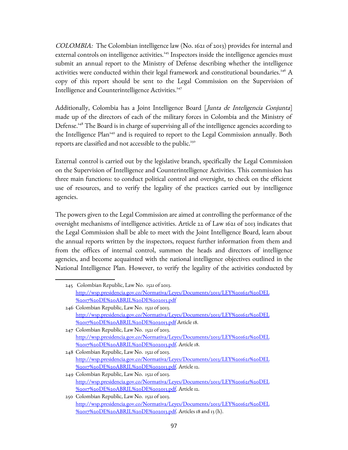COLOMBIA: The Colombian intelligence law (No. 1621 of 2013) provides for internal and external controls on intelligence activities.<sup>[245](#page-96-0)</sup> Inspectors inside the intelligence agencies must submit an annual report to the Ministry of Defense describing whether the intelligence activities were conducted within their legal framework and constitutional boundaries.<sup>[246](#page-96-1)</sup> A copy of this report should be sent to the Legal Commission on the Supervision of Intelligence and Counterintelligence Activities.<sup>[247](#page-96-2)</sup>

Additionally, Colombia has a Joint Intelligence Board [Junta de Inteligencia Conjunta] made up of the directors of each of the military forces in Colombia and the Ministry of Defense.<sup>[248](#page-96-3)</sup> The Board is in charge of supervising all of the intelligence agencies according to the Intelligence Plan<sup>[249](#page-96-4)</sup> and is required to report to the Legal Commission annually. Both reports are classified and not accessible to the public.<sup>[250](#page-96-5)</sup>

External control is carried out by the legislative branch, specifically the Legal Commission on the Supervision of Intelligence and Counterintelligence Activities. This commission has three main functions: to conduct political control and oversight, to check on the efficient use of resources, and to verify the legality of the practices carried out by intelligence agencies.

The powers given to the Legal Commission are aimed at controlling the performance of the oversight mechanisms of intelligence activities. Article 22 of Law 1621 of 2013 indicates that the Legal Commission shall be able to meet with the Joint Intelligence Board, learn about the annual reports written by the inspectors, request further information from them and from the offices of internal control, summon the heads and directors of intelligence agencies, and become acquainted with the national intelligence objectives outlined in the National Intelligence Plan. However, to verify the legality of the activities conducted by

<span id="page-96-0"></span><sup>245</sup> Colombian Republic, Law No. 1521 of 2013. [http://wsp.presidencia.gov.co/Normativa/Leyes/Documents/2013/LEY%201621%20DEL](http://wsp.presidencia.gov.co/Normativa/Leyes/Documents/2013/LEY%201621%20DEL%2017%20DE%20ABRIL%20DE%202013.pdf) [%2017%20DE%20ABRIL%20DE%202013.pdf](http://wsp.presidencia.gov.co/Normativa/Leyes/Documents/2013/LEY%201621%20DEL%2017%20DE%20ABRIL%20DE%202013.pdf)

<span id="page-96-1"></span><sup>246</sup> Colombian Republic, Law No. 1521 of 2013. [http://wsp.presidencia.gov.co/Normativa/Leyes/Documents/2013/LEY%201621%20DEL](http://wsp.presidencia.gov.co/Normativa/Leyes/Documents/2013/LEY%201621%20DEL%2017%20DE%20ABRIL%20DE%202013.pdf) [%2017%20DE%20ABRIL%20DE%202013.pdf](http://wsp.presidencia.gov.co/Normativa/Leyes/Documents/2013/LEY%201621%20DEL%2017%20DE%20ABRIL%20DE%202013.pdf) Article 18.

<span id="page-96-2"></span><sup>247</sup> Colombian Republic, Law No. 1521 of 2013. [http://wsp.presidencia.gov.co/Normativa/Leyes/Documents/2013/LEY%201621%20DEL](http://wsp.presidencia.gov.co/Normativa/Leyes/Documents/2013/LEY%201621%20DEL%2017%20DE%20ABRIL%20DE%202013.pdf) [%2017%20DE%20ABRIL%20DE%202013.pdf.](http://wsp.presidencia.gov.co/Normativa/Leyes/Documents/2013/LEY%201621%20DEL%2017%20DE%20ABRIL%20DE%202013.pdf) Article 18.

<span id="page-96-3"></span><sup>248</sup> Colombian Republic, Law No. 1521 of 2013. [http://wsp.presidencia.gov.co/Normativa/Leyes/Documents/2013/LEY%201621%20DEL](http://wsp.presidencia.gov.co/Normativa/Leyes/Documents/2013/LEY%201621%20DEL%2017%20DE%20ABRIL%20DE%202013.pdf) [%2017%20DE%20ABRIL%20DE%202013.pdf.](http://wsp.presidencia.gov.co/Normativa/Leyes/Documents/2013/LEY%201621%20DEL%2017%20DE%20ABRIL%20DE%202013.pdf) Article 12.

<span id="page-96-4"></span><sup>249</sup> Colombian Republic, Law No. 1521 of 2013. [http://wsp.presidencia.gov.co/Normativa/Leyes/Documents/2013/LEY%201621%20DEL](http://wsp.presidencia.gov.co/Normativa/Leyes/Documents/2013/LEY%201621%20DEL%2017%20DE%20ABRIL%20DE%202013.pdf) [%2017%20DE%20ABRIL%20DE%202013.pdf.](http://wsp.presidencia.gov.co/Normativa/Leyes/Documents/2013/LEY%201621%20DEL%2017%20DE%20ABRIL%20DE%202013.pdf) Article 12.

<span id="page-96-5"></span><sup>250</sup> Colombian Republic, Law No. 1521 of 2013. [http://wsp.presidencia.gov.co/Normativa/Leyes/Documents/2013/LEY%201621%20DEL](http://wsp.presidencia.gov.co/Normativa/Leyes/Documents/2013/LEY%201621%20DEL%2017%20DE%20ABRIL%20DE%202013.pdf) [%2017%20DE%20ABRIL%20DE%202013.pdf.](http://wsp.presidencia.gov.co/Normativa/Leyes/Documents/2013/LEY%201621%20DEL%2017%20DE%20ABRIL%20DE%202013.pdf) Articles 18 and 13 (h).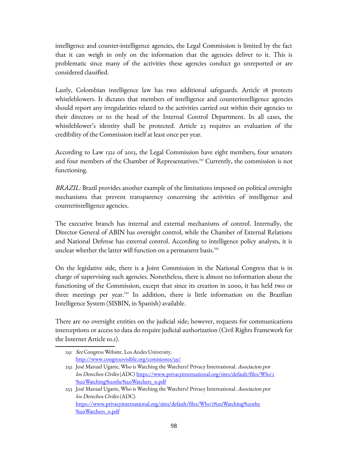intelligence and counter-intelligence agencies, the Legal Commission is limited by the fact that it can weigh in only on the information that the agencies deliver to it. This is problematic since many of the activities these agencies conduct go unreported or are considered classified.

Lastly, Colombian intelligence law has two additional safeguards. Article 18 protects whistleblowers. It dictates that members of intelligence and counterintelligence agencies should report any irregularities related to the activities carried out within their agencies to their directors or to the head of the Internal Control Department. In all cases, the whistleblower's identity shall be protected. Article 23 requires an evaluation of the credibility of the Commission itself at least once per year.

According to Law 1321 of 2013, the Legal Commission have eight members, four senators and four members of the Chamber of Representatives.<sup>[251](#page-97-0)</sup> Currently, the commission is not functioning.

BRAZIL: Brazil provides another example of the limitations imposed on political oversight mechanisms that prevent transparency concerning the activities of intelligence and counterintelligence agencies.

The executive branch has internal and external mechanisms of control. Internally, the Director General of ABIN has oversight control, while the Chamber of External Relations and National Defense has external control. According to intelligence policy analysts, it is unclear whether the latter will function on a permanent basis.<sup>[252](#page-97-1)</sup>

On the legislative side, there is a Joint Commission in the National Congress that is in charge of supervising such agencies. Nonetheless, there is almost no information about the functioning of the Commission, except that since its creation in 2000, it has held two or three meetings per year.<sup>[253](#page-97-2)</sup> In addition, there is little information on the Brazilian Intelligence System (SISBIN, in Spanish) available.

There are no oversight entities on the judicial side; however, requests for communications interceptions or access to data do require judicial authorization (Civil Rights Framework for the Internet Article 10.1).

<span id="page-97-0"></span><sup>251</sup> See Congress Website. Los Andes University. <http://www.congresovisible.org/comisiones/39/>

<span id="page-97-1"></span><sup>252</sup> José Manuel Ugarte, Who is Watching the Watchers? Privacy International. Asociacion por los Derechos Civiles (ADC) [https://www.privacyinternational.org/sites/default/files/Who's](https://www.privacyinternational.org/sites/default/files/Who) [%20Watching%20the%20Watchers\\_0.pdf](https://www.privacyinternational.org/sites/default/files/Who)

<span id="page-97-2"></span><sup>253</sup> José Manuel Ugarte, Who is Watching the Watchers? Privacy International. Asociacion por los Derechos Civiles (ADC). [https://www.privacyinternational.org/sites/default/files/Who's%20Watching%20the](https://www.privacyinternational.org/sites/default/files/Who) [%20Watchers\\_0.pdf](https://www.privacyinternational.org/sites/default/files/Who)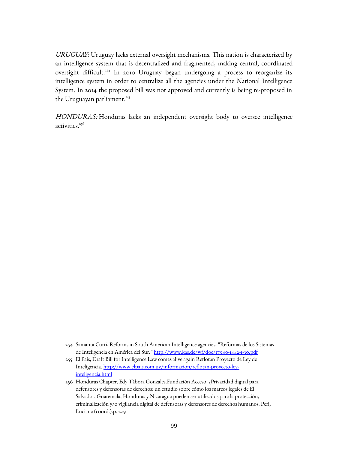URUGUAY: Uruguay lacks external oversight mechanisms. This nation is characterized by an intelligence system that is decentralized and fragmented, making central, coordinated oversight difficult.<sup>[254](#page-98-0)</sup> In 2010 Uruguay began undergoing a process to reorganize its intelligence system in order to centralize all the agencies under the National Intelligence System. In 2014 the proposed bill was not approved and currently is being re-proposed in the Uruguayan parliament.<sup>[255](#page-98-1)</sup>

HONDURAS: Honduras lacks an independent oversight body to oversee intelligence activities.<sup>[256](#page-98-2)</sup>

<span id="page-98-0"></span><sup>254</sup> Samanta Curti, Reforms in South American Intelligence agencies, "Reformas de los Sistemas de Inteligencia en América del Sur."<http://www.kas.de/wf/doc/17940-1442-1-30.pdf>

<span id="page-98-1"></span><sup>255</sup> El País, Draft Bill for Intelligence Law comes alive again Reflotan Proyecto de Ley de Inteligencia. [http://www.elpais.com.uy/informacion/reflotan-proyecto-ley](http://www.elpais.com.uy/informacion/reflotan-proyecto-ley-inteligencia.html)[inteligencia.html](http://www.elpais.com.uy/informacion/reflotan-proyecto-ley-inteligencia.html)

<span id="page-98-2"></span><sup>256</sup> Honduras Chapter, Edy Tábora Gonzales.Fundación Acceso, ¿Privacidad digital para defensores y defensoras de derechos: un estudio sobre cómo los marcos legales de El Salvador, Guatemala, Honduras y Nicaragua pueden ser utilizados para la protección, criminalización y/o vigilancia digital de defensoras y defensores de derechos humanos. Peri, Luciana (coord.).p. 229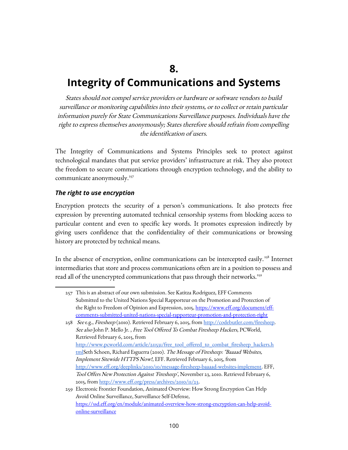**8.**

#### **Integrity of Communications and Systems**

States should not compel service providers or hardware or software vendors to build surveillance or monitoring capabilities into their systems, or to collect or retain particular information purely for State Communications Surveillance purposes. Individuals have the right to express themselves anonymously; States therefore should refrain from compelling the identification of users.

The Integrity of Communications and Systems Principles seek to protect against technological mandates that put service providers' infrastructure at risk. They also protect the freedom to secure communications through encryption technology, and the ability to communicate anonymously.<sup>[257](#page-99-0)</sup>

#### *The right to use encryption*

Encryption protects the security of a person's communications. It also protects free expression by preventing automated technical censorship systems from blocking access to particular content and even to specific key words. It promotes expression indirectly by giving users confidence that the confidentiality of their communications or browsing history are protected by technical means.

In the absence of encryption, online communications can be intercepted easily.<sup>[258](#page-99-1)</sup> Internet intermediaries that store and process communications often are in a position to possess and read all of the unencrypted communications that pass through their networks.<sup>[259](#page-99-2)</sup>

<span id="page-99-0"></span><sup>257</sup> This is an abstract of our own submission. See Katitza Rodriguez, EFF Comments Submitted to the United Nations Special Rapporteur on the Promotion and Protection of the Right to Freedom of Opinion and Expression, 2015, [https://www.eff.org/document/eff](https://www.eff.org/document/eff-comments-submitted-united-nations-special-rapporteur-promotion-and-protection-right)[comments-submitted-united-nations-special-rapporteur-promotion-and-protection-right](https://www.eff.org/document/eff-comments-submitted-united-nations-special-rapporteur-promotion-and-protection-right)

<span id="page-99-1"></span><sup>258</sup> See e.g., Firesheep (2010). Retrieved February 6, 2015, from [http://codebutler.com/firesheep.](http://codebutler.com/firesheep) See also John P. Mello Jr. , Free Tool Offered To Combat Firesheep Hackers, PCWorld, Retrieved February 6, 2015, from [http://www.pcworld.com/article/211531/free\\_tool\\_offered\\_to\\_combat\\_firesheep\\_hackers.h](http://www.pcworld.com/article/211531/free_tool_offered_to_combat_firesheep_hackers.html) [tmlS](http://www.pcworld.com/article/211531/free_tool_offered_to_combat_firesheep_hackers.html)eth Schoen, Richard Esguerra (2010). The Message of Firesheep: "Baaaad Websites, Implement Sitewide HTTPS Now!, EFF. Retrieved February 6, 2015, from [http://www.eff.org/deeplinks/2010/10/message-firesheep-baaaad-websites-implement.](http://www.eff.org/deeplinks/2010/10/message-firesheep-baaaad-websites-implement) EFF, Tool Offers New Protection Against 'Firesheep', November 23, 2010. Retrieved February 6, 2015, from [http://www.eff.org/press/archives/2010/11/23.](http://www.eff.org/press/archives/2010/11/23)

<span id="page-99-2"></span><sup>259</sup> Electronic Frontier Foundation, Animated Overview: How Strong Encryption Can Help Avoid Online Surveillance, Surveillance Self-Defense, [https://ssd.eff.org/en/module/animated-overview-how-strong-encryption-can-help-avoid](https://ssd.eff.org/en/module/animated-overview-how-strong-encryption-can-help-avoid-online-surveillance)[online-surveillance](https://ssd.eff.org/en/module/animated-overview-how-strong-encryption-can-help-avoid-online-surveillance)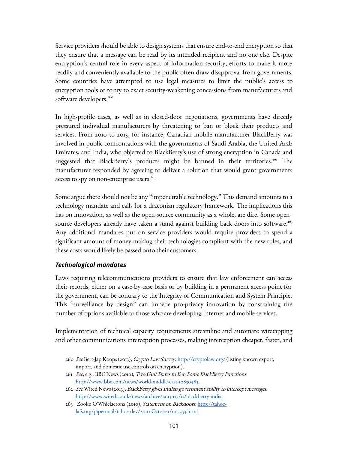Service providers should be able to design systems that ensure end-to-end encryption so that they ensure that a message can be read by its intended recipient and no one else. Despite encryption's central role in every aspect of information security, efforts to make it more readily and conveniently available to the public often draw disapproval from governments. Some countries have attempted to use legal measures to limit the public's access to encryption tools or to try to exact security-weakening concessions from manufacturers and software developers.<sup>[260](#page-100-0)</sup>

In high-profile cases, as well as in closed-door negotiations, governments have directly pressured individual manufacturers by threatening to ban or block their products and services. From 2010 to 2013, for instance, Canadian mobile manufacturer BlackBerry was involved in public confrontations with the governments of Saudi Arabia, the United Arab Emirates, and India, who objected to BlackBerry's use of strong encryption in Canada and suggested that BlackBerry's products might be banned in their territories.<sup>[261](#page-100-1)</sup> The manufacturer responded by agreeing to deliver a solution that would grant governments access to spy on non-enterprise users. $262$ 

Some argue there should not be any "impenetrable technology." This demand amounts to a technology mandate and calls for a draconian regulatory framework. The implications this has on innovation, as well as the open-source community as a whole, are dire. Some open-source developers already have taken a stand against building back doors into software.<sup>[263](#page-100-3)</sup> Any additional mandates put on service providers would require providers to spend a significant amount of money making their technologies compliant with the new rules, and these costs would likely be passed onto their customers.

#### *Technological mandates*

Laws requiring telecommunications providers to ensure that law enforcement can access their records, either on a case-by-case basis or by building in a permanent access point for the government, can be contrary to the Integrity of Communication and System Principle. This "surveillance by design" can impede pro-privacy innovation by constraining the number of options available to those who are developing Internet and mobile services.

Implementation of technical capacity requirements streamline and automate wiretapping and other communications interception processes, making interception cheaper, faster, and

<span id="page-100-0"></span><sup>260</sup> See Bert-Jap Koops (2013), Crypto Law Survey.<http://cryptolaw.org/>(listing known export, import, and domestic use controls on encryption).

<span id="page-100-1"></span><sup>261</sup> See, e.g., BBC News (2010), Two Gulf States to Ban Some BlackBerry Functions. [http://www.bbc.com/news/world-middle-east-10830485.](http://www.bbc.com/news/world-middle-east-10830485)

<span id="page-100-2"></span><sup>262</sup> See Wired News (2013), BlackBerry gives Indian government ability to intercept messages. <http://www.wired.co.uk/news/archive/2013-07/11/blackberry-india>

<span id="page-100-3"></span><sup>263</sup> Zooko O'Whielacronx (2010), Statement on Backdoors. [http://tahoe](http://tahoe-lafs.org/pipermail/tahoe-dev/2010-October/005353.html)[lafs.org/pipermail/tahoe-dev/2010-October/005353.html](http://tahoe-lafs.org/pipermail/tahoe-dev/2010-October/005353.html)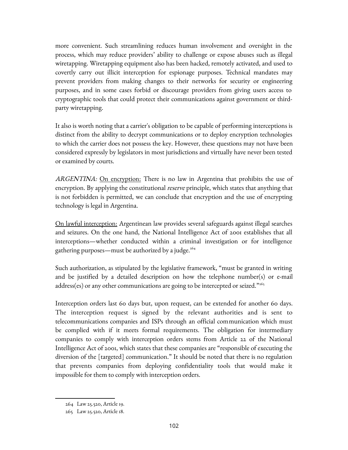more convenient. Such streamlining reduces human involvement and oversight in the process, which may reduce providers' ability to challenge or expose abuses such as illegal wiretapping. Wiretapping equipment also has been hacked, remotely activated, and used to covertly carry out illicit interception for espionage purposes. Technical mandates may prevent providers from making changes to their networks for security or engineering purposes, and in some cases forbid or discourage providers from giving users access to cryptographic tools that could protect their communications against government or thirdparty wiretapping.

It also is worth noting that a carrier's obligation to be capable of performing interceptions is distinct from the ability to decrypt communications or to deploy encryption technologies to which the carrier does not possess the key. However, these questions may not have been considered expressly by legislators in most jurisdictions and virtually have never been tested or examined by courts.

ARGENTINA: On encryption: There is no law in Argentina that prohibits the use of encryption. By applying the constitutional *reserve* principle, which states that anything that is not forbidden is permitted, we can conclude that encryption and the use of encrypting technology is legal in Argentina.

On lawful interception: Argentinean law provides several safeguards against illegal searches and seizures. On the one hand, the National Intelligence Act of 2001 establishes that all interceptions—whether conducted within a criminal investigation or for intelligence gathering purposes—must be authorized by a judge. $264$ 

Such authorization, as stipulated by the legislative framework, "must be granted in writing and be justified by a detailed description on how the telephone number(s) or e-mail address(es) or any other communications are going to be intercepted or seized."<sup>[265](#page-101-1)</sup>

Interception orders last 60 days but, upon request, can be extended for another 60 days. The interception request is signed by the relevant authorities and is sent to telecommunications companies and ISPs through an official communication which must be complied with if it meets formal requirements. The obligation for intermediary companies to comply with interception orders stems from Article 22 of the National Intelligence Act of 2001, which states that these companies are "responsible of executing the diversion of the [targeted] communication." It should be noted that there is no regulation that prevents companies from deploying confidentiality tools that would make it impossible for them to comply with interception orders.

<span id="page-101-0"></span><sup>264</sup> Law 25.520, Article 19.

<span id="page-101-1"></span><sup>265</sup> Law 25.520, Article 18.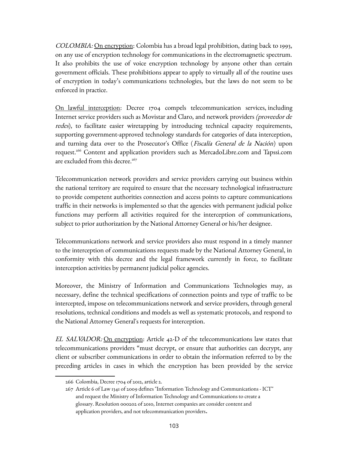COLOMBIA: On encryption: Colombia has a broad legal prohibition, dating back to 1993, on any use of encryption technology for communications in the electromagnetic spectrum. It also prohibits the use of voice encryption technology by anyone other than certain government officials. These prohibitions appear to apply to virtually all of the routine uses of encryption in today's communications technologies, but the laws do not seem to be enforced in practice.

On lawful interception: Decree 1704 compels telecommunication services, including Internet service providers such as Movistar and Claro, and network providers (proveedor de redes), to facilitate easier wiretapping by introducing technical capacity requirements, supporting government-approved technology standards for categories of data interception, and turning data over to the Prosecutor's Office (Fiscalía General de la Nación) upon request.[266](#page-102-0) Content and application providers such as MercadoLibre.com and Tapssi.com are excluded from this decree. $267$ 

Telecommunication network providers and service providers carrying out business within the national territory are required to ensure that the necessary technological infrastructure to provide competent authorities connection and access points to capture communications traffic in their networks is implemented so that the agencies with permanent judicial police functions may perform all activities required for the interception of communications, subject to prior authorization by the National Attorney General or his/her designee.

Telecommunications network and service providers also must respond in a timely manner to the interception of communications requests made by the National Attorney General, in conformity with this decree and the legal framework currently in force, to facilitate interception activities by permanent judicial police agencies.

Moreover, the Ministry of Information and Communications Technologies may, as necessary, define the technical specifications of connection points and type of traffic to be intercepted, impose on telecommunications network and service providers, through general resolutions, technical conditions and models as well as systematic protocols, and respond to the National Attorney General's requests for interception.

EL SALVADOR: On encryption: Article 42-D of the telecommunications law states that telecommunications providers "must decrypt, or ensure that authorities can decrypt, any client or subscriber communications in order to obtain the information referred to by the preceding articles in cases in which the encryption has been provided by the service

<span id="page-102-0"></span><sup>266</sup> Colombia, Decree 1704 of 2012, article 2.

<span id="page-102-1"></span><sup>267</sup> Article 6 of Law 1341 of 2009 defines "Information Technology and Communications - ICT" and request the Ministry of Information Technology and Communications to create a glossary. Resolution 000202 of 2010, Internet companies are consider content and application providers, and not telecommunication providers.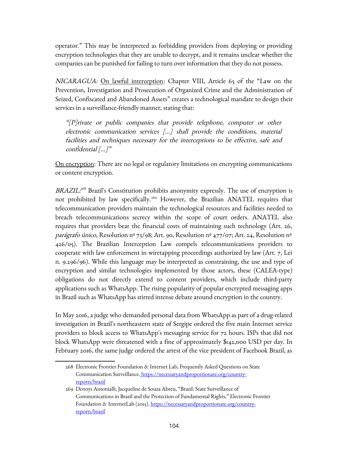operator." This may be interpreted as forbidding providers from deploying or providing encryption technologies that they are unable to decrypt, and it remains unclear whether the companies can be punished for failing to turn over information that they do not possess.

NICARAGUA: On lawful interception: Chapter VIII, Article 65 of the "Law on the Prevention, Investigation and Prosecution of Organized Crime and the Administration of Seized, Confiscated and Abandoned Assets" creates a technological mandate to design their services in a surveillance-friendly manner, stating that:

"[P]rivate or public companies that provide telephone, computer or other electronic communication services [...] shall provide the conditions, material facilities and techniques necessary for the interceptions to be effective, safe and confidential  $[\dots]^{\nu}$ 

On encryption: There are no legal or regulatory limitations on encrypting communications or content encryption.

BRAZIL:<sup>[268](#page-103-0)</sup> Brazil's Constitution prohibits anonymity expressly. The use of encryption is not prohibited by law specifically.<sup>[269](#page-103-1)</sup> However, the Brazilian ANATEL requires that telecommunication providers maintain the technological resources and facilities needed to breach telecommunications secrecy within the scope of court orders. ANATEL also requires that providers bear the financial costs of maintaining such technology (Art. 26, parágrafo único, Resolution nº 73/98; Art. 90, Resolution nº 477/07; Art. 24, Resolution nº 426/05). The Brazilian Interception Law compels telecommunications providers to cooperate with law enforcement in wiretapping proceedings authorized by law (Art. 7, Lei n. 9.296/96). While this language may be interpreted as constraining, the use and type of encryption and similar technologies implemented by those actors, these (CALEA-type) obligations do not directly extend to content providers, which include third-party applications such as WhatsApp. The rising popularity of popular encrypted messaging apps in Brazil such as WhatsApp has stirred intense debate around encryption in the country.

In May 2016, a judge who demanded personal data from WhatsApp as part of a drug-related investigation in Brazil's northeastern state of Sergipe ordered the five main Internet service providers to block access to WhatsApp's messaging service for 72 hours. ISPs that did not block WhatsApp were threatened with a fine of approximately \$142,000 USD per day. In February 2016, the same judge ordered the arrest of the vice president of Facebook Brazil, as

<span id="page-103-0"></span><sup>268</sup> Electronic Frontier Foundation & Internet Lab, Frequently Asked Questions on State Communication Surveillance. [https://necessaryandproportionate.org/country](https://necessaryandproportionate.org/country-reports/brazil)[reports/brazil](https://necessaryandproportionate.org/country-reports/brazil)

<span id="page-103-1"></span><sup>269</sup> Dennys Antonialli, Jacqueline de Souza Abreu, "Brazil: State Surveillance of Communications in Brazil and the Protection of Fundamental Rights," Electronic Frontier Foundation & InternetLab (2015). [https://necessaryandproportionate.org/country](https://necessaryandproportionate.org/country-reports/brazil)[reports/brazil](https://necessaryandproportionate.org/country-reports/brazil)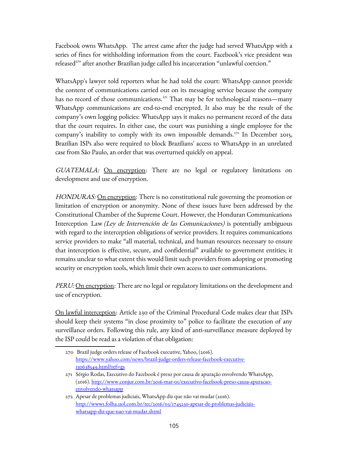Facebook owns WhatsApp. The arrest came after the judge had served WhatsApp with a series of fines for withholding information from the court. Facebook's vice president was released<sup>[270](#page-104-0)</sup> after another Brazilian judge called his incarceration "unlawful coercion."

WhatsApp's lawyer told reporters what he had told the court: WhatsApp cannot provide the content of communications carried out on its messaging service because the company has no record of those communications.<sup>[271](#page-104-1)</sup> That may be for technological reasons—many WhatsApp communications are end-to-end encrypted. It also may be the result of the company's own logging policies: WhatsApp says it makes no permanent record of the data that the court requires. In either case, the court was punishing a single employee for the company's inability to comply with its own impossible demands.<sup>[272](#page-104-2)</sup> In December 2015, Brazilian ISPs also were required to block Brazilians' access to WhatsApp in an unrelated case from São Paulo, an order that was overturned quickly on appeal.

GUATEMALA: On encryption: There are no legal or regulatory limitations on development and use of encryption.

HONDURAS: On encryption: There is no constitutional rule governing the promotion or limitation of encryption or anonymity. None of these issues have been addressed by the Constitutional Chamber of the Supreme Court. However, the Honduran Communications Interception Law (Ley de Intervención de las Comunicaciones) is potentially ambiguous with regard to the interception obligations of service providers. It requires communications service providers to make "all material, technical, and human resources necessary to ensure that interception is effective, secure, and confidential" available to government entities; it remains unclear to what extent this would limit such providers from adopting or promoting security or encryption tools, which limit their own access to user communications.

PERU: <u>On encryption</u>: There are no legal or regulatory limitations on the development and use of encryption.

On lawful interception: Article 230 of the Criminal Procedural Code makes clear that ISPs should keep their systems "in close proximity to" police to facilitate the execution of any surveillance orders. Following this rule, any kind of anti-surveillance measure deployed by the ISP could be read as a violation of that obligation:

<span id="page-104-0"></span><sup>270</sup> Brazil judge orders release of Facebook executive, Yahoo, (2016). [https://www.yahoo.com/news/brazil-judge-orders-release-facebook-executive-](https://www.yahoo.com/news/brazil-judge-orders-release-facebook-executive-130638549.html?ref=gs)[130638549.html?ref=gs](https://www.yahoo.com/news/brazil-judge-orders-release-facebook-executive-130638549.html?ref=gs)

<span id="page-104-1"></span><sup>271</sup> Sérgio Rodas, Executivo do Facebook é preso por causa de apuração envolvendo WhatsApp, (2016). [http://www.conjur.com.br/2016-mar-01/executivo-facebook-preso-causa-apuracao](http://www.conjur.com.br/2016-mar-01/executivo-facebook-preso-causa-apuracao-envolvendo-whatsapp)[envolvendo-whatsapp](http://www.conjur.com.br/2016-mar-01/executivo-facebook-preso-causa-apuracao-envolvendo-whatsapp)

<span id="page-104-2"></span><sup>272</sup> Apesar de problemas judiciais, WhatsApp diz que não vai mudar (2016). [http://www1.folha.uol.com.br/tec/2016/03/1745230-apesar-de-problemas-judiciais](http://www1.folha.uol.com.br/tec/2016/03/1745230-apesar-de-problemas-judiciais-whatsapp-diz-que-nao-vai-mudar.shtml)[whatsapp-diz-que-nao-vai-mudar.shtml](http://www1.folha.uol.com.br/tec/2016/03/1745230-apesar-de-problemas-judiciais-whatsapp-diz-que-nao-vai-mudar.shtml)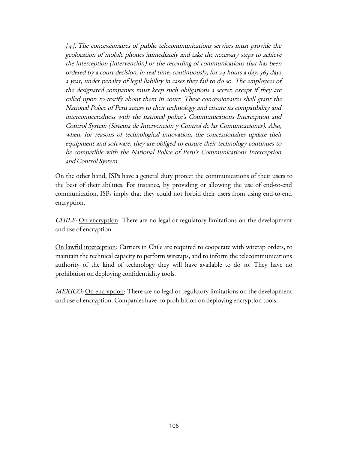$[4]$ . The concessionaires of public telecommunications services must provide the geolocation of mobile phones immediately and take the necessary steps to achieve the interception (intervención) or the recording of communications that has been ordered by a court decision, in real time, continuously, for 24 hours a day, 365 days a year, under penalty of legal liability in cases they fail to do so. The employees of the designated companies must keep such obligations a secret, except if they are called upon to testify about them in court. These concessionaires shall grant the National Police of Peru access to their technology and ensure its compatibility and interconnectedness with the national police's Communications Interception and Control System (Sistema de Intervención y Control de las Comunicaciones). Also, when, for reasons of technological innovation, the concessionaires update their equipment and software, they are obliged to ensure their technology continues to be compatible with the National Police of Peru's Communications Interception and Control System.

On the other hand, ISPs have a general duty protect the communications of their users to the best of their abilities. For instance, by providing or allowing the use of end-to-end communication, ISPs imply that they could not forbid their users from using end-to-end encryption.

CHILE: On encryption: There are no legal or regulatory limitations on the development and use of encryption.

On lawful interception: Carriers in Chile are required to cooperate with wiretap orders, to maintain the technical capacity to perform wiretaps, and to inform the telecommunications authority of the kind of technology they will have available to do so. They have no prohibition on deploying confidentiality tools.

MEXICO: On encryption: There are no legal or regulatory limitations on the development and use of encryption. Companies have no prohibition on deploying encryption tools.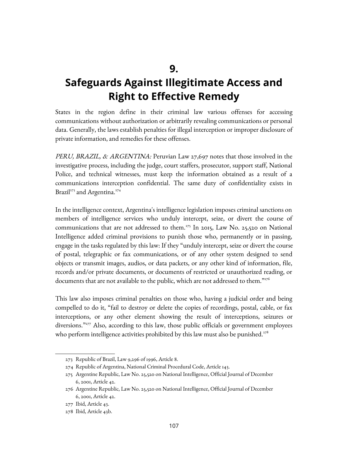**9.**

# **Safeguards Against Illegitimate Access and Right to Effective Remedy**

States in the region define in their criminal law various offenses for accessing communications without authorization or arbitrarily revealing communications or personal data. Generally, the laws establish penalties for illegal interception or improper disclosure of private information, and remedies for these offenses.

PERU, BRAZIL, & ARGENTINA: Peruvian Law 27,697 notes that those involved in the investigative process, including the judge, court staffers, prosecutor, support staff, National Police, and technical witnesses, must keep the information obtained as a result of a communications interception confidential. The same duty of confidentiality exists in Brazil<sup>[273](#page-106-0)</sup> and Argentina.<sup>[274](#page-106-1)</sup>

In the intelligence context, Argentina's intelligence legislation imposes criminal sanctions on members of intelligence services who unduly intercept, seize, or divert the course of communications that are not addressed to them.<sup>[275](#page-106-2)</sup> In 2015, Law No. 25,520 on National Intelligence added criminal provisions to punish those who, permanently or in passing, engage in the tasks regulated by this law: If they "unduly intercept, seize or divert the course of postal, telegraphic or fax communications, or of any other system designed to send objects or transmit images, audios, or data packets, or any other kind of information, file, records and/or private documents, or documents of restricted or unauthorized reading, or documents that are not available to the public, which are not addressed to them."[276](#page-106-3)

This law also imposes criminal penalties on those who, having a judicial order and being compelled to do it, "fail to destroy or delete the copies of recordings, postal, cable, or fax interceptions, or any other element showing the result of interceptions, seizures or diversions."<sup>[277](#page-106-4)</sup> Also, according to this law, those public officials or government employees who perform intelligence activities prohibited by this law must also be punished. $278$ 

<span id="page-106-0"></span><sup>273</sup> Republic of Brazil, Law 9,296 of 1996, Article 8.

<span id="page-106-1"></span><sup>274</sup> Republic of Argentina, National Criminal Procedural Code, Article 143.

<span id="page-106-2"></span><sup>275</sup> Argentine Republic, Law No. 25,520 on National Intelligence, Official Journal of December 6, 2001, Article 42.

<span id="page-106-3"></span><sup>276</sup> Argentine Republic, Law No. 25,520 on National Intelligence, Official Journal of December 6, 2001, Article 42.

<span id="page-106-4"></span><sup>277</sup> Ibid, Article 43.

<span id="page-106-5"></span><sup>278</sup> Ibid, Article 43b.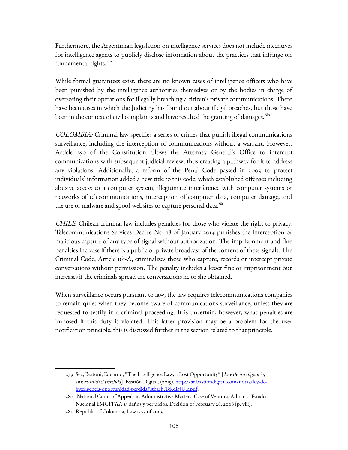Furthermore, the Argentinian legislation on intelligence services does not include incentives for intelligence agents to publicly disclose information about the practices that infringe on fundamental rights.<sup>[279](#page-107-0)</sup>

While formal guarantees exist, there are no known cases of intelligence officers who have been punished by the intelligence authorities themselves or by the bodies in charge of overseeing their operations for illegally breaching a citizen's private communications. There have been cases in which the Judiciary has found out about illegal breaches, but those have been in the context of civil complaints and have resulted the granting of damages.<sup>[280](#page-107-1)</sup>

COLOMBIA: Criminal law specifies a series of crimes that punish illegal communications surveillance, including the interception of communications without a warrant. However, Article 250 of the Constitution allows the Attorney General's Office to intercept communications with subsequent judicial review, thus creating a pathway for it to address any violations. Additionally, a reform of the Penal Code passed in 2009 to protect individuals' information added a new title to this code, which established offenses including abusive access to a computer system, illegitimate interference with computer systems or networks of telecommunications, interception of computer data, computer damage, and the use of malware and spoof websites to capture personal data.<sup>[281](#page-107-2)</sup>

CHILE: Chilean criminal law includes penalties for those who violate the right to privacy. Telecommunications Services Decree No. 18 of January 2014 punishes the interception or malicious capture of any type of signal without authorization. The imprisonment and fine penalties increase if there is a public or private broadcast of the content of these signals. The Criminal Code, Article 161-A, criminalizes those who capture, records or intercept private conversations without permission. The penalty includes a lesser fine or imprisonment but increases if the criminals spread the conversations he or she obtained.

When surveillance occurs pursuant to law, the law requires telecommunications companies to remain quiet when they become aware of communications surveillance, unless they are requested to testify in a criminal proceeding. It is uncertain, however, what penalties are imposed if this duty is violated. This latter provision may be a problem for the user notification principle; this is discussed further in the section related to that principle.

<span id="page-107-0"></span><sup>279</sup> See, Bertoni, Eduardo, "The Intelligence Law, a Lost Opportunity" [Ley de inteligencia, oportunidad perdida], Bastión Digital, (2015). [http://ar.bastiondigital.com/notas/ley-de](http://ar.bastiondigital.com/notas/ley-de-inteligencia-oportunidad-perdida#sthash.Td5djgJU.dpuf)[inteligencia-oportunidad-perdida#sthash.Td5djgJU.dpuf.](http://ar.bastiondigital.com/notas/ley-de-inteligencia-oportunidad-perdida#sthash.Td5djgJU.dpuf)

<span id="page-107-1"></span><sup>280</sup> National Court of Appeals in Administrative Matters. Case of Ventura, Adrián c. Estado Nacional EMGFFAA s/ daños y perjuicios. Decision of February 28, 2008 (p. viii).

<span id="page-107-2"></span><sup>281</sup> Republic of Colombia, Law 1273 of 2009.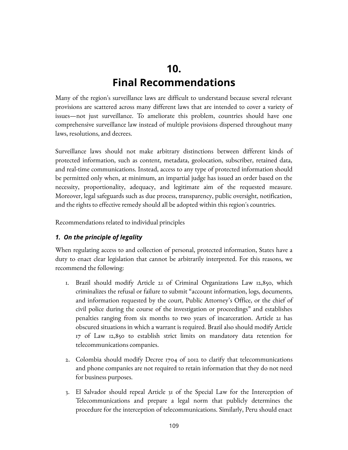## **10. Final Recommendations**

Many of the region's surveillance laws are difficult to understand because several relevant provisions are scattered across many different laws that are intended to cover a variety of issues—not just surveillance. To ameliorate this problem, countries should have one comprehensive surveillance law instead of multiple provisions dispersed throughout many laws, resolutions, and decrees.

Surveillance laws should not make arbitrary distinctions between different kinds of protected information, such as content, metadata, geolocation, subscriber, retained data, and real-time communications. Instead, access to any type of protected information should be permitted only when, at minimum, an impartial judge has issued an order based on the necessity, proportionality, adequacy, and legitimate aim of the requested measure. Moreover, legal safeguards such as due process, transparency, public oversight, notification, and the rights to effective remedy should all be adopted within this region's countries.

Recommendations related to individual principles

#### *1. On the principle of legality*

When regulating access to and collection of personal, protected information, States have a duty to enact clear legislation that cannot be arbitrarily interpreted. For this reasons, we recommend the following:

- 1. Brazil should modify Article 21 of Criminal Organizations Law 12,850, which criminalizes the refusal or failure to submit "account information, logs, documents, and information requested by the court, Public Attorney's Office, or the chief of civil police during the course of the investigation or proceedings" and establishes penalties ranging from six months to two years of incarceration. Article 21 has obscured situations in which a warrant is required. Brazil also should modify Article 17 of Law 12,850 to establish strict limits on mandatory data retention for telecommunications companies.
- 2. Colombia should modify Decree 1704 of 2012 to clarify that telecommunications and phone companies are not required to retain information that they do not need for business purposes.
- 3. El Salvador should repeal Article 31 of the Special Law for the Interception of Telecommunications and prepare a legal norm that publicly determines the procedure for the interception of telecommunications. Similarly, Peru should enact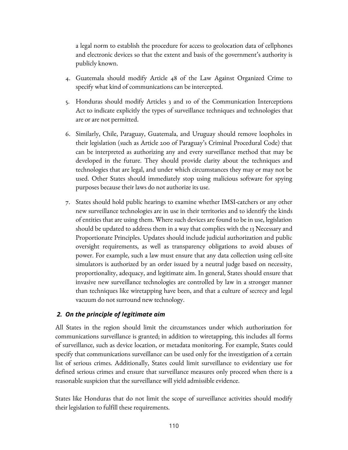a legal norm to establish the procedure for access to geolocation data of cellphones and electronic devices so that the extent and basis of the government's authority is publicly known.

- 4. Guatemala should modify Article 48 of the Law Against Organized Crime to specify what kind of communications can be intercepted.
- 5. Honduras should modify Articles 3 and 10 of the Communication Interceptions Act to indicate explicitly the types of surveillance techniques and technologies that are or are not permitted.
- 6. Similarly, Chile, Paraguay, Guatemala, and Uruguay should remove loopholes in their legislation (such as Article 200 of Paraguay's Criminal Procedural Code) that can be interpreted as authorizing any and every surveillance method that may be developed in the future. They should provide clarity about the techniques and technologies that are legal, and under which circumstances they may or may not be used. Other States should immediately stop using malicious software for spying purposes because their laws do not authorize its use.
- 7. States should hold public hearings to examine whether IMSI-catchers or any other new surveillance technologies are in use in their territories and to identify the kinds of entities that are using them. Where such devices are found to be in use, legislation should be updated to address them in a way that complies with the 13 Necessary and Proportionate Principles. Updates should include judicial authorization and public oversight requirements, as well as transparency obligations to avoid abuses of power. For example, such a law must ensure that any data collection using cell-site simulators is authorized by an order issued by a neutral judge based on necessity, proportionality, adequacy, and legitimate aim. In general, States should ensure that invasive new surveillance technologies are controlled by law in a stronger manner than techniques like wiretapping have been, and that a culture of secrecy and legal vacuum do not surround new technology.

#### *2. On the principle of legitimate aim*

All States in the region should limit the circumstances under which authorization for communications surveillance is granted; in addition to wiretapping, this includes all forms of surveillance, such as device location, or metadata monitoring. For example, States could specify that communications surveillance can be used only for the investigation of a certain list of serious crimes. Additionally, States could limit surveillance to evidentiary use for defined serious crimes and ensure that surveillance measures only proceed when there is a reasonable suspicion that the surveillance will yield admissible evidence.

States like Honduras that do not limit the scope of surveillance activities should modify their legislation to fulfill these requirements.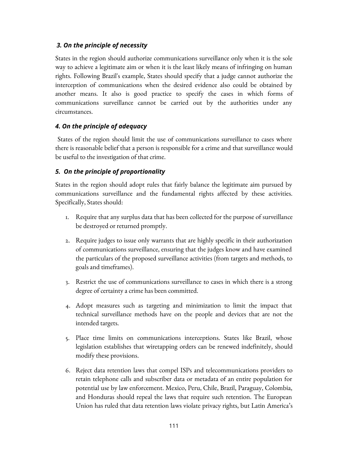#### *3. On the principle of necessity*

States in the region should authorize communications surveillance only when it is the sole way to achieve a legitimate aim or when it is the least likely means of infringing on human rights. Following Brazil's example, States should specify that a judge cannot authorize the interception of communications when the desired evidence also could be obtained by another means. It also is good practice to specify the cases in which forms of communications surveillance cannot be carried out by the authorities under any circumstances.

#### *4. On the principle of adequacy*

 States of the region should limit the use of communications surveillance to cases where there is reasonable belief that a person is responsible for a crime and that surveillance would be useful to the investigation of that crime.

#### *5. On the principle of proportionality*

States in the region should adopt rules that fairly balance the legitimate aim pursued by communications surveillance and the fundamental rights affected by these activities. Specifically, States should:

- 1. Require that any surplus data that has been collected for the purpose of surveillance be destroyed or returned promptly.
- 2. Require judges to issue only warrants that are highly specific in their authorization of communications surveillance, ensuring that the judges know and have examined the particulars of the proposed surveillance activities (from targets and methods, to goals and timeframes).
- 3. Restrict the use of communications surveillance to cases in which there is a strong degree of certainty a crime has been committed.
- 4. Adopt measures such as targeting and minimization to limit the impact that technical surveillance methods have on the people and devices that are not the intended targets.
- 5. Place time limits on communications interceptions. States like Brazil, whose legislation establishes that wiretapping orders can be renewed indefinitely, should modify these provisions.
- 6. Reject data retention laws that compel ISPs and telecommunications providers to retain telephone calls and subscriber data or metadata of an entire population for potential use by law enforcement. Mexico, Peru, Chile, Brazil, Paraguay, Colombia, and Honduras should repeal the laws that require such retention. The European Union has ruled that data retention laws violate privacy rights, but Latin America's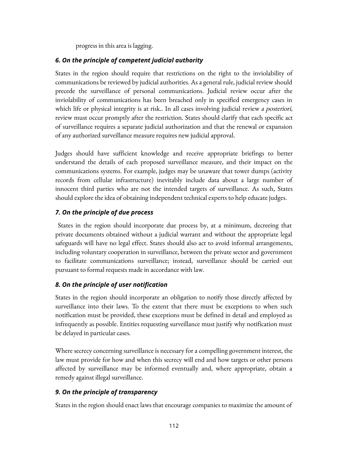progress in this area is lagging.

#### *6. On the principle of competent judicial authority*

States in the region should require that restrictions on the right to the inviolability of communications be reviewed by judicial authorities. As a general rule, judicial review should precede the surveillance of personal communications. Judicial review occur after the inviolability of communications has been breached only in specified emergency cases in which life or physical integrity is at risk.. In all cases involving judicial review a posteriori, review must occur promptly after the restriction. States should clarify that each specific act of surveillance requires a separate judicial authorization and that the renewal or expansion of any authorized surveillance measure requires new judicial approval.

Judges should have sufficient knowledge and receive appropriate briefings to better understand the details of each proposed surveillance measure, and their impact on the communications systems. For example, judges may be unaware that tower dumps (activity records from cellular infrastructure) inevitably include data about a large number of innocent third parties who are not the intended targets of surveillance. As such, States should explore the idea of obtaining independent technical experts to help educate judges.

#### *7. On the principle of due process*

 States in the region should incorporate due process by, at a minimum, decreeing that private documents obtained without a judicial warrant and without the appropriate legal safeguards will have no legal effect. States should also act to avoid informal arrangements, including voluntary cooperation in surveillance, between the private sector and government to facilitate communications surveillance; instead, surveillance should be carried out pursuant to formal requests made in accordance with law.

#### *8. On the principle of user notification*

States in the region should incorporate an obligation to notify those directly affected by surveillance into their laws. To the extent that there must be exceptions to when such notification must be provided, these exceptions must be defined in detail and employed as infrequently as possible. Entities requesting surveillance must justify why notification must be delayed in particular cases.

Where secrecy concerning surveillance is necessary for a compelling government interest, the law must provide for how and when this secrecy will end and how targets or other persons affected by surveillance may be informed eventually and, where appropriate, obtain a remedy against illegal surveillance.

#### *9. On the principle of transparency*

States in the region should enact laws that encourage companies to maximize the amount of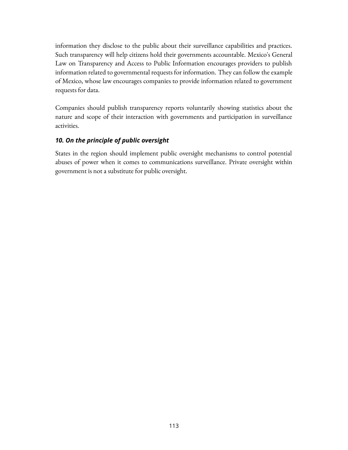information they disclose to the public about their surveillance capabilities and practices. Such transparency will help citizens hold their governments accountable. Mexico's General Law on Transparency and Access to Public Information encourages providers to publish information related to governmental requests for information. They can follow the example of Mexico, whose law encourages companies to provide information related to government requests for data.

Companies should publish transparency reports voluntarily showing statistics about the nature and scope of their interaction with governments and participation in surveillance activities.

#### *10. On the principle of public oversight*

States in the region should implement public oversight mechanisms to control potential abuses of power when it comes to communications surveillance. Private oversight within government is not a substitute for public oversight.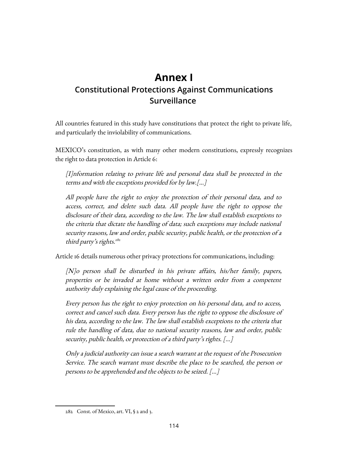### **Annex I Constitutional Protections Against Communications Surveillance**

All countries featured in this study have constitutions that protect the right to private life, and particularly the inviolability of communications.

MEXICO's constitution, as with many other modern constitutions, expressly recognizes the right to data protection in Article 6:

[I]nformation relating to private life and personal data shall be protected in the terms and with the exceptions provided for by law.[…]

All people have the right to enjoy the protection of their personal data, and to access, correct, and delete such data. All people have the right to oppose the disclosure of their data, according to the law. The law shall establish exceptions to the criteria that dictate the handling of data; such exceptions may include national security reasons, law and order, public security, public health, or the protection of a third party's rights.<sup>[282](#page-113-0)</sup>

Article 16 details numerous other privacy protections for communications, including:

[N]o person shall be disturbed in his private affairs, his/her family, papers, properties or be invaded at home without a written order from a competent authority duly explaining the legal cause of the proceeding.

Every person has the right to enjoy protection on his personal data, and to access, correct and cancel such data. Every person has the right to oppose the disclosure of his data, according to the law. The law shall establish exceptions to the criteria that rule the handling of data, due to national security reasons, law and order, public security, public health, or protection of a third party's rights. [...]

Only a judicial authority can issue a search warrant at the request of the Prosecution Service. The search warrant must describe the place to be searched, the person or persons to be apprehended and the objects to be seized. [...]

<span id="page-113-0"></span><sup>282</sup> Const. of Mexico, art. VI, § 2 and 3.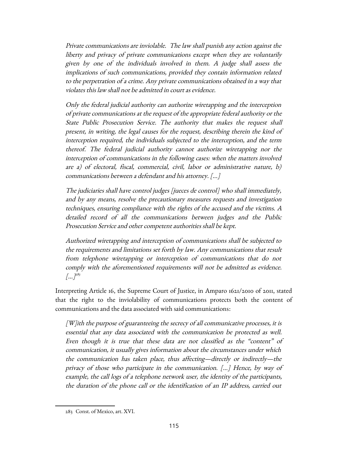Private communications are inviolable. The law shall punish any action against the liberty and privacy of private communications except when they are voluntarily given by one of the individuals involved in them. A judge shall assess the implications of such communications, provided they contain information related to the perpetration of a crime. Any private communications obtained in a way that violates this law shall not be admitted in court as evidence.

Only the federal judicial authority can authorize wiretapping and the interception of private communications at the request of the appropriate federal authority or the State Public Prosecution Service. The authority that makes the request shall present, in writing, the legal causes for the request, describing therein the kind of interception required, the individuals subjected to the interception, and the term thereof. The federal judicial authority cannot authorize wiretapping nor the interception of communications in the following cases: when the matters involved are a) of electoral, fiscal, commercial, civil, labor or administrative nature, b) communications between a defendant and his attorney. [...]

The judiciaries shall have control judges [jueces de control] who shall immediately, and by any means, resolve the precautionary measures requests and investigation techniques, ensuring compliance with the rights of the accused and the victims. A detailed record of all the communications between judges and the Public Prosecution Service and other competent authorities shall be kept.

Authorized wiretapping and interception of communications shall be subjected to the requirements and limitations set forth by law. Any communications that result from telephone wiretapping or interception of communications that do not comply with the aforementioned requirements will not be admitted as evidence.  $\left[...\right]^{28}$ 

Interpreting Article 16, the Supreme Court of Justice, in Amparo 1621/2010 of 2011, stated that the right to the inviolability of communications protects both the content of communications and the data associated with said communications:

 $[W]$ ith the purpose of guaranteeing the secrecy of all communicative processes, it is essential that any data associated with the communication be protected as well. Even though it is true that these data are not classified as the "content" of communication, it usually gives information about the circumstances under which the communication has taken place, thus affecting—directly or indirectly—the privacy of those who participate in the communication. [...] Hence, by way of example, the call logs of a telephone network user, the identity of the participants, the duration of the phone call or the identification of an IP address, carried out

<span id="page-114-0"></span><sup>283</sup> Const. of Mexico, art. XVI.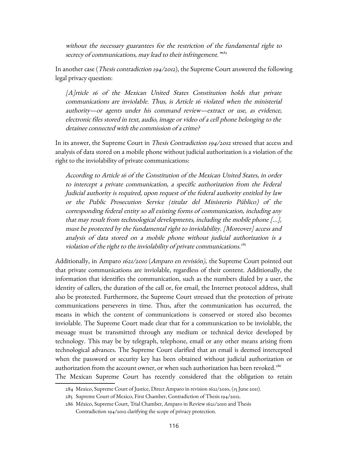without the necessary guarantees for the restriction of the fundamental right to secrecy of communications, may lead to their infringement.<sup>"[284](#page-115-0)</sup>

In another case (Thesis contradiction 194/2012), the Supreme Court answered the following legal privacy question:

[A]rticle 16 of the Mexican United States Constitution holds that private communications are inviolable. Thus, is Article 16 violated when the ministerial authority—or agents under his command review—extract or use, as evidence, electronic files stored in text, audio, image or video of a cell phone belonging to the detainee connected with the commission of a crime?

In its answer, the Supreme Court in Thesis Contradiction 194/2012 stressed that access and analysis of data stored on a mobile phone without judicial authorization is a violation of the right to the inviolability of private communications:

According to Article 16 of the Constitution of the Mexican United States, in order to intercept a private communication, a specific authorization from the Federal Judicial authority is required, upon request of the federal authority entitled by law or the Public Prosecution Service (titular del Ministerio Público) of the corresponding federal entity so all existing forms of communication, including any that may result from technological developments, including the mobile phone […], must be protected by the fundamental right to inviolability. [Moreover] access and analysis of data stored on a mobile phone without judicial authorization is a violation of the right to the inviolability of private communications.<sup>[285](#page-115-1)</sup>

Additionally, in Amparo 1621/2010 (Amparo en revisión), the Supreme Court pointed out that private communications are inviolable, regardless of their content. Additionally, the information that identifies the communication, such as the numbers dialed by a user, the identity of callers, the duration of the call or, for email, the Internet protocol address, shall also be protected. Furthermore, the Supreme Court stressed that the protection of private communications perseveres in time. Thus, after the communication has occurred, the means in which the content of communications is conserved or stored also becomes inviolable. The Supreme Court made clear that for a communication to be inviolable, the message must be transmitted through any medium or technical device developed by technology. This may be by telegraph, telephone, email or any other means arising from technological advances. The Supreme Court clarified that an email is deemed intercepted when the password or security key has been obtained without judicial authorization or authorization from the account owner, or when such authorization has been revoked.<sup>[286](#page-115-2)</sup> The Mexican Supreme Court has recently considered that the obligation to retain

<span id="page-115-0"></span><sup>284</sup> Mexico, Supreme Court of Justice, Direct Amparo in revision 1621/2010, (15 June 2011).

<span id="page-115-1"></span><sup>285</sup> Supreme Court of Mexico, First Chamber, Contradiction of Thesis 194/2012.

<span id="page-115-2"></span><sup>286</sup> México, Supreme Court, Trial Chamber, Amparo in Review 1621/2010 and Thesis Contradiction 194/2012 clarifying the scope of privacy protection.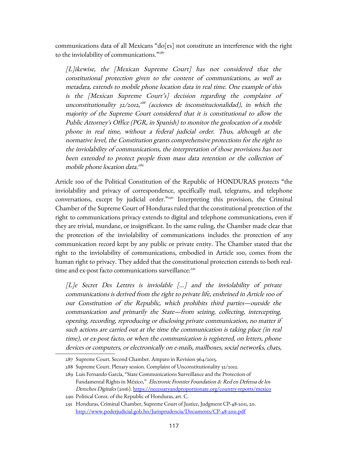communications data of all Mexicans "do[es] not constitute an interference with the right to the inviolability of communications."[287](#page-116-0)

[L]ikewise, the [Mexican Supreme Court] has not considered that the constitutional protection given to the content of communications, as well as metadata, extends to mobile phone location data in real time. One example of this is the [Mexican Supreme Court's] decision regarding the complaint of unconstitutionality 32/2012,<sup>[288](#page-116-1)</sup> (acciones de inconstitucionalidad), in which the majority of the Supreme Court considered that it is constitutional to allow the Public Attorney's Office (PGR, in Spanish) to monitor the geolocation of a mobile phone in real time, without a federal judicial order. Thus, although at the normative level, the Constitution grants comprehensive protections for the right to the inviolability of communications, the interpretation of those provisions has not been extended to protect people from mass data retention or the collection of mobile phone location data.<sup>[289](#page-116-2)</sup>

Article 100 of the Political Constitution of the Republic of HONDURAS protects "the inviolability and privacy of correspondence, specifically mail, telegrams, and telephone conversations, except by judicial order."<sup>[290](#page-116-3)</sup> Interpreting this provision, the Criminal Chamber of the Supreme Court of Honduras ruled that the constitutional protection of the right to communications privacy extends to digital and telephone communications, even if they are trivial, mundane, or insignificant. In the same ruling, the Chamber made clear that the protection of the inviolability of communications includes the protection of any communication record kept by any public or private entity. The Chamber stated that the right to the inviolability of communications, embodied in Article 100, comes from the human right to privacy. They added that the constitutional protection extends to both real-time and ex-post facto communications surveillance:<sup>[291](#page-116-4)</sup>

[L]e Secret Des Lettres is inviolable [...] and the inviolability of private communications is derived from the right to private life, enshrined in Article 100 of our Constitution of the Republic, which prohibits third parties—outside the communication and primarily the State—from seizing, collecting, intercepting, opening, recording, reproducing or disclosing private communication, no matter if such actions are carried out at the time the communication is taking place (in real time), or ex-post facto, or when the communication is registered, on letters, phone devices or computers, or electronically on e-mails, mailboxes, social networks, chats,

<span id="page-116-0"></span><sup>287</sup> Supreme Court. Second Chamber. Amparo in Revision 964/2015.

<span id="page-116-1"></span><sup>288</sup> Supreme Court. Plenary session. Complaint of Unconstitutionality 32/2012.

<span id="page-116-2"></span><sup>289</sup> Luis Fernando García, "State Communications Surveillance and the Protection of Fundamental Rights in México," Electronic Frontier Foundation & Red en Defensa de los Derechos Digitales (2016).<https://necessaryandproportionate.org/country-reports/mexico>

<span id="page-116-3"></span><sup>290</sup> Political Const. of the Republic of Honduras, art. C.

<span id="page-116-4"></span><sup>291</sup> Honduras, Criminal Chamber, Supreme Court of Justice, Judgment CP-48-2011, 20. <http://www.poderjudicial.gob.hn/Jurisprudencia/Documents/CP-48-2011.pdf>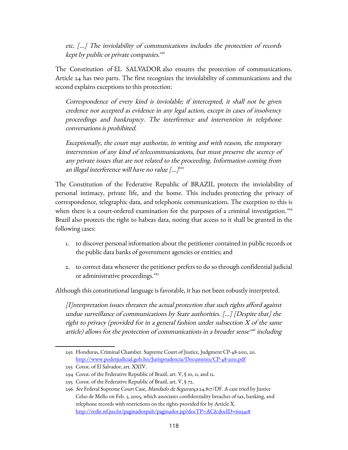etc. [...] The inviolability of communications includes the protection of records kept by public or private companies. [292](#page-117-0)

The Constitution of EL SALVADOR also ensures the protection of communications. Article 24 has two parts. The first recognizes the inviolability of communications and the second explains exceptions to this protection:

Correspondence of every kind is inviolable; if intercepted, it shall not be given credence nor accepted as evidence in any legal action, except in cases of insolvency proceedings and bankruptcy. The interference and intervention in telephone conversations is prohibited.

Exceptionally, the court may authorize, in writing and with reason, the temporary intervention of any kind of telecommunications, but must preserve the secrecy of any private issues that are not related to the proceeding. Information coming from an illegal interference will have no value [...]<sup>[293](#page-117-1)</sup>

The Constitution of the Federative Republic of BRAZIL protects the inviolability of personal intimacy, private life, and the home. This includes protecting the privacy of correspondence, telegraphic data, and telephonic communications. The exception to this is when there is a court-ordered examination for the purposes of a criminal investigation.<sup>[294](#page-117-2)</sup> Brazil also protects the right to habeas data, noting that access to it shall be granted in the following cases:

- 1. to discover personal information about the petitioner contained in public records or the public data banks of government agencies or entities; and
- 2. to correct data whenever the petitioner prefers to do so through confidential judicial or administrative proceedings.<sup>[295](#page-117-3)</sup>

Although this constitutional language is favorable, it has not been robustly interpreted.

[I]nterpretation issues threaten the actual protection that such rights afford against undue surveillance of communications by State authorities. […] [Despite that] the right to privacy (provided for in a general fashion under subsection X of the same article) allows for the protection of communications in a broader sense<sup>[296](#page-117-4)</sup> including

<span id="page-117-0"></span><sup>292</sup> Honduras, Criminal Chamber. Supreme Court of Justice, Judgment CP-48-2011, 20. <http://www.poderjudicial.gob.hn/Jurisprudencia/Documents/CP-48-2011.pdf>

<span id="page-117-1"></span><sup>293</sup> Const. of El Salvador, art. XXIV.

<span id="page-117-2"></span><sup>294</sup> Const. of the Federative Republic of Brazil, art. V, § 10, 11, and 12.

<span id="page-117-3"></span><sup>295</sup> Const. of the Federative Republic of Brazil, art. V, § 72.

<span id="page-117-4"></span><sup>296</sup> See Federal Supreme Court Case, Mandado de Segurança 24.817/DF. A case tried by Justice Celso de Mello on Feb. 3, 2005, which associates confidentiality breaches of tax, banking, and telephone records with restrictions on the rights provided for by Article X. <http://redir.stf.jus.br/paginadorpub/paginador.jsp?docTP=AC&docID=605418>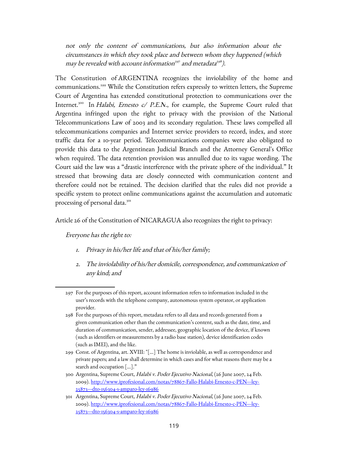not only the content of communications, but also information about the circumstances in which they took place and between whom they happened (which may be revealed with account information<sup>[297](#page-118-0)</sup> and metadata<sup>[298](#page-118-1)</sup>).

The Constitution of ARGENTINA recognizes the inviolability of the home and communications.[299](#page-118-2) While the Constitution refers expressly to written letters, the Supreme Court of Argentina has extended constitutional protection to communications over the Internet.<sup>[300](#page-118-3)</sup> In Halabi, Ernesto  $c/$  P.E.N., for example, the Supreme Court ruled that Argentina infringed upon the right to privacy with the provision of the National Telecommunications Law of 2003 and its secondary regulation. These laws compelled all telecommunications companies and Internet service providers to record, index, and store traffic data for a 10-year period. Telecommunications companies were also obligated to provide this data to the Argentinean Judicial Branch and the Attorney General's Office when required. The data retention provision was annulled due to its vague wording. The Court said the law was a "drastic interference with the private sphere of the individual." It stressed that browsing data are closely connected with communication content and therefore could not be retained. The decision clarified that the rules did not provide a specific system to protect online communications against the accumulation and automatic processing of personal data.<sup>[301](#page-118-4)</sup>

Article 26 of the Constitution of NICARAGUA also recognizes the right to privacy:

Everyone has the right to:

- 1. Privacy in his/her life and that of his/her family;
- 2. The inviolability of his/her domicile, correspondence, and communication of any kind; and

- <span id="page-118-1"></span>298 For the purposes of this report, metadata refers to all data and records generated from a given communication other than the communication's content, such as the date, time, and duration of communication, sender, addressee, geographic location of the device, if known (such as identifiers or measurements by a radio base station), device identification codes (such as IMEI), and the like.
- <span id="page-118-2"></span>299 Const. of Argentina, art. XVIII: "[...] The home is inviolable, as well as correspondence and private papers; and a law shall determine in which cases and for what reasons there may be a search and occupation [...]."
- <span id="page-118-3"></span>300 Argentina, Supreme Court, Halabi v. Poder Ejecutivo Nacional, (26 June 2007, 24 Feb. 2009). [http://www.iprofesional.com/notas/78867-Fallo-Halabi-Ernesto-c-PEN---ley-](http://www.iprofesional.com/notas/78867-Fallo-Halabi-Ernesto-c-PEN---ley-25873---dto-156304-s-amparo-ley-16986)[25873---dto-156304-s-amparo-ley-16986](http://www.iprofesional.com/notas/78867-Fallo-Halabi-Ernesto-c-PEN---ley-25873---dto-156304-s-amparo-ley-16986)
- <span id="page-118-4"></span>301 Argentina, Supreme Court, Halabi v. Poder Ejecutivo Nacional, (26 June 2007, 24 Feb. 2009). [http://www.iprofesional.com/notas/78867-Fallo-Halabi-Ernesto-c-PEN---ley-](http://www.iprofesional.com/notas/78867-Fallo-Halabi-Ernesto-c-PEN---ley-25873---dto-156304-s-amparo-ley-16986)[25873---dto-156304-s-amparo-ley-16986](http://www.iprofesional.com/notas/78867-Fallo-Halabi-Ernesto-c-PEN---ley-25873---dto-156304-s-amparo-ley-16986)

<span id="page-118-0"></span><sup>297</sup> For the purposes of this report, account information refers to information included in the user's records with the telephone company, autonomous system operator, or application provider.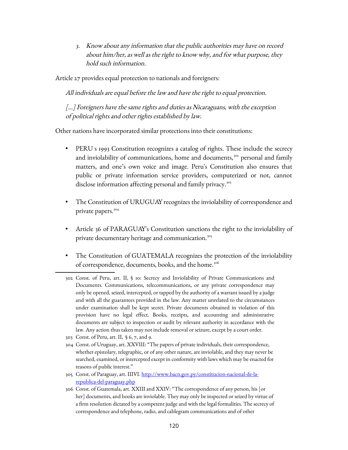3. Know about any information that the public authorities may have on record about him/her, as well as the right to know why, and for what purpose, they hold such information.

Article 27 provides equal protection to nationals and foreigners:

All individuals are equal before the law and have the right to equal protection.

[...] Foreigners have the same rights and duties as Nicaraguans, with the exception of political rights and other rights established by law.

Other nations have incorporated similar protections into their constitutions:

- PERU's 1993 Constitution recognizes a catalog of rights. These include the secrecy and inviolability of communications, home and documents,<sup>[302](#page-119-0)</sup> personal and family matters, and one's own voice and image. Peru's Constitution also ensures that public or private information service providers, computerized or not, cannot disclose information affecting personal and family privacy.<sup>[303](#page-119-1)</sup>
- The Constitution of URUGUAY recognizes the inviolability of correspondence and private papers.<sup>[304](#page-119-2)</sup>
- Article 36 of PARAGUAY's Constitution sanctions the right to the inviolability of private documentary heritage and communication.<sup>[305](#page-119-3)</sup>
- The Constitution of GUATEMALA recognizes the protection of the inviolability of correspondence, documents, books, and the home.<sup>[306](#page-119-4)</sup>
- <span id="page-119-0"></span>302 Const. of Peru, art. II, § 10: Secrecy and Inviolability of Private Communications and Documents. Communications, telecommunications, or any private correspondence may only be opened, seized, intercepted, or tapped by the authority of a warrant issued by a judge and with all the guarantees provided in the law. Any matter unrelated to the circumstances under examination shall be kept secret. Private documents obtained in violation of this provision have no legal effect. Books, receipts, and accounting and administrative documents are subject to inspection or audit by relevant authority in accordance with the law. Any action thus taken may not include removal or seizure, except by a court order.
- <span id="page-119-1"></span>303 Const. of Peru, art. II, § 6, 7, and 9.
- <span id="page-119-2"></span>304 Const. of Uruguay, art. XXVIII: "The papers of private individuals, their correspondence, whether epistolary, telegraphic, or of any other nature, are inviolable, and they may never be searched, examined, or intercepted except in conformity with laws which may be enacted for reasons of public interest."
- <span id="page-119-3"></span>305 Const. of Paraguay, art. IIIVI. [http://www.bacn.gov.py/constitucion-nacional-de-la](http://www.bacn.gov.py/constitucion-nacional-de-la-republica-del-paraguay.php)[republica-del-paraguay.php](http://www.bacn.gov.py/constitucion-nacional-de-la-republica-del-paraguay.php)
- <span id="page-119-4"></span>306 Const. of Guatemala, art. XXIII and XXIV: "The correspondence of any person, his [or her] documents, and books are inviolable. They may only be inspected or seized by virtue of a firm resolution dictated by a competent judge and with the legal formalities. The secrecy of correspondence and telephone, radio, and cablegram communications and of other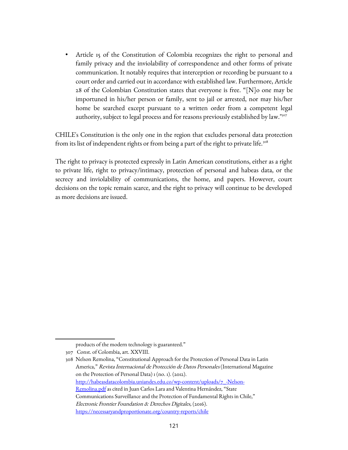Article 15 of the Constitution of Colombia recognizes the right to personal and family privacy and the inviolability of correspondence and other forms of private communication. It notably requires that interception or recording be pursuant to a court order and carried out in accordance with established law. Furthermore, Article 28 of the Colombian Constitution states that everyone is free. "[N]o one may be importuned in his/her person or family, sent to jail or arrested, nor may his/her home be searched except pursuant to a written order from a competent legal authority, subject to legal process and for reasons previously established by law."<sup>[307](#page-120-0)</sup>

CHILE's Constitution is the only one in the region that excludes personal data protection from its list of independent rights or from being a part of the right to private life.<sup>[308](#page-120-1)</sup>

The right to privacy is protected expressly in Latin American constitutions, either as a right to private life, right to privacy/intimacy, protection of personal and habeas data, or the secrecy and inviolability of communications, the home, and papers. However, court decisions on the topic remain scarce, and the right to privacy will continue to be developed as more decisions are issued.

<span id="page-120-0"></span>products of the modern technology is guaranteed."

<sup>307</sup> Const. of Colombia, art. XXVIII.

<span id="page-120-1"></span><sup>308</sup> Nelson Remolina, "Constitutional Approach for the Protection of Personal Data in Latin America," Revista Internacional de Protección de Datos Personales (International Magazine on the Protection of Personal Data) 1 (no. 1). (2012). [http://habeasdatacolombia.uniandes.edu.co/wp-content/uploads/7\\_-Nelson-](http://habeasdatacolombia.uniandes.edu.co/wp-content/uploads/7_-Nelson-Remolina.pdf)[Remolina.pdf](http://habeasdatacolombia.uniandes.edu.co/wp-content/uploads/7_-Nelson-Remolina.pdf) as cited in Juan Carlos Lara and Valentina Hernández, "State Communications Surveillance and the Protection of Fundamental Rights in Chile," Electronic Frontier Foundation & Derechos Digitales, (2016). <https://necessaryandproportionate.org/country-reports/chile>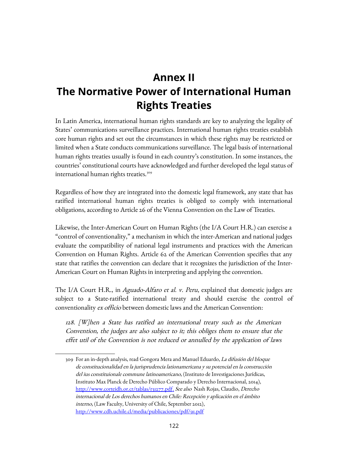# **Annex II The Normative Power of International Human Rights Treaties**

In Latin America, international human rights standards are key to analyzing the legality of States' communications surveillance practices. International human rights treaties establish core human rights and set out the circumstances in which these rights may be restricted or limited when a State conducts communications surveillance. The legal basis of international human rights treaties usually is found in each country's constitution. In some instances, the countries' constitutional courts have acknowledged and further developed the legal status of international human rights treaties.<sup>[309](#page-121-0)</sup>

Regardless of how they are integrated into the domestic legal framework, any state that has ratified international human rights treaties is obliged to comply with international obligations, according to Article 26 of the Vienna Convention on the Law of Treaties.

Likewise, the Inter-American Court on Human Rights (the I/A Court H.R.) can exercise a "control of conventionality," a mechanism in which the inter-American and national judges evaluate the compatibility of national legal instruments and practices with the American Convention on Human Rights. Article 62 of the American Convention specifies that any state that ratifies the convention can declare that it recognizes the jurisdiction of the Inter-American Court on Human Rights in interpreting and applying the convention.

The I/A Court H.R., in *Aguado-Alfaro et al. v. Peru*, explained that domestic judges are subject to a State-ratified international treaty and should exercise the control of conventionality ex officio between domestic laws and the American Convention:

128. [W]hen a State has ratified an international treaty such as the American Convention, the judges are also subject to it; this obliges them to ensure that the effet util of the Convention is not reduced or annulled by the application of laws

<span id="page-121-0"></span><sup>309</sup> For an in-depth analysis, read Gongora Mera and Manuel Eduardo, La difusión del bloque de constitucionalidad en la jurisprudencia lationamericana y su potencial en la construcción del ius constituionale commune latinoamericano, (Instituto de Investigaciones Jurídicas, Instituto Max Planck de Derecho Público Comparado y Derecho Internacional, 2014), http://www.corteidh.or.cr/tablas/131277.pdf. See also Nash Rojas, Claudio, Derecho internacional de Los derechos humanos en Chile: Recepción y aplicación en el ámbito interno, (Law Faculty, University of Chile, September 2012), <http://www.cdh.uchile.cl/media/publicaciones/pdf/91.pdf>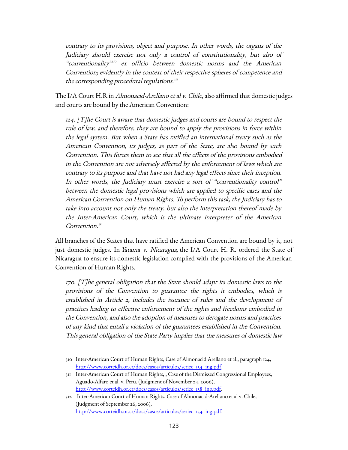contrary to its provisions, object and purpose. In other words, the organs of the Judiciary should exercise not only a control of constitutionality, but also of "conventionality" [310](#page-122-0) ex officio between domestic norms and the American Convention; evidently in the context of their respective spheres of competence and the corresponding procedural regulations. $^{\textrm{\tiny{\it3}}}$ 

The I/A Court H.R in *Almonacid-Arellano et al v. Chile*, also affirmed that domestic judges and courts are bound by the American Convention:

124. [T]he Court is aware that domestic judges and courts are bound to respect the rule of law, and therefore, they are bound to apply the provisions in force within the legal system. But when a State has ratified an international treaty such as the American Convention, its judges, as part of the State, are also bound by such Convention. This forces them to see that all the effects of the provisions embodied in the Convention are not adversely affected by the enforcement of laws which are contrary to its purpose and that have not had any legal effects since their inception. In other words, the Judiciary must exercise a sort of "conventionality control" between the domestic legal provisions which are applied to specific cases and the American Convention on Human Rights. To perform this task, the Judiciary has to take into account not only the treaty, but also the interpretation thereof made by the Inter-American Court, which is the ultimate interpreter of the American Convention.<sup>[312](#page-122-2)</sup>

All branches of the States that have ratified the American Convention are bound by it, not just domestic judges. In *Yatama v. Nicaragua*, the I/A Court H. R. ordered the State of Nicaragua to ensure its domestic legislation complied with the provisions of the American Convention of Human Rights.

170. [T]he general obligation that the State should adapt its domestic laws to the provisions of the Convention to guarantee the rights it embodies, which is established in Article 2, includes the issuance of rules and the development of practices leading to effective enforcement of the rights and freedoms embodied in the Convention, and also the adoption of measures to derogate norms and practices of any kind that entail a violation of the guarantees established in the Convention. This general obligation of the State Party implies that the measures of domestic law

<span id="page-122-0"></span><sup>310</sup> Inter-American Court of Human Rights, Case of Almonacid Arellano et al., paragraph 124, [http://www.corteidh.or.cr/docs/casos/articulos/seriec\\_154\\_ing.pdf.](http://www.corteidh.or.cr/docs/casos/articulos/seriec_154_ing.pdf)

<span id="page-122-1"></span><sup>311</sup> Inter-American Court of Human Rights, , Case of the Dismissed Congressional Employees, Aguado-Alfaro et al. v. Peru, (Judgment of November 24, 2006), [http://www.corteidh.or.cr/docs/casos/articulos/seriec\\_158\\_ing.pdf.](http://www.corteidh.or.cr/docs/casos/articulos/seriec_158_ing.pdf)

<span id="page-122-2"></span><sup>312</sup> Inter-American Court of Human Rights, Case of Almonacid-Arellano et al v. Chile, (Judgment of September 26, 2006), [http://www.corteidh.or.cr/docs/casos/articulos/seriec\\_154\\_ing.pdf.](http://www.corteidh.or.cr/docs/casos/articulos/seriec_154_ing.pdf)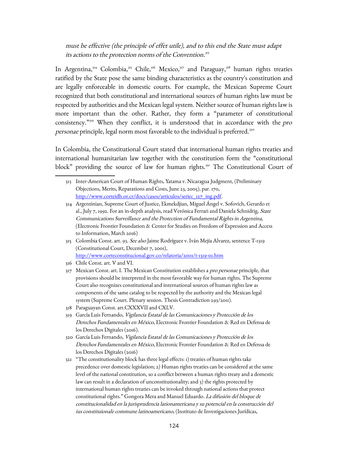must be effective (the principle of effet utile), and to this end the State must adapt its actions to the protection norms of the Convention.<sup>[313](#page-123-0)</sup>

In Argentina,<sup>[314](#page-123-1)</sup> Colombia,<sup>[315](#page-123-2)</sup> Chile,<sup>[316](#page-123-3)</sup> Mexico,<sup>[317](#page-123-4)</sup> and Paraguay,<sup>[318](#page-123-5)</sup> human rights treaties ratified by the State pose the same binding characteristics as the country's constitution and are legally enforceable in domestic courts. For example, the Mexican Supreme Court recognized that both constitutional and international sources of human rights law must be respected by authorities and the Mexican legal system. Neither source of human rights law is more important than the other. Rather, they form a "parameter of constitutional consistency."<sup>[319](#page-123-6)</sup> When they conflict, it is understood that in accordance with the pro personae principle, legal norm most favorable to the individual is preferred.<sup>[320](#page-123-7)</sup>

In Colombia, the Constitutional Court stated that international human rights treaties and international humanitarian law together with the constitution form the "constitutional block" providing the source of law for human rights.<sup>[321](#page-123-8)</sup> The Constitutional Court of

- <span id="page-123-5"></span>318 Paraguayan Const. art.CXXXVII and CXLV.
- <span id="page-123-6"></span>319 García Luis Fernando, Vigilancia Estatal de las Comunicaciones y Protección de los Derechos Fundamentales en México, Electronic Frontier Foundation & Red en Defensa de los Derechos Digitales (2016).
- <span id="page-123-7"></span>320 García Luis Fernando, Vigilancia Estatal de las Comunicaciones y Protección de los Derechos Fundamentales en México, Electronic Frontier Foundation & Red en Defensa de los Derechos Digitales (2016)
- <span id="page-123-8"></span>321 "The constitutionality block has three legal effects: 1) treaties of human rights take precedence over domestic legislation; 2) Human rights treaties can be considered at the same level of the national constitution, so a conflict between a human rights treaty and a domestic law can result in a declaration of unconstitutionality; and 3) the rights protected by international human rights treaties can be invoked through national actions that protect constitutional rights." Gongora Mera and Manuel Eduardo. La difusión del bloque de constitucionalidad en la jurisprudencia lationamericana y su potencial en la construcción del ius constituionale commune latinoamericano, (Instituto de Investigaciones Jurídicas,

<span id="page-123-0"></span><sup>313</sup> Inter-American Court of Human Rights, Yatama v. Nicaragua Judgment, (Preliminary Objections, Merits, Reparations and Costs, June 23, 2005), par. 170, [http://www.corteidh.or.cr/docs/casos/articulos/seriec\\_127\\_ing.pdf.](http://www.corteidh.or.cr/docs/casos/articulos/seriec_127_ing.pdf)

<span id="page-123-1"></span><sup>314</sup> Argentinian, Supreme Court of Justice, Ekmekdjian, Miguel Ángel v. Sofovich, Gerardo et al., July 7, 1992. For an in-depth analysis, read Verónica Ferrari and Daniela Schnidrig, State Communications Surveillance and the Protection of Fundamental Rights in Argentina, (Electronic Frontier Foundation & Center for Studies on Freedom of Expression and Access to Information, March 2016)

<span id="page-123-2"></span><sup>315</sup> Colombia Const. art. 93. See also Jaime Rodríguez v. Iván Mejía Alvarez, sentence T-1319 (Constitutional Court, December 7, 2001), <http://www.corteconstitucional.gov.co/relatoria/2001/t-1319-01.htm>

<span id="page-123-3"></span><sup>316</sup> Chile Const. art. V and VI.

<span id="page-123-4"></span><sup>317</sup> Mexican Const. art. I. The Mexican Constitution establishes a *pro personae* principle, that provisions should be interpreted in the most favorable way for human rights. The Supreme Court also recognizes constitutional and international sources of human rights law as components of the same catalog to be respected by the authority and the Mexican legal system (Supreme Court. Plenary session. Thesis Contradiction 293/2011).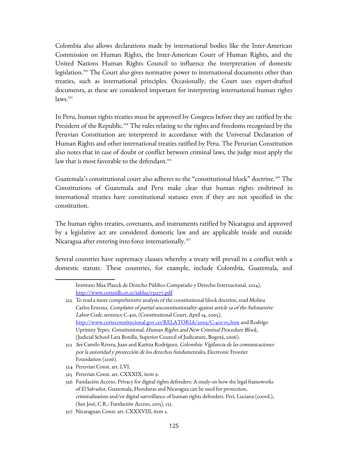Colombia also allows declarations made by international bodies like the Inter-American Commission on Human Rights, the Inter-American Court of Human Rights, and the United Nations Human Rights Council to influence the interpretation of domestic legislation.[322](#page-124-0) The Court also gives normative power to international documents other than treaties, such as international principles. Occasionally, the Court uses expert-drafted documents, as these are considered important for interpreting international human rights  $laws.<sup>323</sup>$  $laws.<sup>323</sup>$  $laws.<sup>323</sup>$ 

In Peru, human rights treaties must be approved by Congress before they are ratified by the President of the Republic.<sup>[324](#page-124-2)</sup> The rules relating to the rights and freedoms recognized by the Peruvian Constitution are interpreted in accordance with the Universal Declaration of Human Rights and other international treaties ratified by Peru. The Peruvian Constitution also notes that in case of doubt or conflict between criminal laws, the judge must apply the law that is most favorable to the defendant.<sup>[325](#page-124-3)</sup>

Guatemala's constitutional court also adheres to the "constitutional block" doctrine.<sup>[326](#page-124-4)</sup> The Constitutions of Guatemala and Peru make clear that human rights enshrined in international treaties have constitutional statuses even if they are not specified in the constitution.

The human rights treaties, covenants, and instruments ratified by Nicaragua and approved by a legislative act are considered domestic law and are applicable inside and outside Nicaragua after entering into force internationally.<sup>[327](#page-124-5)</sup>

Several countries have supremacy clauses whereby a treaty will prevail in a conflict with a domestic statute. These countries, for example, include Colombia, Guatemala, and

Instituto Max Planck de Derecho Público Comparado y Derecho Internacional, 2014), <http://www.corteidh.or.cr/tablas/r31277.pdf>

<span id="page-124-0"></span><sup>322</sup> To read a more comprehensive analysis of the constitutional block doctrine, read Molina Carlos Ernesto, Complaint of partial unconstitutionality against article 19 of the Substantive Labor Code, sentence C-401, (Constitutional Court, April 14, 2005), <http://www.corteconstitucional.gov.co/RELATORIA/2005/C-401-05.htm>and Rodrigo Uprimny Yepes, Constitutional, Human Rights and New Criminal Procedure Block, (Judicial School Lara Bonilla, Superior Council of Judicature, Bogotá, 2006).

<span id="page-124-1"></span><sup>323</sup> See Camilo Rivera, Juan and Katitza Rodríguez, Colombia: Vigilancia de las comunicaciones por la autoridad y protección de los derechos fundamentales, Electronic Frontier Foundation (2016).

<span id="page-124-2"></span><sup>324</sup> Peruvian Const. art. LVI.

<span id="page-124-3"></span><sup>325</sup> Peruvian Const. art. CXXXIX, item 9.

<span id="page-124-4"></span><sup>326</sup> Fundación Acceso, Privacy for digital rights defenders: A study on how the legal frameworks of El Salvador, Guatemala, Honduras and Nicaragua can be used for protection, criminalization and/or digital surveillance of human rights defenders. Peri, Luciana (coord.), (San José, C.R.: Fundación Acceso, 2015), 133.

<span id="page-124-5"></span><sup>327</sup> Nicaraguan Const. art. CXXXVIII, item 2.